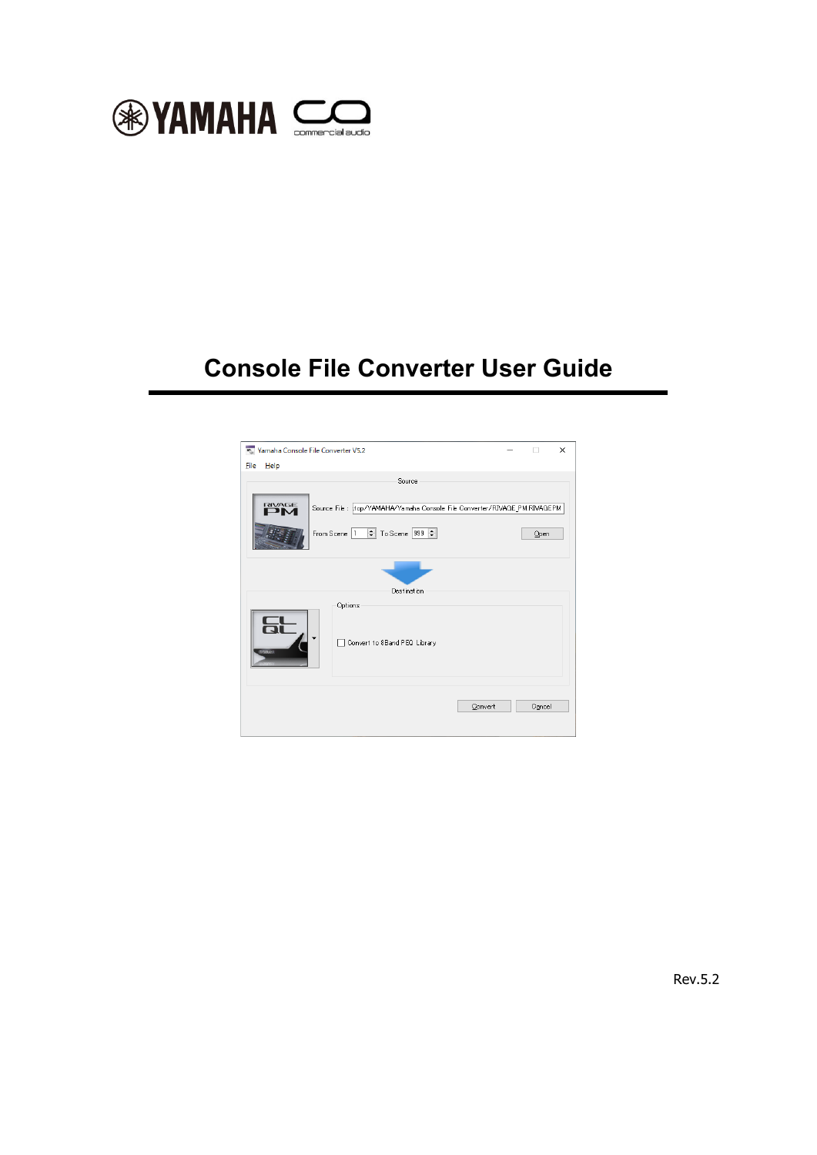

# **Console File Converter User Guide**

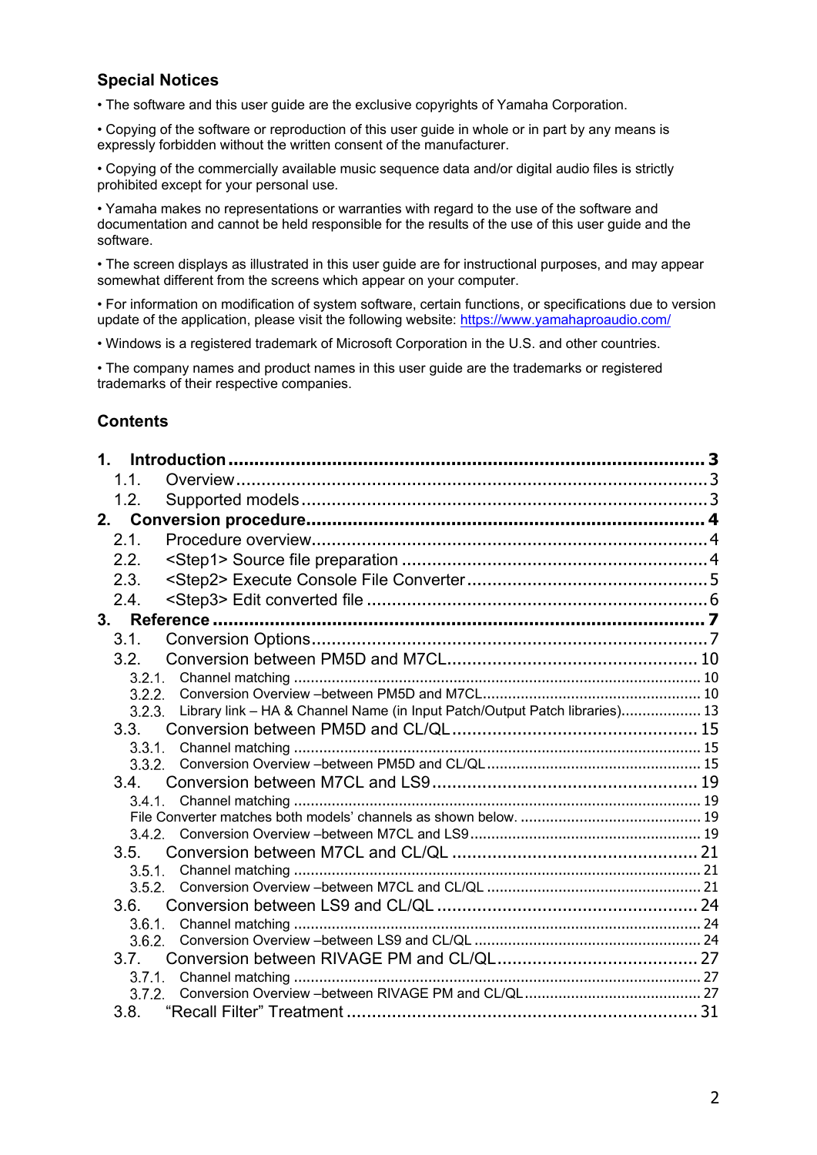# **Special Notices**

• The software and this user guide are the exclusive copyrights of Yamaha Corporation.

• Copying of the software or reproduction of this user guide in whole or in part by any means is expressly forbidden without the written consent of the manufacturer.

• Copying of the commercially available music sequence data and/or digital audio files is strictly prohibited except for your personal use.

• Yamaha makes no representations or warranties with regard to the use of the software and documentation and cannot be held responsible for the results of the use of this user guide and the software.

• The screen displays as illustrated in this user guide are for instructional purposes, and may appear somewhat different from the screens which appear on your computer.

• For information on modification of system software, certain functions, or specifications due to version update of the application, please visit the following website:<https://www.yamahaproaudio.com/>

• Windows is a registered trademark of Microsoft Corporation in the U.S. and other countries.

• The company names and product names in this user guide are the trademarks or registered trademarks of their respective companies.

# **Contents**

| $\mathbf 1$ |                |                                                                             |  |
|-------------|----------------|-----------------------------------------------------------------------------|--|
|             | 1.1.           |                                                                             |  |
|             | 1.2.           |                                                                             |  |
| 2.          |                |                                                                             |  |
|             | 2.1.           |                                                                             |  |
|             | 2.2.           |                                                                             |  |
|             | 2.3.           |                                                                             |  |
|             | 2.4.           |                                                                             |  |
| 3.          |                |                                                                             |  |
|             | 3.1.           |                                                                             |  |
|             | 3.2.           |                                                                             |  |
|             | 3.2.1.         |                                                                             |  |
|             | 3.2.2.         |                                                                             |  |
|             | 3.2.3.         | Library link - HA & Channel Name (in Input Patch/Output Patch libraries) 13 |  |
|             | 3.3.           |                                                                             |  |
|             | 3.3.1.         |                                                                             |  |
|             | 3.3.2.         |                                                                             |  |
|             | 3.4.           |                                                                             |  |
|             | 3.4.1.         |                                                                             |  |
|             |                |                                                                             |  |
|             |                |                                                                             |  |
|             | 3.5.<br>3.5.1. |                                                                             |  |
|             | 3.5.2          |                                                                             |  |
|             | 3.6.           |                                                                             |  |
|             | 3.6.1.         |                                                                             |  |
|             | 3.6.2          |                                                                             |  |
|             | 3.7            |                                                                             |  |
|             | 3.7.1.         |                                                                             |  |
|             | 3.7.2          |                                                                             |  |
|             |                |                                                                             |  |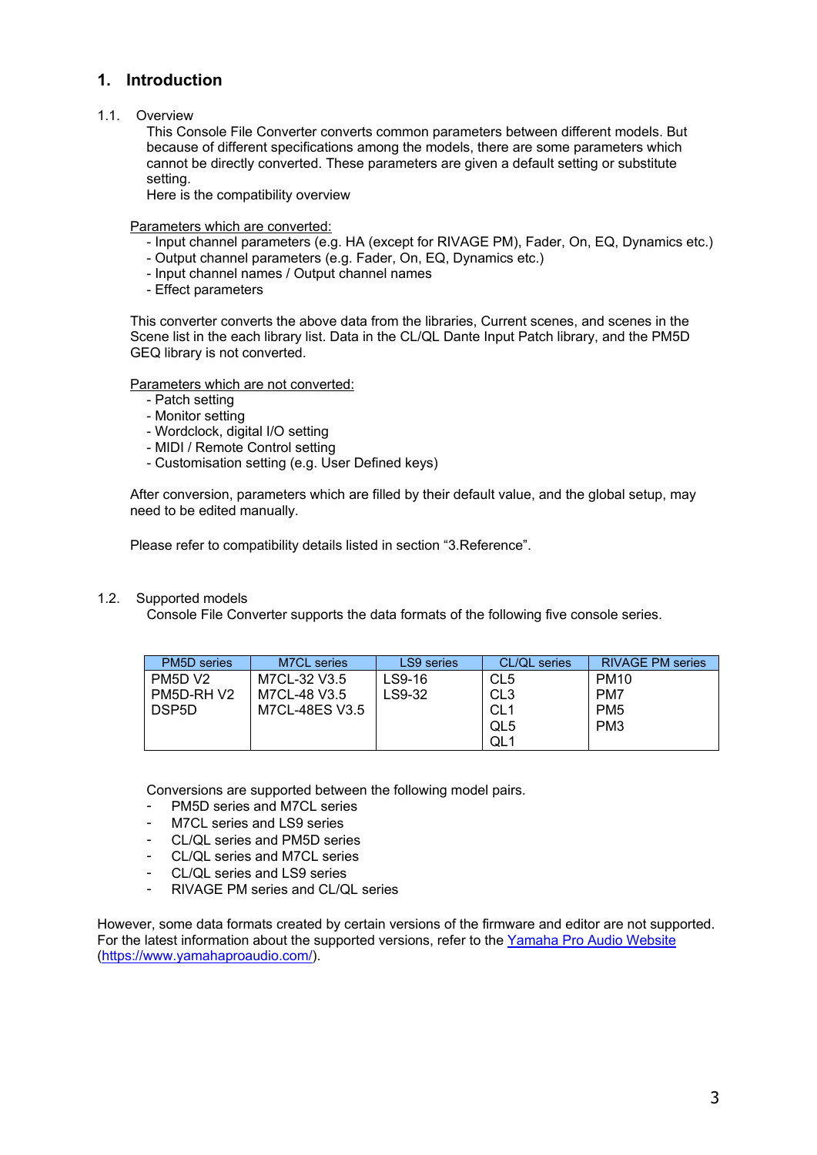# <span id="page-2-0"></span>**1. Introduction**

#### <span id="page-2-1"></span>1.1. Overview

This Console File Converter converts common parameters between different models. But because of different specifications among the models, there are some parameters which cannot be directly converted. These parameters are given a default setting or substitute setting.

Here is the compatibility overview

Parameters which are converted:

- Input channel parameters (e.g. HA (except for RIVAGE PM), Fader, On, EQ, Dynamics etc.)
- Output channel parameters (e.g. Fader, On, EQ, Dynamics etc.)
- Input channel names / Output channel names
- Effect parameters

This converter converts the above data from the libraries, Current scenes, and scenes in the Scene list in the each library list. Data in the CL/QL Dante Input Patch library, and the PM5D GEQ library is not converted.

Parameters which are not converted:

- Patch setting
- Monitor setting
- Wordclock, digital I/O setting
- MIDI / Remote Control setting
- Customisation setting (e.g. User Defined keys)

After conversion, parameters which are filled by their default value, and the global setup, may need to be edited manually.

Please refer to compatibility details listed in section "3.Reference".

#### <span id="page-2-2"></span>1.2. Supported models

Console File Converter supports the data formats of the following five console series.

| <b>PM5D</b> series | M7CL series    | LS9 series | CL/QL series    | <b>RIVAGE PM series</b> |
|--------------------|----------------|------------|-----------------|-------------------------|
| PM5D V2            | M7CL-32 V3.5   | LS9-16     | CL5             | <b>PM10</b>             |
| PM5D-RHV2          | M7CL-48 V3.5   | LS9-32     | CL <sub>3</sub> | PM7                     |
| DSP5D              | M7CL-48ES V3.5 |            | CL <sub>1</sub> | PM <sub>5</sub>         |
|                    |                |            | QL5             | PM <sub>3</sub>         |
|                    |                |            | QL <sub>1</sub> |                         |

Conversions are supported between the following model pairs.

- PM5D series and M7CL series
- M7CL series and LS9 series
- CL/OL series and PM5D series
- CL/QL series and M7CL series
- CL/QL series and LS9 series
- RIVAGE PM series and CL/QL series

However, some data formats created by certain versions of the firmware and editor are not supported. For the latest information about the supported versions, refer to the Yamaha Pro Audio Website [\(https://www.yamahaproaudio.com/\)](https://www.yamahaproaudio.com/).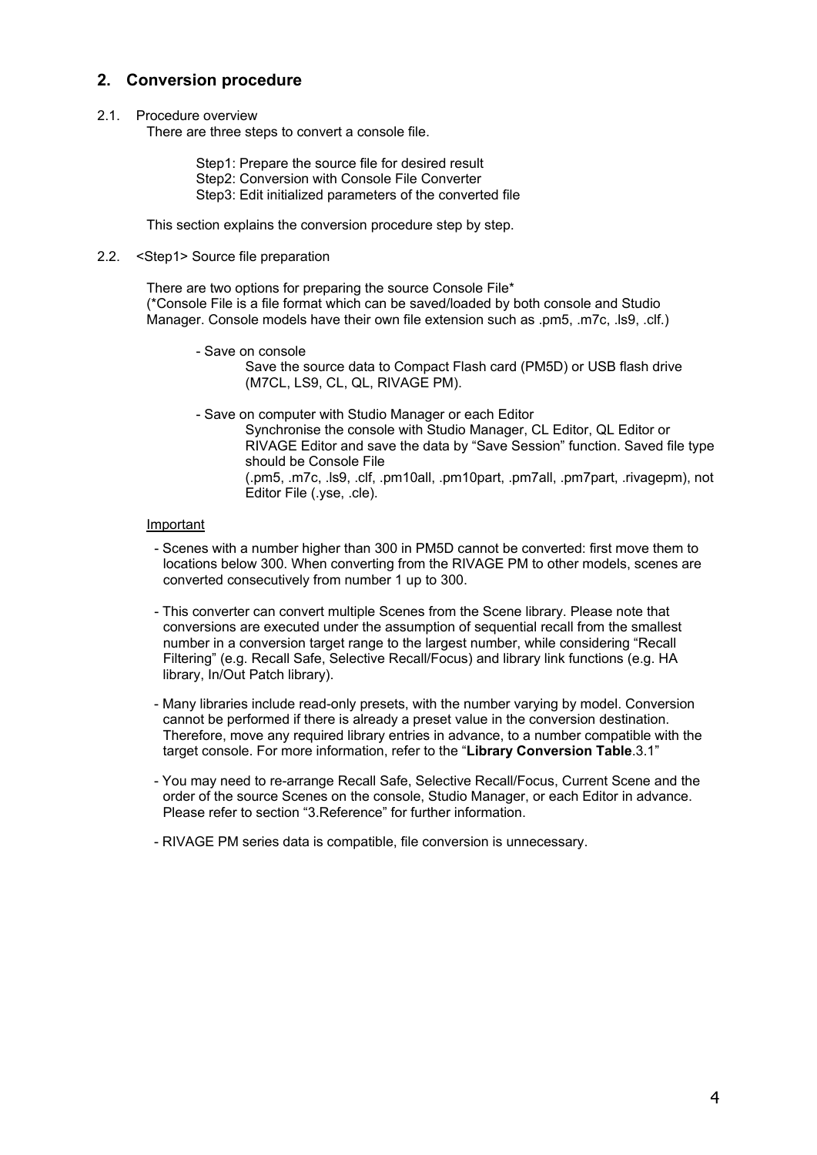# <span id="page-3-0"></span>**2. Conversion procedure**

#### <span id="page-3-1"></span>2.1. Procedure overview

There are three steps to convert a console file.

Step1: Prepare the source file for desired result Step2: Conversion with Console File Converter Step3: Edit initialized parameters of the converted file

This section explains the conversion procedure step by step.

#### <span id="page-3-2"></span>2.2. <Step1> Source file preparation

There are two options for preparing the source Console File\* (\*Console File is a file format which can be saved/loaded by both console and Studio Manager. Console models have their own file extension such as .pm5, .m7c, .ls9, .clf.)

- Save on console

Save the source data to Compact Flash card (PM5D) or USB flash drive (M7CL, LS9, CL, QL, RIVAGE PM).

- Save on computer with Studio Manager or each Editor

Synchronise the console with Studio Manager, CL Editor, QL Editor or RIVAGE Editor and save the data by "Save Session" function. Saved file type should be Console File

(.pm5, .m7c, .ls9, .clf, .pm10all, .pm10part, .pm7all, .pm7part, .rivagepm), not Editor File (.yse, .cle).

#### Important

- Scenes with a number higher than 300 in PM5D cannot be converted: first move them to locations below 300. When converting from the RIVAGE PM to other models, scenes are converted consecutively from number 1 up to 300.
- This converter can convert multiple Scenes from the Scene library. Please note that conversions are executed under the assumption of sequential recall from the smallest number in a conversion target range to the largest number, while considering "Recall Filtering" (e.g. Recall Safe, Selective Recall/Focus) and library link functions (e.g. HA library, In/Out Patch library).
- Many libraries include read-only presets, with the number varying by model. Conversion cannot be performed if there is already a preset value in the conversion destination. Therefore, move any required library entries in advance, to a number compatible with the target console. For more information, refer to the "**[Library Conversion Table](#page-6-2)**[.3.1"](#page-6-1)
- You may need to re-arrange Recall Safe, Selective Recall/Focus, Current Scene and the order of the source Scenes on the console, Studio Manager, or each Editor in advance. Please refer to section "3.Reference" for further information.

- RIVAGE PM series data is compatible, file conversion is unnecessary.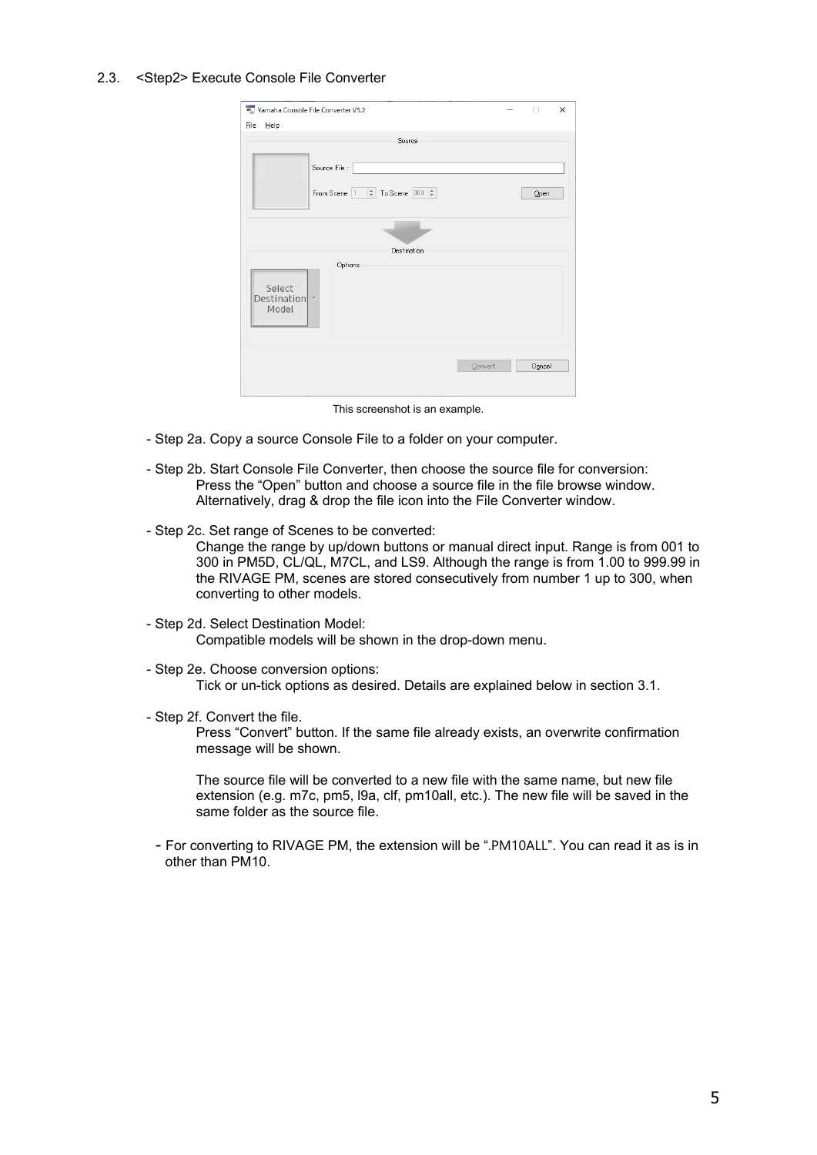#### <span id="page-4-0"></span>2.3. <Step2> Execute Console File Converter

| ** Yamaha Console File Converter V5.2<br>X<br>п                 |         |        |  |  |  |  |  |
|-----------------------------------------------------------------|---------|--------|--|--|--|--|--|
| <b>File</b><br>Help                                             |         |        |  |  |  |  |  |
| Source                                                          |         |        |  |  |  |  |  |
| Source File :                                                   |         |        |  |  |  |  |  |
| From Scene   1   $\frac{1}{2}$   To Scene   300   $\frac{1}{2}$ |         | Open   |  |  |  |  |  |
|                                                                 |         |        |  |  |  |  |  |
| Destination                                                     |         |        |  |  |  |  |  |
| Options<br>Select<br>Destination<br>$\overline{\psi}$<br>Model  |         |        |  |  |  |  |  |
|                                                                 | Convert | Cancel |  |  |  |  |  |

This screenshot is an example.

- Step 2a. Copy a source Console File to a folder on your computer.
- Step 2b. Start Console File Converter, then choose the source file for conversion: Press the "Open" button and choose a source file in the file browse window. Alternatively, drag & drop the file icon into the File Converter window.
- Step 2c. Set range of Scenes to be converted:

Change the range by up/down buttons or manual direct input. Range is from 001 to 300 in PM5D, CL/QL, M7CL, and LS9. Although the range is from 1.00 to 999.99 in the RIVAGE PM, scenes are stored consecutively from number 1 up to 300, when converting to other models.

- Step 2d. Select Destination Model: Compatible models will be shown in the drop-down menu.
- Step 2e. Choose conversion options: Tick or un-tick options as desired. Details are explained below in section 3.1.
- Step 2f. Convert the file.

Press "Convert" button. If the same file already exists, an overwrite confirmation message will be shown.

The source file will be converted to a new file with the same name, but new file extension (e.g. m7c, pm5, l9a, clf, pm10all, etc.). The new file will be saved in the same folder as the source file.

- For converting to RIVAGE PM, the extension will be ".PM10ALL". You can read it as is in other than PM10.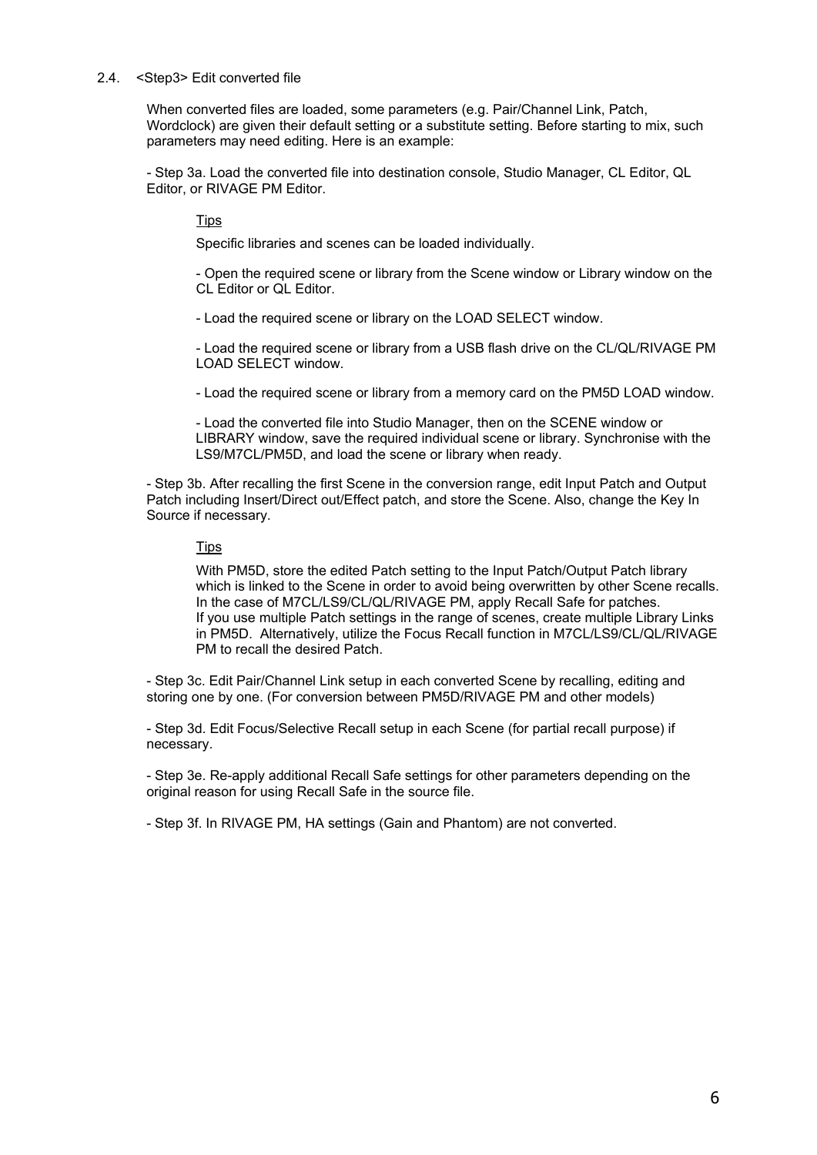#### <span id="page-5-0"></span>2.4. <Step3> Edit converted file

When converted files are loaded, some parameters (e.g. Pair/Channel Link, Patch, Wordclock) are given their default setting or a substitute setting. Before starting to mix, such parameters may need editing. Here is an example:

- Step 3a. Load the converted file into destination console, Studio Manager, CL Editor, QL Editor, or RIVAGE PM Editor.

#### **Tips**

Specific libraries and scenes can be loaded individually.

- Open the required scene or library from the Scene window or Library window on the CL Editor or QL Editor.

- Load the required scene or library on the LOAD SELECT window.

- Load the required scene or library from a USB flash drive on the CL/QL/RIVAGE PM LOAD SELECT window.

- Load the required scene or library from a memory card on the PM5D LOAD window.

- Load the converted file into Studio Manager, then on the SCENE window or LIBRARY window, save the required individual scene or library. Synchronise with the LS9/M7CL/PM5D, and load the scene or library when ready.

- Step 3b. After recalling the first Scene in the conversion range, edit Input Patch and Output Patch including Insert/Direct out/Effect patch, and store the Scene. Also, change the Key In Source if necessary.

#### **Tips**

With PM5D, store the edited Patch setting to the Input Patch/Output Patch library which is linked to the Scene in order to avoid being overwritten by other Scene recalls. In the case of M7CL/LS9/CL/QL/RIVAGE PM, apply Recall Safe for patches. If you use multiple Patch settings in the range of scenes, create multiple Library Links in PM5D. Alternatively, utilize the Focus Recall function in M7CL/LS9/CL/QL/RIVAGE PM to recall the desired Patch.

- Step 3c. Edit Pair/Channel Link setup in each converted Scene by recalling, editing and storing one by one. (For conversion between PM5D/RIVAGE PM and other models)

- Step 3d. Edit Focus/Selective Recall setup in each Scene (for partial recall purpose) if necessary.

- Step 3e. Re-apply additional Recall Safe settings for other parameters depending on the original reason for using Recall Safe in the source file.

- Step 3f. In RIVAGE PM, HA settings (Gain and Phantom) are not converted.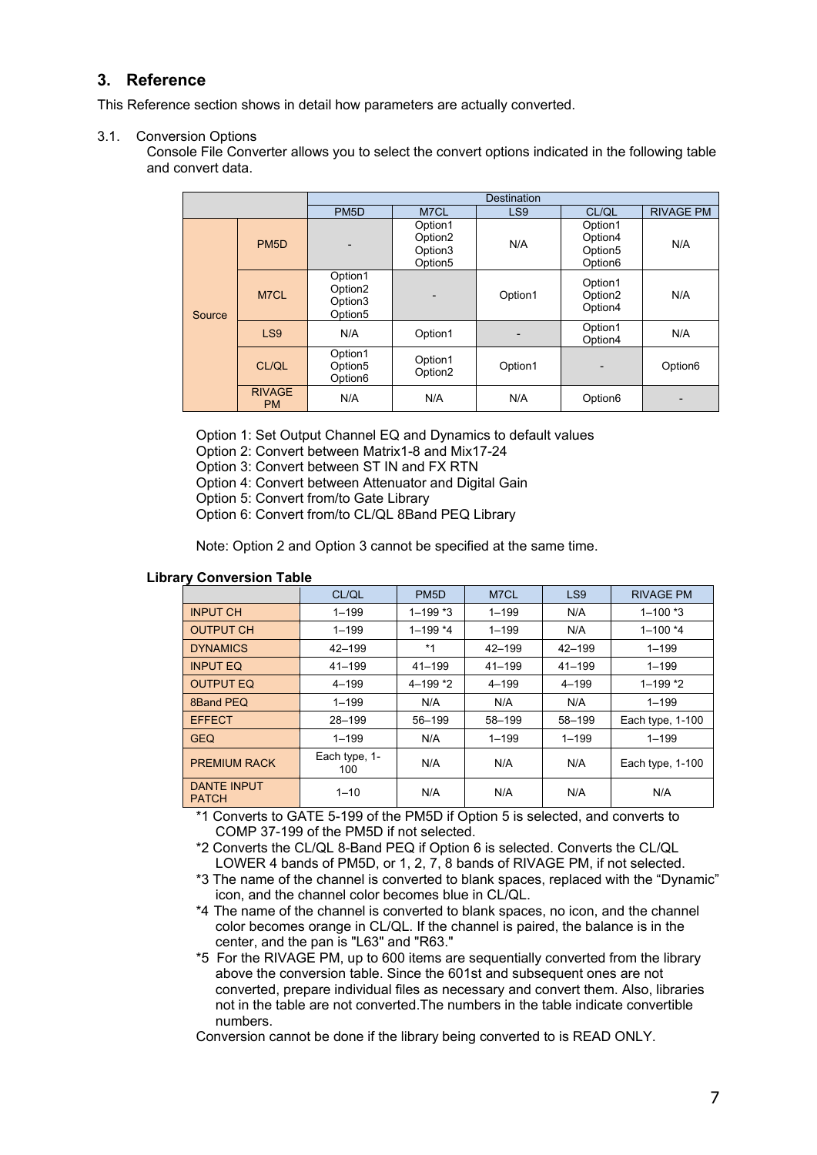# <span id="page-6-0"></span>**3. Reference**

This Reference section shows in detail how parameters are actually converted.

#### <span id="page-6-1"></span>3.1. Conversion Options

Console File Converter allows you to select the convert options indicated in the following table and convert data.

|        |                            | <b>Destination</b>                                               |                                                                  |                 |                                                                  |                     |  |  |
|--------|----------------------------|------------------------------------------------------------------|------------------------------------------------------------------|-----------------|------------------------------------------------------------------|---------------------|--|--|
|        |                            | PM <sub>5</sub> D                                                | M7CL                                                             | LS <sub>9</sub> | CL/QL                                                            | <b>RIVAGE PM</b>    |  |  |
|        | PM <sub>5</sub> D          | $\overline{\phantom{0}}$                                         | Option1<br>Option <sub>2</sub><br>Option3<br>Option <sub>5</sub> | N/A             | Option1<br>Option4<br>Option <sub>5</sub><br>Option <sub>6</sub> | N/A                 |  |  |
| Source | M7CL                       | Option1<br>Option <sub>2</sub><br>Option3<br>Option <sub>5</sub> |                                                                  | Option1         | Option1<br>Option <sub>2</sub><br>Option4                        | N/A                 |  |  |
|        | LS9                        | N/A                                                              | Option1                                                          |                 | Option1<br>Option4                                               | N/A                 |  |  |
|        | CL/QL                      | Option1<br>Option <sub>5</sub><br>Option6                        | Option1<br>Option <sub>2</sub>                                   | Option1         |                                                                  | Option <sub>6</sub> |  |  |
|        | <b>RIVAGE</b><br><b>PM</b> | N/A                                                              | N/A                                                              | N/A             | Option <sub>6</sub>                                              |                     |  |  |

Option 1: Set Output Channel EQ and Dynamics to default values

Option 2: Convert between Matrix1-8 and Mix17-24

Option 3: Convert between ST IN and FX RTN

Option 4: Convert between Attenuator and Digital Gain

Option 5: Convert from/to Gate Library

Option 6: Convert from/to CL/QL 8Band PEQ Library

Note: Option 2 and Option 3 cannot be specified at the same time.

#### <span id="page-6-2"></span>**Library Conversion Table**

|                                    | CL/QL                | PM <sub>5</sub> D | M7CL       | LS <sub>9</sub> | <b>RIVAGE PM</b>   |
|------------------------------------|----------------------|-------------------|------------|-----------------|--------------------|
| <b>INPUT CH</b>                    | $1 - 199$            | $1 - 199$ *3      | $1 - 199$  | N/A             | $1 - 100$ *3       |
| <b>OUTPUT CH</b>                   | $1 - 199$            | $1 - 199*4$       | $1 - 199$  | N/A             | $1 - 100*4$        |
| <b>DYNAMICS</b>                    | $42 - 199$           | $*1$              | $42 - 199$ | $42 - 199$      | $1 - 199$          |
| <b>INPUT EQ</b>                    | $41 - 199$           | $41 - 199$        | $41 - 199$ | $41 - 199$      | $1 - 199$          |
| <b>OUTPUT EQ</b>                   | $4 - 199$            | $4 - 199 * 2$     | $4 - 199$  | $4 - 199$       | $1 - 199 * 2$      |
| 8Band PEQ                          | $1 - 199$            | N/A               | N/A        | N/A             | $1 - 199$          |
| <b>EFFECT</b>                      | $28 - 199$           | 56-199            | 58-199     | 58-199          | Each type, 1-100   |
| <b>GEQ</b>                         | $1 - 199$            | N/A               | $1 - 199$  | $1 - 199$       | $1 - 199$          |
| <b>PREMIUM RACK</b>                | Each type, 1-<br>100 | N/A               | N/A        | N/A             | Each type, $1-100$ |
| <b>DANTE INPUT</b><br><b>PATCH</b> | $1 - 10$             | N/A               | N/A        | N/A             | N/A                |

\*1 Converts to GATE 5-199 of the PM5D if Option 5 is selected, and converts to COMP 37-199 of the PM5D if not selected.

\*2 Converts the CL/QL 8-Band PEQ if Option 6 is selected. Converts the CL/QL LOWER 4 bands of PM5D, or 1, 2, 7, 8 bands of RIVAGE PM, if not selected.

\*3 The name of the channel is converted to blank spaces, replaced with the "Dynamic" icon, and the channel color becomes blue in CL/QL.

\*4 The name of the channel is converted to blank spaces, no icon, and the channel color becomes orange in CL/QL. If the channel is paired, the balance is in the center, and the pan is "L63" and "R63."

\*5 For the RIVAGE PM, up to 600 items are sequentially converted from the library above the conversion table. Since the 601st and subsequent ones are not converted, prepare individual files as necessary and convert them. Also, libraries not in the table are not converted.The numbers in the table indicate convertible numbers.

Conversion cannot be done if the library being converted to is READ ONLY.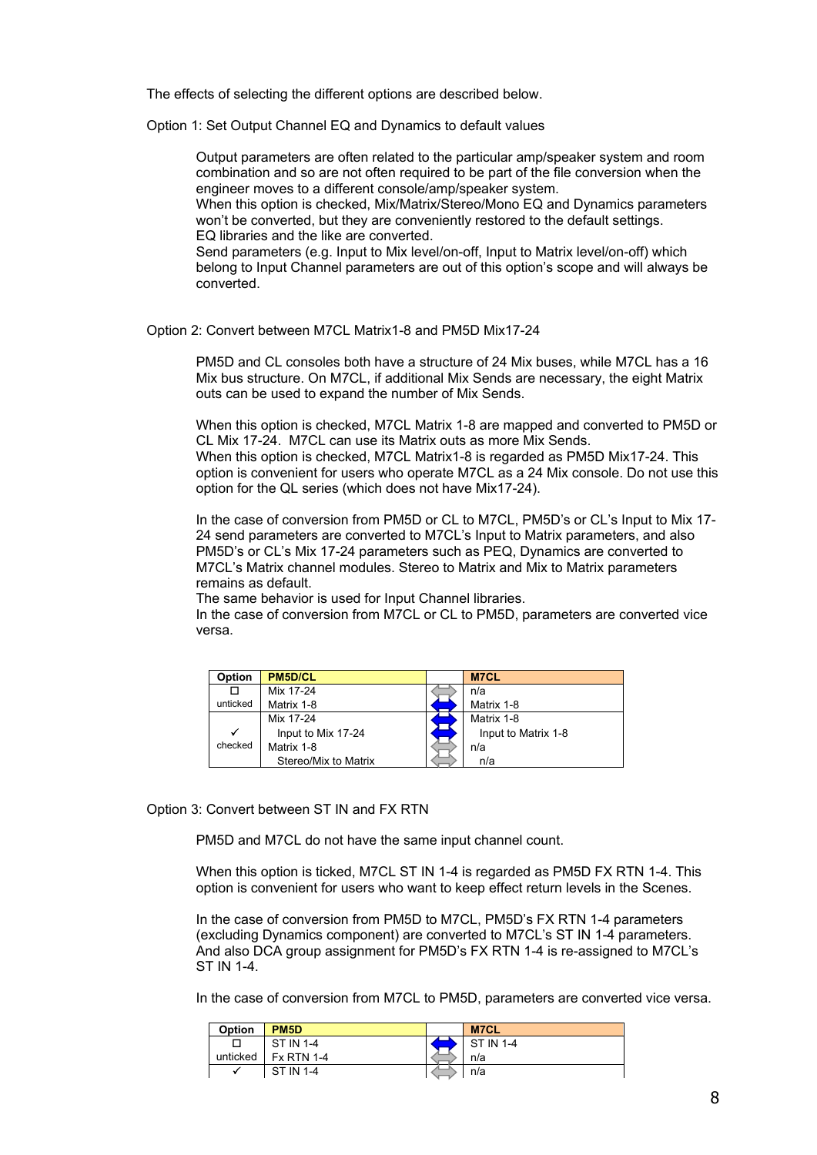The effects of selecting the different options are described below.

Option 1: Set Output Channel EQ and Dynamics to default values

Output parameters are often related to the particular amp/speaker system and room combination and so are not often required to be part of the file conversion when the engineer moves to a different console/amp/speaker system.

When this option is checked, Mix/Matrix/Stereo/Mono EQ and Dynamics parameters won't be converted, but they are conveniently restored to the default settings. EQ libraries and the like are converted.

Send parameters (e.g. Input to Mix level/on-off, Input to Matrix level/on-off) which belong to Input Channel parameters are out of this option's scope and will always be converted.

#### Option 2: Convert between M7CL Matrix1-8 and PM5D Mix17-24

PM5D and CL consoles both have a structure of 24 Mix buses, while M7CL has a 16 Mix bus structure. On M7CL, if additional Mix Sends are necessary, the eight Matrix outs can be used to expand the number of Mix Sends.

When this option is checked, M7CL Matrix 1-8 are mapped and converted to PM5D or CL Mix 17-24. M7CL can use its Matrix outs as more Mix Sends. When this option is checked, M7CL Matrix1-8 is regarded as PM5D Mix17-24. This option is convenient for users who operate M7CL as a 24 Mix console. Do not use this option for the QL series (which does not have Mix17-24).

In the case of conversion from PM5D or CL to M7CL, PM5D's or CL's Input to Mix 17- 24 send parameters are converted to M7CL's Input to Matrix parameters, and also PM5D's or CL's Mix 17-24 parameters such as PEQ, Dynamics are converted to M7CL's Matrix channel modules. Stereo to Matrix and Mix to Matrix parameters remains as default.

The same behavior is used for Input Channel libraries.

In the case of conversion from M7CL or CL to PM5D, parameters are converted vice versa.

|         | <b>PM5D/CL</b>       | <b>M7CL</b>         |
|---------|----------------------|---------------------|
|         | Mix 17-24            | <br>n/a             |
| hticked | Matrix 1-8           | Matrix 1-8          |
|         | Mix 17-24            | Matrix 1-8          |
|         | Input to Mix 17-24   | Input to Matrix 1-8 |
| checked | Matrix 1-8           | n/a                 |
|         | Stereo/Mix to Matrix | n/a                 |

#### Option 3: Convert between ST IN and FX RTN

PM5D and M7CL do not have the same input channel count.

When this option is ticked, M7CL ST IN 1-4 is regarded as PM5D FX RTN 1-4. This option is convenient for users who want to keep effect return levels in the Scenes.

In the case of conversion from PM5D to M7CL, PM5D's FX RTN 1-4 parameters (excluding Dynamics component) are converted to M7CL's ST IN 1-4 parameters. And also DCA group assignment for PM5D's FX RTN 1-4 is re-assigned to M7CL's ST IN 1-4.

In the case of conversion from M7CL to PM5D, parameters are converted vice versa.

| .ntion   | PM5D | M   |
|----------|------|-----|
|          |      | -4  |
| unticked | Ξv.  | n/a |
|          |      | n/a |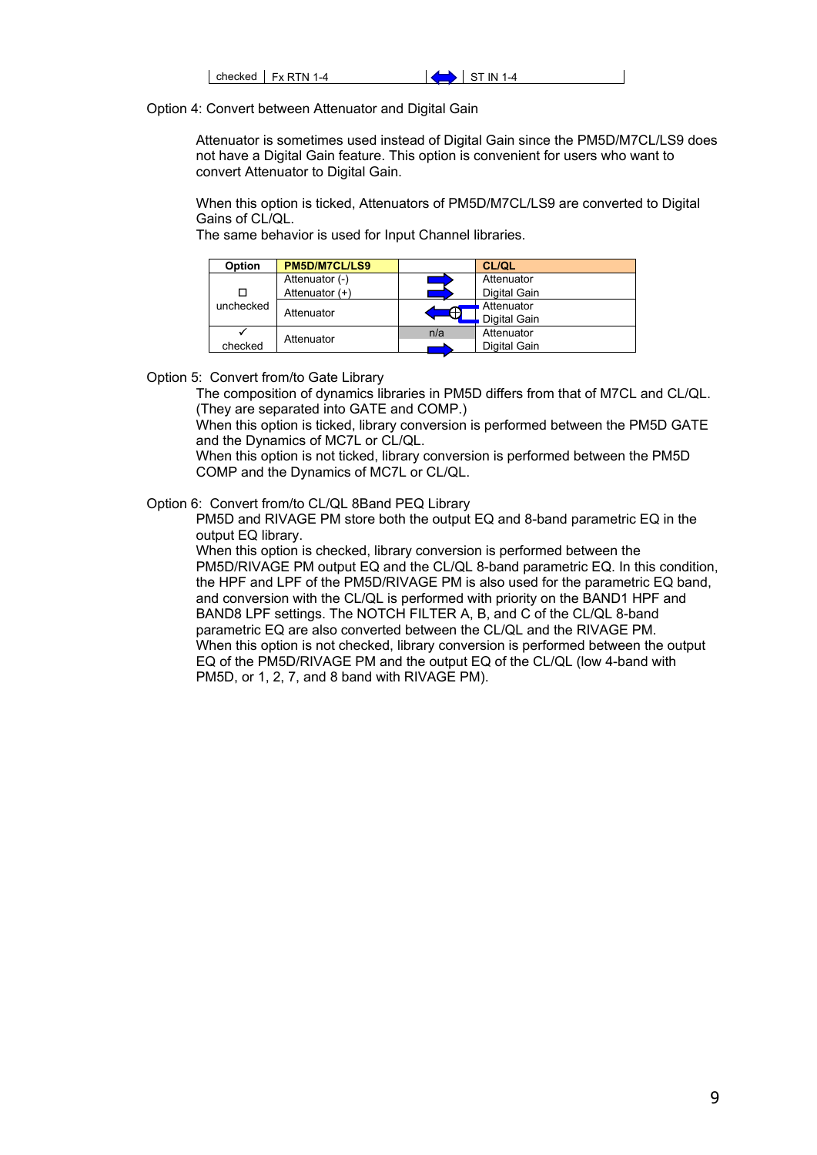| checked | $Fx$ RTN 1-4 | IN<br>I –4<br>- |
|---------|--------------|-----------------|
|         |              |                 |

Option 4: Convert between Attenuator and Digital Gain

Attenuator is sometimes used instead of Digital Gain since the PM5D/M7CL/LS9 does not have a Digital Gain feature. This option is convenient for users who want to convert Attenuator to Digital Gain.

When this option is ticked, Attenuators of PM5D/M7CL/LS9 are converted to Digital Gains of CL/QL.

The same behavior is used for Input Channel libraries.

| Option    | <b>PM5D/M7CL/LS9</b> | <b>CL/QL</b> |
|-----------|----------------------|--------------|
|           | Attenuator (-)       | Attenuator   |
|           | Attenuator (+)       | Digital Gain |
| unchecked | Attenuator           | Attenuator   |
|           |                      | Digital Gain |
|           | Attenuator           | Attenuator   |
| checked   |                      | Digital Gain |

Option 5: Convert from/to Gate Library

The composition of dynamics libraries in PM5D differs from that of M7CL and CL/QL. (They are separated into GATE and COMP.)

When this option is ticked, library conversion is performed between the PM5D GATE and the Dynamics of MC7L or CL/QL.

When this option is not ticked, library conversion is performed between the PM5D COMP and the Dynamics of MC7L or CL/QL.

Option 6: Convert from/to CL/QL 8Band PEQ Library

PM5D and RIVAGE PM store both the output EQ and 8-band parametric EQ in the output EQ library.

When this option is checked, library conversion is performed between the PM5D/RIVAGE PM output EQ and the CL/QL 8-band parametric EQ. In this condition, the HPF and LPF of the PM5D/RIVAGE PM is also used for the parametric EQ band, and conversion with the CL/QL is performed with priority on the BAND1 HPF and BAND8 LPF settings. The NOTCH FILTER A, B, and C of the CL/QL 8-band parametric EQ are also converted between the CL/QL and the RIVAGE PM. When this option is not checked, library conversion is performed between the output EQ of the PM5D/RIVAGE PM and the output EQ of the CL/QL (low 4-band with PM5D, or 1, 2, 7, and 8 band with RIVAGE PM).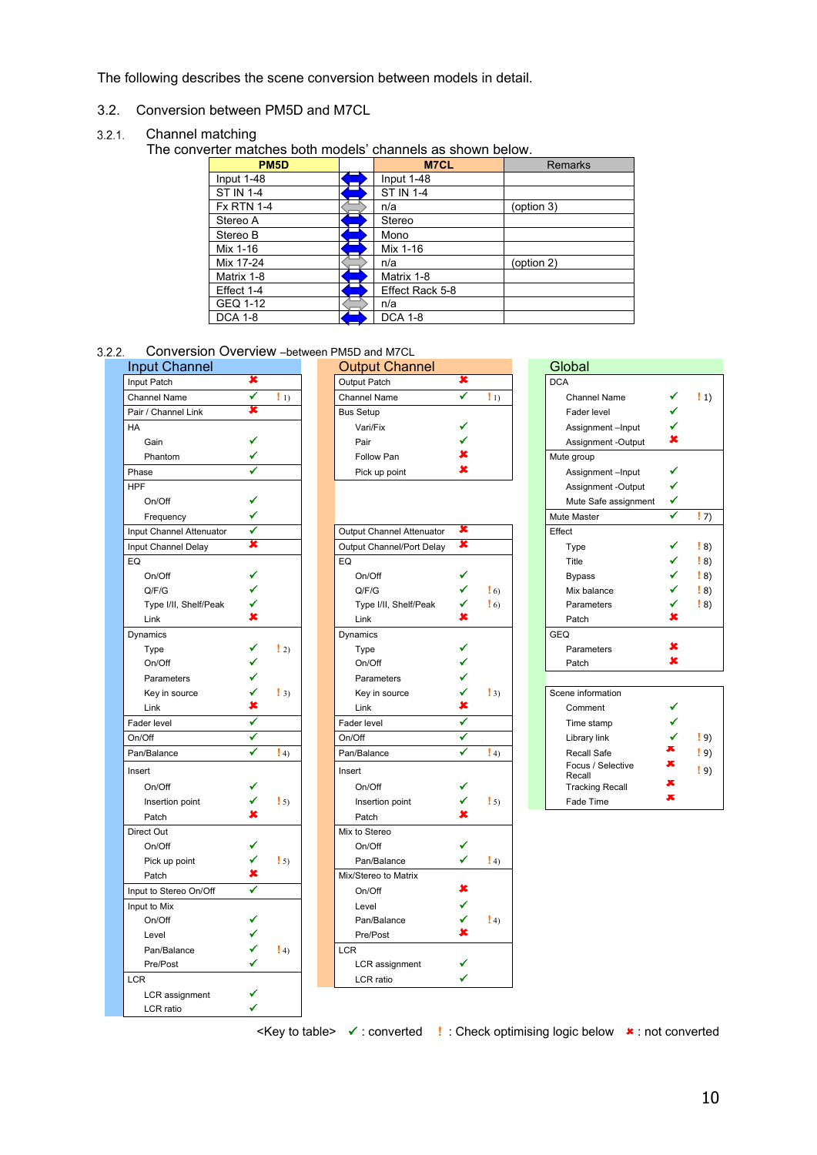The following describes the scene conversion between models in detail.

<span id="page-9-0"></span>3.2. Conversion between PM5D and M7CL

#### <span id="page-9-1"></span> $3.2.1.$ Channel matching

The converter matches both models' channels as shown below.

| PM <sub>5</sub> D | <b>M7CL</b>      | <b>Remarks</b> |
|-------------------|------------------|----------------|
| Input 1-48        | Input 1-48       |                |
| <b>ST IN 1-4</b>  | <b>ST IN 1-4</b> |                |
| <b>Fx RTN 1-4</b> | n/a              | (option 3)     |
| Stereo A          | Stereo           |                |
| Stereo B          | Mono             |                |
| Mix 1-16          | Mix 1-16         |                |
| Mix 17-24         | n/a              | (option 2)     |
| Matrix 1-8        | Matrix 1-8       |                |
| Effect 1-4        | Effect Rack 5-8  |                |
| GEQ 1-12          | n/a              |                |
| <b>DCA 1-8</b>    | <b>DCA 1-8</b>   |                |

<span id="page-9-2"></span> $3.2.2.$ Conversion Overview –between PM5D and M7CL

| <b>Input Channel</b>     |                          | <b>Output Channel</b>     |   |                                                 | Global                      |                      |
|--------------------------|--------------------------|---------------------------|---|-------------------------------------------------|-----------------------------|----------------------|
| Input Patch              | x                        | Output Patch              | × |                                                 | <b>DCA</b>                  |                      |
| <b>Channel Name</b>      | ✓<br>$\mathbf{1}$ 1)     | Channel Name              | ✓ | $\left( \begin{array}{c} 1 \end{array} \right)$ | <b>Channel Name</b>         |                      |
| Pair / Channel Link      | x                        | <b>Bus Setup</b>          |   |                                                 | Fader level                 | ✓                    |
| <b>HA</b>                |                          | Vari/Fix                  | ✔ |                                                 | Assignment-Input            | ✓                    |
| Gain                     | ✔                        | Pair                      |   |                                                 | Assignment -Output          | ×                    |
| Phantom                  |                          | Follow Pan                | × |                                                 | Mute group                  |                      |
| Phase                    |                          | Pick up point             | × |                                                 | Assignment-Input            | ✔                    |
| <b>HPF</b>               |                          |                           |   |                                                 | Assignment -Output          | ✔                    |
| On/Off                   |                          |                           |   |                                                 | Mute Safe assignment        | ✔                    |
| Frequency                |                          |                           |   |                                                 | Mute Master                 |                      |
| Input Channel Attenuator | ✔                        | Output Channel Attenuator | × |                                                 | Effect                      |                      |
| Input Channel Delay      | ×                        | Output Channel/Port Delay | × |                                                 | <b>Type</b>                 |                      |
| EQ                       |                          | EQ                        |   |                                                 | Title                       |                      |
| On/Off                   | ✔                        | On/Off                    | ✓ |                                                 | <b>Bypass</b>               |                      |
| Q/F/G                    |                          | Q/F/G                     | ✔ | $\frac{1}{2}$ 6)                                | Mix balance                 |                      |
| Type I/II, Shelf/Peak    |                          | Type I/II, Shelf/Peak     | ✔ | $\frac{1}{2}$ 6)                                | Parameters                  |                      |
| Link                     | ×                        | Link                      | × |                                                 | Patch                       | ×                    |
| Dynamics                 |                          | Dynamics                  |   |                                                 | <b>GEQ</b>                  |                      |
| Type                     | $\frac{1}{2}$<br>✔       | Type                      | ✓ |                                                 | Parameters                  | x                    |
| On/Off                   | ✓                        | On/Off                    |   |                                                 | Patch                       | ×                    |
| Parameters               | ✔                        | Parameters                | ✓ |                                                 |                             |                      |
| Key in source            | ✔<br>$\left  \right $ 3) | Key in source             | ✔ | $\frac{1}{3}$                                   | Scene information           |                      |
| Link                     | ×                        | Link                      | × |                                                 | Comment                     |                      |
| Fader level              | ✓                        | Fader level               | ✓ |                                                 | Time stamp                  |                      |
| On/Off                   | ✔                        | On/Off                    | ✔ |                                                 | Library link                |                      |
| Pan/Balance              | ✔<br>$\vert$ 4)          | Pan/Balance               | ✔ | $\vert 4 \rangle$                               | Recall Safe                 |                      |
| Insert                   |                          | Insert                    |   |                                                 | Focus / Selective<br>Recall |                      |
| On/Off                   | ✓                        | On/Off                    | ✓ |                                                 | <b>Tracking Recall</b>      |                      |
| Insertion point          | ✓<br>$\mathbf{1}$ 5)     | Insertion point           | ✓ | $\frac{1}{2}$ 5)                                | Fade Time                   | $\overline{\bullet}$ |
| Patch                    | ×                        | Patch                     | × |                                                 |                             |                      |
| Direct Out               |                          | Mix to Stereo             |   |                                                 |                             |                      |
| On/Off                   | ✔                        | On/Off                    | ✔ |                                                 |                             |                      |
| Pick up point            | ✔<br>$\frac{1}{2}$ 5)    | Pan/Balance               | ✔ | $\vert 4$                                       |                             |                      |
| Patch                    | ×                        | Mix/Stereo to Matrix      |   |                                                 |                             |                      |
| Input to Stereo On/Off   | ✓                        | On/Off                    | × |                                                 |                             |                      |
| Input to Mix             |                          | Level                     | ✓ |                                                 |                             |                      |
| On/Off                   |                          | Pan/Balance               | ✓ | $\frac{1}{2}$ 4)                                |                             |                      |
| Level                    |                          | Pre/Post                  | × |                                                 |                             |                      |
| Pan/Balance              | $\left 4\right\rangle$   | <b>LCR</b>                |   |                                                 |                             |                      |
| Pre/Post                 | ✔                        | LCR assignment            | ✔ |                                                 |                             |                      |
| <b>LCR</b>               |                          | LCR ratio                 | ✔ |                                                 |                             |                      |
| LCR assignment           |                          |                           |   |                                                 |                             |                      |
| LCR ratio                | ✔                        |                           |   |                                                 |                             |                      |
|                          |                          |                           |   |                                                 |                             |                      |

| <b>Input Channel</b> |    | <b>Output Channel</b> |         | Global             |   |      |
|----------------------|----|-----------------------|---------|--------------------|---|------|
| Input Patch          |    | <b>Output Patch</b>   |         | <b>DCA</b>         |   |      |
| <b>Channel Name</b>  | 1) | <b>Channel Name</b>   | $\pm 1$ | Channel Name       |   | ! 1) |
| Pair / Channel Link  |    | <b>Bus Setup</b>      |         | Fader level        |   |      |
| HA                   |    | Vari/Fix              |         | Assignment-Input   |   |      |
| Gain                 |    | Pair                  |         | Assignment -Output | х |      |
| Phantom              |    | Follow Pan            |         | Mute group         |   |      |
| Phase                |    | Pick up point         |         | Assignment-Input   |   |      |

| Input Channel Attenuator | ✔ |                        | Output Channel Attenuator | × |                   | Effect                      |                      |                                                 |
|--------------------------|---|------------------------|---------------------------|---|-------------------|-----------------------------|----------------------|-------------------------------------------------|
| Input Channel Delay      | × |                        | Output Channel/Port Delay | × |                   | Type                        |                      | $\left  8 \right\rangle$                        |
| EQ                       |   |                        | EQ                        |   |                   | Title                       |                      | $\left[ \begin{array}{c} 8 \end{array} \right]$ |
| On/Off                   |   |                        | On/Off                    |   |                   | <b>Bypass</b>               |                      | $\left  8 \right\rangle$                        |
| Q/F/G                    |   |                        | Q/F/G                     |   | $\frac{1}{2}$ 6)  | Mix balance                 |                      | $\left  8 \right\rangle$                        |
| Type I/II, Shelf/Peak    |   |                        | Type I/II, Shelf/Peak     |   | $\frac{1}{2}$ 6)  | Parameters                  |                      | $\left  8 \right\rangle$                        |
| Link                     | x |                        | Link                      | × |                   | Patch                       | x                    |                                                 |
| Dynamics                 |   |                        | Dynamics                  |   |                   | <b>GEQ</b>                  |                      |                                                 |
| Type                     |   | $\frac{1}{2}$          | Type                      |   |                   | Parameters                  | x                    |                                                 |
| On/Off                   |   |                        | On/Off                    |   |                   | Patch                       | ×                    |                                                 |
| Parameters               |   |                        | Parameters                |   |                   |                             |                      |                                                 |
| Key in source            |   | $\left  \right $ 3)    | Key in source             |   | $\frac{1}{3}$     | Scene information           |                      |                                                 |
| Link                     | x |                        | Link                      | × |                   | Comment                     |                      |                                                 |
| Fader level              | ✔ |                        | Fader level               | ✓ |                   | Time stamp                  |                      |                                                 |
| On/Off                   | ✔ |                        | On/Off                    | ✓ |                   | Library link                | ✔                    | $\left[9\right]$                                |
| Pan/Balance              | ✔ | $\vert 4 \rangle$      | Pan/Balance               | ✔ | $\vert 4 \rangle$ | <b>Recall Safe</b>          | ж                    | $\left[ \begin{array}{c} 9 \end{array} \right]$ |
| Insert                   |   |                        | Insert                    |   |                   | Focus / Selective<br>Recall | ×                    | $\left(9\right)$                                |
| On/Off                   |   |                        | On/Off                    |   |                   | <b>Tracking Recall</b>      | ᄎ                    |                                                 |
| Insertion point          |   | $\frac{1}{2}$ 5)       | Insertion point           |   | $\frac{1}{2}$ 5)  | Fade Time                   | $\overline{\bullet}$ |                                                 |
| Patch                    |   |                        | Patch                     |   |                   |                             |                      |                                                 |
| Direct Out               |   |                        | Mix to Stereo             |   |                   |                             |                      |                                                 |
| On/Off                   |   |                        | On/Off                    |   |                   |                             |                      |                                                 |
| Pick up point            | ✔ | $\frac{1}{2}$ 5)       | Pan/Balance               | ✔ | $\vert 4 \rangle$ |                             |                      |                                                 |
| Patch                    | × |                        | Mix/Stereo to Matrix      |   |                   |                             |                      |                                                 |
| Input to Stereo On/Off   | ✔ |                        | On/Off                    | x |                   |                             |                      |                                                 |
| Input to Mix             |   |                        | Level                     |   |                   |                             |                      |                                                 |
| On/Off                   |   |                        | Pan/Balance               |   | $\frac{1}{2}$ 4)  |                             |                      |                                                 |
| Level                    |   |                        | Pre/Post                  | x |                   |                             |                      |                                                 |
| Pan/Balance              |   | $\left 4\right\rangle$ | LCR                       |   |                   |                             |                      |                                                 |
| Pre/Post                 |   |                        | LCR assignment            |   |                   |                             |                      |                                                 |
| LCR                      |   |                        | LCR ratio                 |   |                   |                             |                      |                                                 |
| $1CD$ analgoment         |   |                        |                           |   |                   |                             |                      |                                                 |

| out Channel           |   |                     | <b>Output Channel</b>     |              |                     | Global                      |   |
|-----------------------|---|---------------------|---------------------------|--------------|---------------------|-----------------------------|---|
| t Patch               | × |                     | Output Patch              | x            |                     | <b>DCA</b>                  |   |
| nnel Name             | ✔ | $\mathbf{L}_1$      | <b>Channel Name</b>       | ✔            | $\mathbf{1}_{1}$    | <b>Channel Name</b>         |   |
| / Channel Link        | x |                     | <b>Bus Setup</b>          |              |                     | Fader level                 |   |
|                       |   |                     | Vari/Fix                  |              |                     | Assignment-Input            |   |
| Gain                  |   |                     | Pair                      |              |                     | Assignment -Output          | × |
| Phantom               |   |                     | Follow Pan                |              |                     | Mute group                  |   |
| se                    | ✔ |                     | Pick up point             |              |                     | Assignment-Input            | ✔ |
|                       |   |                     |                           |              |                     | Assignment -Output          | ✔ |
| On/Off                |   |                     |                           |              |                     | Mute Safe assignment        | ✔ |
| Frequency             |   |                     |                           |              |                     | Mute Master                 | ✔ |
| t Channel Attenuator  | ✔ |                     | Output Channel Attenuator | ×            |                     | Effect                      |   |
| t Channel Delay       | × |                     | Output Channel/Port Delay | ×            |                     | Type                        |   |
|                       |   |                     | EQ                        |              |                     | Title                       |   |
| On/Off                |   |                     | On/Off                    |              |                     | <b>Bypass</b>               |   |
| Q/F/G                 |   |                     | Q/F/G                     |              | $\frac{1}{2}$ 6)    | Mix balance                 |   |
| Type I/II, Shelf/Peak |   |                     | Type I/II, Shelf/Peak     |              | $\frac{1}{2}$ 6)    | Parameters                  |   |
| Link                  | x |                     | Link                      |              |                     | Patch                       |   |
| amics                 |   |                     | Dynamics                  |              |                     | <b>GEQ</b>                  |   |
| Type                  |   | $\left  \right $ 2) | Type                      |              |                     | Parameters                  | × |
| On/Off                |   |                     | On/Off                    |              |                     | Patch                       | × |
| Parameters            |   |                     | Parameters                |              |                     |                             |   |
| Key in source         |   | $\frac{1}{3}$       | Key in source             |              | $\left  \right $ 3) | Scene information           |   |
| Link                  | x |                     | Link                      | ×            |                     | Comment                     |   |
| er level              | ✔ |                     | Fader level               | $\checkmark$ |                     | Time stamp                  |   |
| <b>HC</b>             | ✔ |                     | On/Off                    | ✔            |                     | Library link                |   |
| /Balance              | ✔ | $\vert 4 \rangle$   | Pan/Balance               | ✓            | $\vert 4$           | Recall Safe                 | x |
| rt.                   |   |                     | Insert                    |              |                     | Focus / Selective<br>Recall | х |
| On/Off                | ✔ |                     | On/Off                    | ✔            |                     | <b>Tracking Recall</b>      | ᄎ |

<Key to table>  $\checkmark$  : converted **!** : Check optimising logic below **\*** : not converted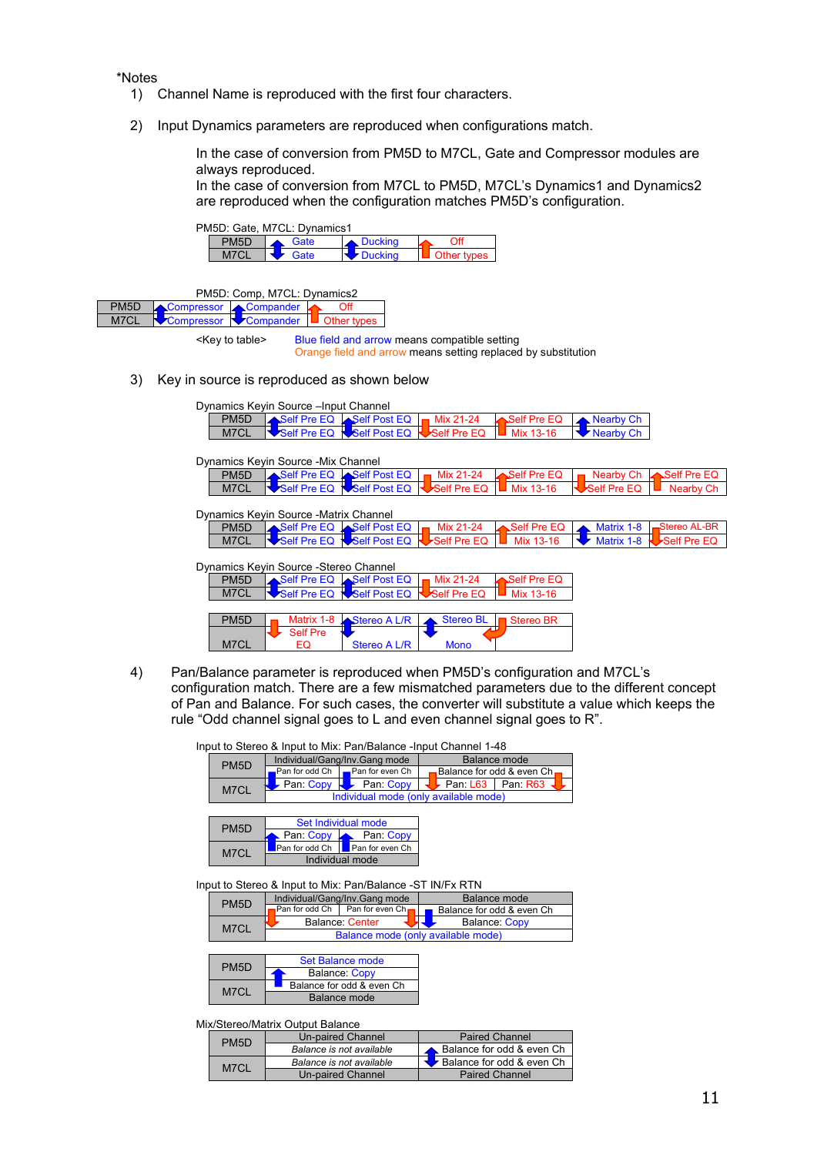\*Notes

- 1) Channel Name is reproduced with the first four characters.
- 2) Input Dynamics parameters are reproduced when configurations match.

In the case of conversion from PM5D to M7CL, Gate and Compressor modules are always reproduced.

In the case of conversion from M7CL to PM5D, M7CL's Dynamics1 and Dynamics2 are reproduced when the configuration matches PM5D's configuration.



| PM5D: Comp, M7CL: Dynamics2 |                                           |  |  |  |  |  |  |
|-----------------------------|-------------------------------------------|--|--|--|--|--|--|
| PM <sub>5</sub> D           | Compressor Compander                      |  |  |  |  |  |  |
| M7CL                        | Compressor Compander <b>U</b> Other types |  |  |  |  |  |  |
|                             |                                           |  |  |  |  |  |  |

<Key to table> Blue field and arrow means compatible setting Orange field and arrow means setting replaced by substitution

3) Key in source is reproduced as shown below

|                   | Dynamics Keyin Source – Input Channel  |                          |                                   |                  |                            |                              |
|-------------------|----------------------------------------|--------------------------|-----------------------------------|------------------|----------------------------|------------------------------|
| PM <sub>5</sub> D | Self Pre EQ Self Post EQ               |                          | Mix 21-24                         | Self Pre EQ      | $\blacktriangle$ Nearby Ch |                              |
| M7CL              | Self Pre EQ                            | Self Post EQ             | Self Pre EQ                       | Mix 13-16        | Nearby Ch                  |                              |
|                   |                                        |                          |                                   |                  |                            |                              |
|                   | Dynamics Keyin Source - Mix Channel    |                          |                                   |                  |                            |                              |
| PM <sub>5</sub> D |                                        | Self Pre EQ Self Post EQ | Mix 21-24                         | Self Pre EQ      | <b>Nearby Ch</b>           | $\blacktriangle$ Self Pre EQ |
| M7CL              | Self Pre EQ                            | Self Post EQ             | Self Pre EQ                       | Mix 13-16        | Self Pre EQ                | Nearby Ch                    |
|                   | Dynamics Keyin Source - Matrix Channel |                          |                                   |                  |                            |                              |
| PM <sub>5</sub> D | Self Pre EQ Self Post EQ               |                          | Mix 21-24                         | Self Pre EQ      | Matrix 1-8                 | Stereo AL-BR                 |
| M7CL              | Self Pre EQ                            | Self Post EQ             | $\blacktriangleright$ Self Pre EQ | Mix 13-16        | Matrix 1-8                 | Self Pre EQ                  |
|                   | Dynamics Keyin Source - Stereo Channel |                          |                                   |                  |                            |                              |
| PM <sub>5</sub> D | Self Pre EQ                            | Self Post EQ             | Mix 21-24                         | Self Pre EQ      |                            |                              |
| M7CL              | Self Pre EQ                            | Self Post EQ             | Self Pre EQ                       | Mix 13-16        |                            |                              |
|                   |                                        |                          |                                   |                  |                            |                              |
| PM <sub>5</sub> D | Matrix 1-8                             | Stereo A L/R             | <b>Stereo BL</b>                  | <b>Stereo BR</b> |                            |                              |
| M7CL              | <b>Self Pre</b><br>EQ                  | Stereo A L/R             | <b>Mono</b>                       |                  |                            |                              |

4) Pan/Balance parameter is reproduced when PM5D's configuration and M7CL's configuration match. There are a few mismatched parameters due to the different concept of Pan and Balance. For such cases, the converter will substitute a value which keeps the rule "Odd channel signal goes to L and even channel signal goes to R".

|  |  |  |  |  |  | Input to Stereo & Input to Mix: Pan/Balance -Input Channel 1-48 |  |  |  |
|--|--|--|--|--|--|-----------------------------------------------------------------|--|--|--|
|--|--|--|--|--|--|-----------------------------------------------------------------|--|--|--|

| PM <sub>5</sub> D | Individual/Gang/Inv.Gang mode                | Balance mode                                                  |  |  |
|-------------------|----------------------------------------------|---------------------------------------------------------------|--|--|
|                   | $\Box$ Pan for odd Ch $\Box$ Pan for even Ch |                                                               |  |  |
| M7CL              | Pan: Copy Pan: Copy                          | $\blacktriangleright$ Pan: L63 $\blacktriangleright$ Pan: R63 |  |  |
|                   |                                              | Individual mode (only available mode)                         |  |  |

| PM <sub>5</sub> D | Set Individual mode              |           |  |  |
|-------------------|----------------------------------|-----------|--|--|
|                   | Pan: Copy                        | Pan: Copy |  |  |
| M7CL              | Pan for odd Ch I Pan for even Ch |           |  |  |
|                   | Individual mode                  |           |  |  |

Input to Stereo & Input to Mix: Pan/Balance -ST IN/Fx RTN

| PM <sub>5</sub> D | Individual/Gang/Inv.Gang mode  | Balance mode                       |  |  |
|-------------------|--------------------------------|------------------------------------|--|--|
|                   | Pan for odd Ch Pan for even Ch | Balance for odd & even Ch          |  |  |
| M7CL              | Balance: Center                | <b>Balance: Copy</b>               |  |  |
|                   |                                | Balance mode (only available mode) |  |  |

| PM <sub>5</sub> D | Set Balance mode          |  |  |  |  |
|-------------------|---------------------------|--|--|--|--|
|                   | <b>Balance: Copy</b>      |  |  |  |  |
| M7CL              | Balance for odd & even Ch |  |  |  |  |
|                   | Balance mode              |  |  |  |  |

#### Mix/Stereo/Matrix Output Balance

| PM <sub>5</sub> D | <b>Un-paired Channel</b> | <b>Paired Channel</b>                           |  |
|-------------------|--------------------------|-------------------------------------------------|--|
|                   | Balance is not available | Balance for odd & even Ch                       |  |
| M7CL              | Balance is not available | $\blacktriangleright$ Balance for odd & even Ch |  |
|                   | Un-paired Channel        | <b>Paired Channel</b>                           |  |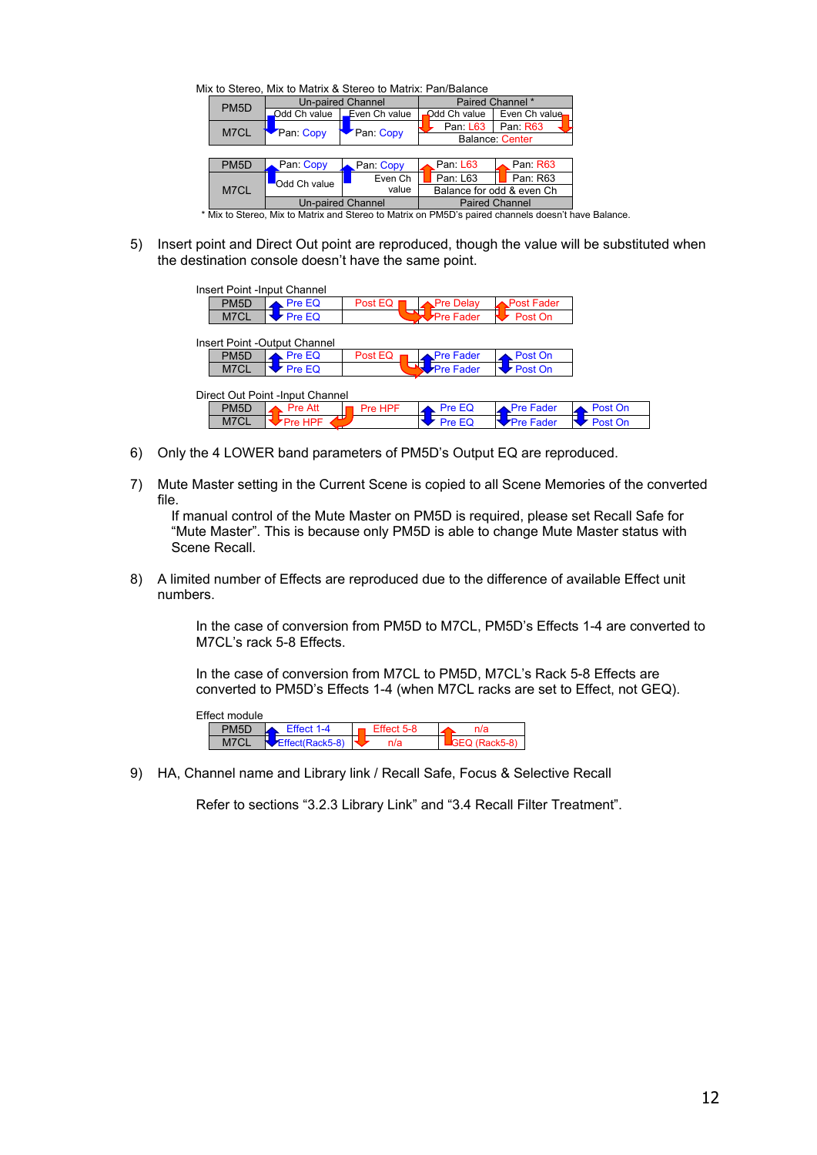Mix to Stereo, Mix to Matrix & Stereo to Matrix: Pan/Balance

|              |                           | Paired Channel *                      |                                                                                                                                                                                                                                      |  |  |
|--------------|---------------------------|---------------------------------------|--------------------------------------------------------------------------------------------------------------------------------------------------------------------------------------------------------------------------------------|--|--|
| Odd Ch value | Even Ch value             | Odd Ch value                          | Even Ch value                                                                                                                                                                                                                        |  |  |
|              |                           | Pan: L63                              | Pan: R63                                                                                                                                                                                                                             |  |  |
|              |                           | <b>Balance: Center</b>                |                                                                                                                                                                                                                                      |  |  |
|              |                           |                                       |                                                                                                                                                                                                                                      |  |  |
| Pan: Copy    | Pan: Copy                 | Pan: L63                              | Pan: R63                                                                                                                                                                                                                             |  |  |
|              | Even Ch                   | Pan: L63                              | Pan: R63                                                                                                                                                                                                                             |  |  |
|              | value                     | Balance for odd & even Ch             |                                                                                                                                                                                                                                      |  |  |
|              |                           | <b>Paired Channel</b>                 |                                                                                                                                                                                                                                      |  |  |
|              | Pan: Copy<br>Odd Ch value | Pan: Copy<br><b>Un-paired Channel</b> | $\mathbf{M}$ . $\mathbf{M}$ . The state of the state of the state of the state of the state of the state of the state of the state of the state of the state of the state of the state of the state of the state of the state of the |  |  |

\* Mix to Stereo, Mix to Matrix and Stereo to Matrix on PM5D's paired channels doesn't have Balance.

5) Insert point and Direct Out point are reproduced, though the value will be substituted when the destination console doesn't have the same point.

| Insert Point -Input Channel      |                              |                |                  |                  |         |  |  |
|----------------------------------|------------------------------|----------------|------------------|------------------|---------|--|--|
| PM <sub>5</sub> D                | Pre EQ                       | Post EQ        | <b>Pre Delay</b> | Post Fader.      |         |  |  |
| M7CL                             | Pre EQ                       | $\blacksquare$ | <b>Pre Fader</b> | Post On          |         |  |  |
|                                  | Insert Point -Output Channel |                |                  |                  |         |  |  |
| PM <sub>5</sub> D                | Pre EQ                       | Post EQ        | <b>Pre Fader</b> | Post On          |         |  |  |
| M7CL                             | Pre EQ                       | - 12           | <b>Pre Fader</b> | Post On          |         |  |  |
| Direct Out Point - Input Channel |                              |                |                  |                  |         |  |  |
| PM <sub>5</sub> D                | <b>Pre Att</b>               | Pre HPF        | Pre EQ           | <b>Pre Fader</b> | Post On |  |  |
| M7CL                             | Pre HPF                      |                | Pre EQ           | <b>Pre Fader</b> | Post On |  |  |

- 6) Only the 4 LOWER band parameters of PM5D's Output EQ are reproduced.
- 7) Mute Master setting in the Current Scene is copied to all Scene Memories of the converted file.

If manual control of the Mute Master on PM5D is required, please set Recall Safe for "Mute Master". This is because only PM5D is able to change Mute Master status with Scene Recall.

8) A limited number of Effects are reproduced due to the difference of available Effect unit numbers.

> In the case of conversion from PM5D to M7CL, PM5D's Effects 1-4 are converted to M7CL's rack 5-8 Effects.

In the case of conversion from M7CL to PM5D, M7CL's Rack 5-8 Effects are converted to PM5D's Effects 1-4 (when M7CL racks are set to Effect, not GEQ).

| Effect module |                   |  |            |  |  |  |  |  |  |  |
|---------------|-------------------|--|------------|--|--|--|--|--|--|--|
|               | Fffect 1-4        |  | Fffect 5-8 |  |  |  |  |  |  |  |
|               | $Fffect(Rack5-8)$ |  |            |  |  |  |  |  |  |  |

9) HA, Channel name and Library link / Recall Safe, Focus & Selective Recall

Refer to sections "3.2.3 Library Link" and "3.4 Recall Filter Treatment".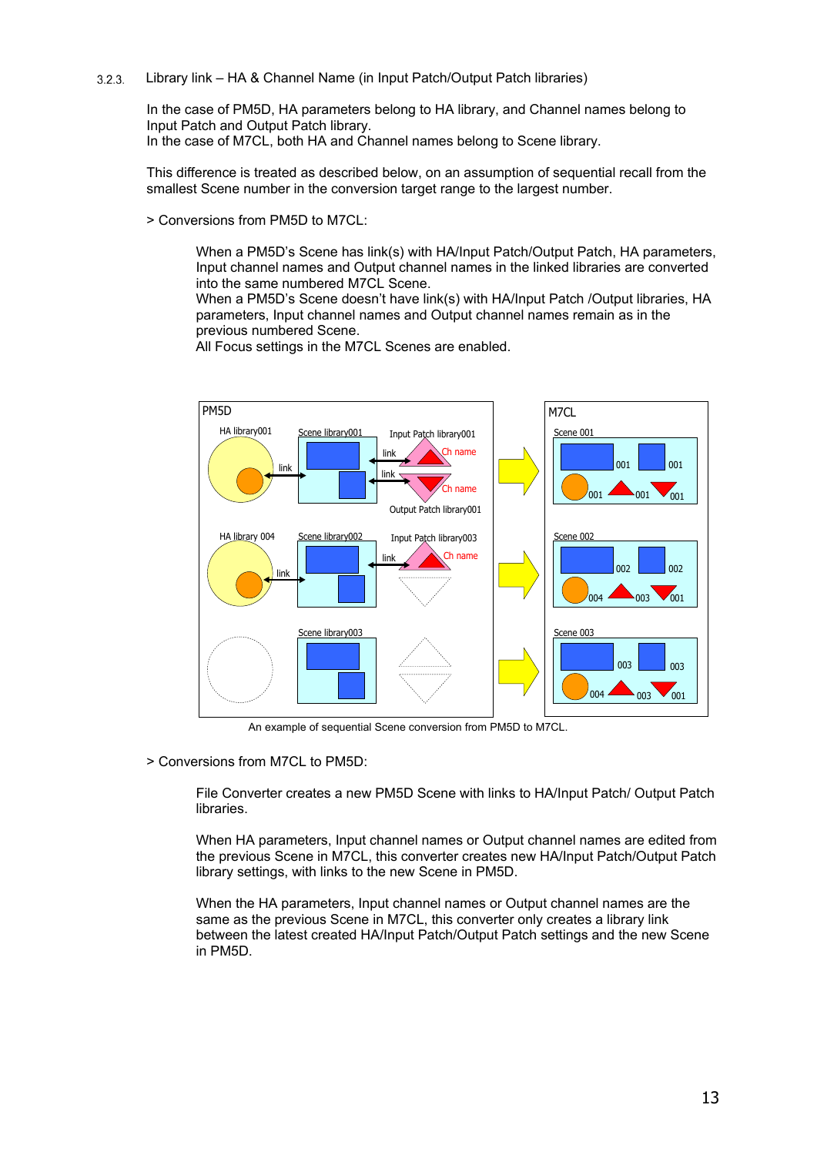<span id="page-12-0"></span> $3.2.3.$ Library link – HA & Channel Name (in Input Patch/Output Patch libraries)

> In the case of PM5D, HA parameters belong to HA library, and Channel names belong to Input Patch and Output Patch library. In the case of M7CL, both HA and Channel names belong to Scene library.

This difference is treated as described below, on an assumption of sequential recall from the smallest Scene number in the conversion target range to the largest number.

> Conversions from PM5D to M7CL:

When a PM5D's Scene has link(s) with HA/Input Patch/Output Patch, HA parameters, Input channel names and Output channel names in the linked libraries are converted into the same numbered M7CL Scene.

When a PM5D's Scene doesn't have link(s) with HA/Input Patch /Output libraries, HA parameters, Input channel names and Output channel names remain as in the previous numbered Scene.



All Focus settings in the M7CL Scenes are enabled.

An example of sequential Scene conversion from PM5D to M7CL.

> Conversions from M7CL to PM5D:

File Converter creates a new PM5D Scene with links to HA/Input Patch/ Output Patch libraries.

When HA parameters, Input channel names or Output channel names are edited from the previous Scene in M7CL, this converter creates new HA/Input Patch/Output Patch library settings, with links to the new Scene in PM5D.

When the HA parameters, Input channel names or Output channel names are the same as the previous Scene in M7CL, this converter only creates a library link between the latest created HA/Input Patch/Output Patch settings and the new Scene in PM5D.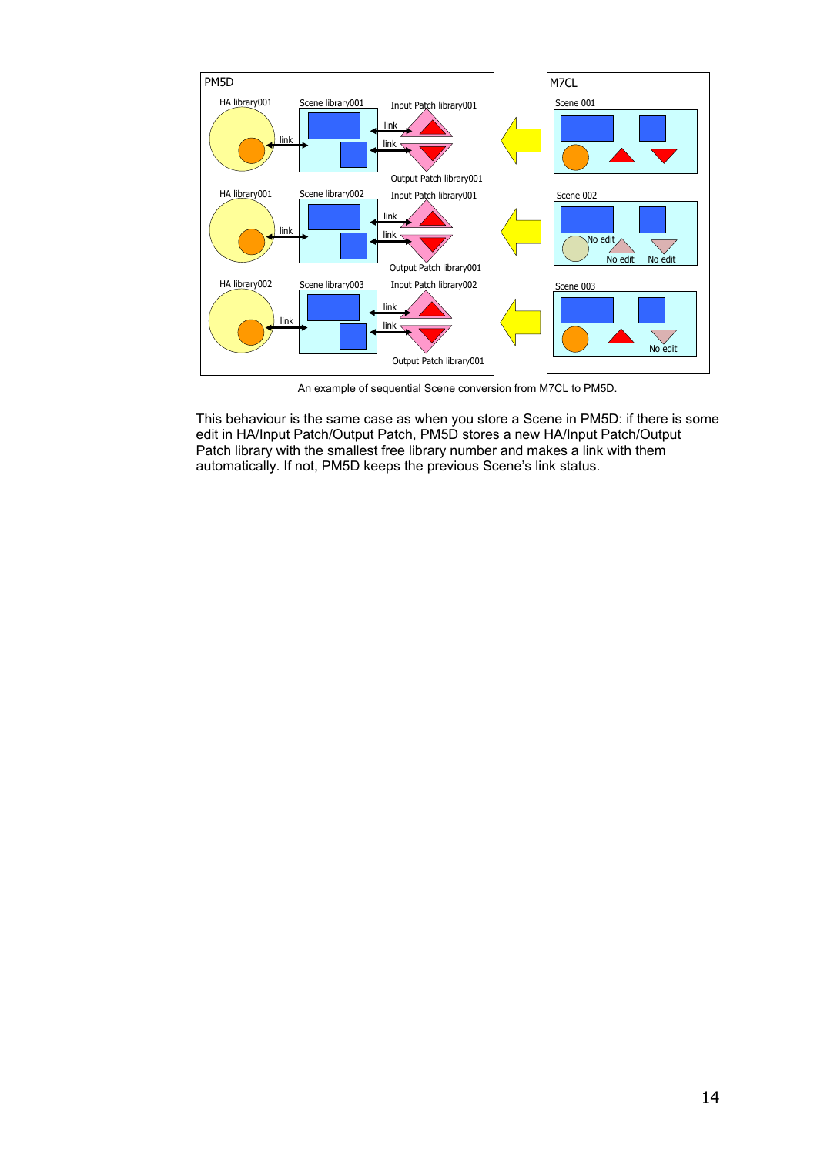

An example of sequential Scene conversion from M7CL to PM5D.

This behaviour is the same case as when you store a Scene in PM5D: if there is some edit in HA/Input Patch/Output Patch, PM5D stores a new HA/Input Patch/Output Patch library with the smallest free library number and makes a link with them automatically. If not, PM5D keeps the previous Scene's link status.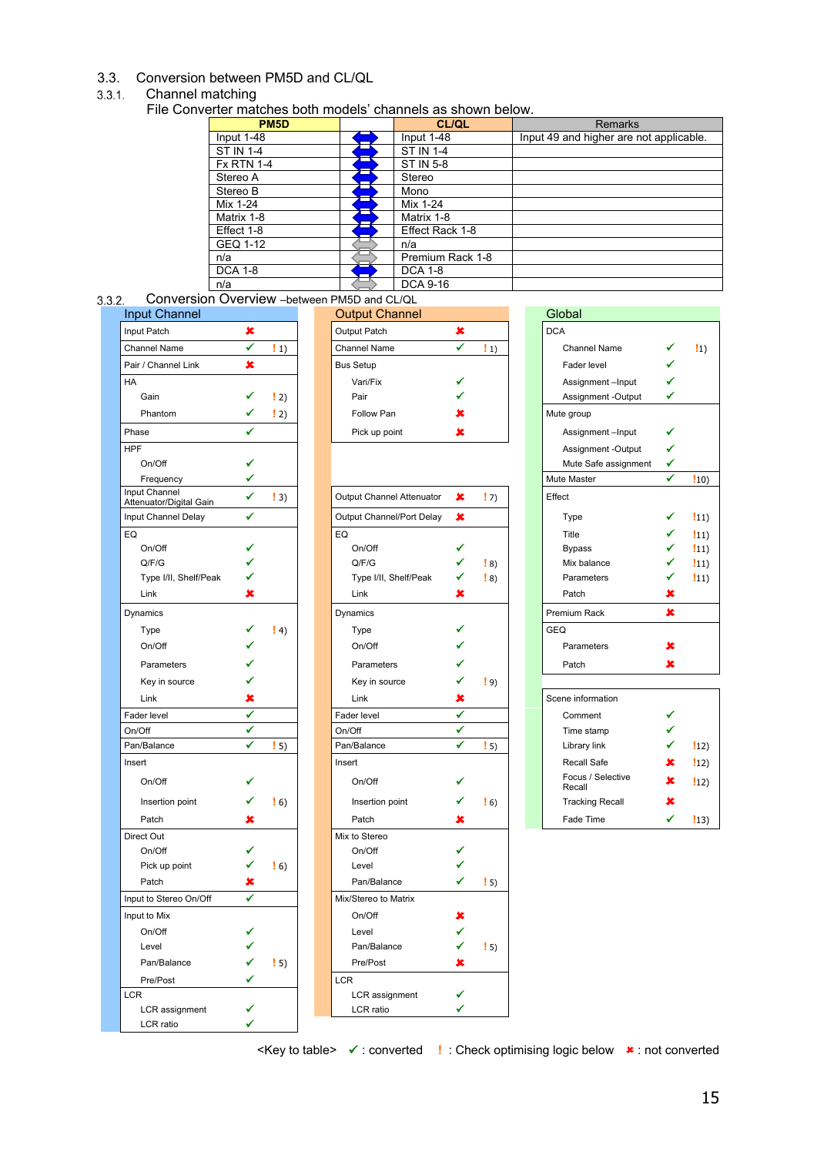#### <span id="page-14-0"></span>3.3. Conversion between PM5D and CL/QL

#### <span id="page-14-1"></span>Channel matching

File Converter matches both models' channels as shown below.

| PM <sub>5</sub> D | <b>CL/QL</b>     | <b>Remarks</b>                          |
|-------------------|------------------|-----------------------------------------|
| Input 1-48        | Input 1-48       | Input 49 and higher are not applicable. |
| <b>ST IN 1-4</b>  | <b>ST IN 1-4</b> |                                         |
| <b>Fx RTN 1-4</b> | ST IN 5-8        |                                         |
| Stereo A          | Stereo           |                                         |
| Stereo B          | Mono             |                                         |
| Mix 1-24          | Mix 1-24         |                                         |
| Matrix 1-8        | Matrix 1-8       |                                         |
| Effect 1-8        | Effect Rack 1-8  |                                         |
| GEQ 1-12          | n/a              |                                         |
| n/a               | Premium Rack 1-8 |                                         |
| <b>DCA 1-8</b>    | <b>DCA 1-8</b>   |                                         |
| n/a               | <b>DCA 9-16</b>  |                                         |

<span id="page-14-2"></span>Conversion Overview –between PM5D and CL/QL

| <b>Input Channel</b>                     |   |                   | <b>Output Channel</b>     |   |                   | Global                      |   |
|------------------------------------------|---|-------------------|---------------------------|---|-------------------|-----------------------------|---|
| Input Patch                              | × |                   | Output Patch              | × |                   | <b>DCA</b>                  |   |
| <b>Channel Name</b>                      | ✔ | $\vert 1 \rangle$ | <b>Channel Name</b>       | ✔ | $\vert 1 \rangle$ | Channel Name                |   |
| Pair / Channel Link                      | × |                   | <b>Bus Setup</b>          |   |                   | Fader level                 | ✓ |
| HA                                       |   |                   | Vari/Fix                  |   |                   | Assignment-Input            | ✓ |
| Gain                                     |   | $\vert 2 \rangle$ | Pair                      |   |                   | Assignment -Output          | ✓ |
| Phantom                                  |   | $\vert 2 \rangle$ | Follow Pan                |   |                   | Mute group                  |   |
| Phase                                    |   |                   | Pick up point             | × |                   | Assignment-Input            | ✔ |
| <b>HPF</b>                               |   |                   |                           |   |                   | Assignment -Output          | ✓ |
| On/Off                                   |   |                   |                           |   |                   | Mute Safe assignment        | ✓ |
| Frequency                                | ✔ |                   |                           |   |                   | Mute Master                 | ✔ |
| Input Channel<br>Attenuator/Digital Gain | ✔ | $\vert 3 \rangle$ | Output Channel Attenuator | × | $\binom{1}{2}$    | Effect                      |   |
| Input Channel Delay                      | ✔ |                   | Output Channel/Port Delay | × |                   | Type                        |   |
| EQ                                       |   |                   | EQ                        |   |                   | Title                       |   |
| On/Off                                   | ✔ |                   | On/Off                    | ✔ |                   | <b>Bypass</b>               |   |
| Q/F/G                                    |   |                   | Q/F/G                     | ✔ | $\vert 8 \rangle$ | Mix balance                 | ✓ |
| Type I/II, Shelf/Peak                    |   |                   | Type I/II, Shelf/Peak     | ✔ | $\frac{1}{2}$ 8)  | Parameters                  | ✓ |
| Link                                     | × |                   | Link                      | × |                   | Patch                       | × |
| Dynamics                                 |   |                   | Dynamics                  |   |                   | Premium Rack                | × |
| Type                                     |   | $\vert 4 \rangle$ | Type                      | ✔ |                   | <b>GEQ</b>                  |   |
| On/Off                                   |   |                   | On/Off                    |   |                   | Parameters                  |   |
| Parameters                               |   |                   | Parameters                | ✔ |                   | Patch                       | x |
| Key in source                            |   |                   | Key in source             | ✔ | $\left(9\right)$  |                             |   |
| Link                                     | x |                   | Link                      | × |                   | Scene information           |   |
| Fader level                              | ✔ |                   | Fader level               | ✔ |                   | Comment                     |   |
| On/Off                                   | ✔ |                   | On/Off                    | ✔ |                   | Time stamp                  |   |
| Pan/Balance                              | ✔ | $\vert 5 \rangle$ | Pan/Balance               | ✔ | $\vert 5 \rangle$ | Library link                |   |
| Insert                                   |   |                   | Insert                    |   |                   | Recall Safe                 |   |
| On/Off                                   |   |                   | On/Off                    | ✔ |                   | Focus / Selective<br>Recall |   |
| Insertion point                          | ✔ | $\frac{1}{2}$ 6)  | Insertion point           | ✔ | $\frac{1}{2}$ 6)  | <b>Tracking Recall</b>      | x |
| Patch                                    | × |                   | Patch                     | × |                   | Fade Time                   | ✔ |
| Direct Out                               |   |                   | Mix to Stereo             |   |                   |                             |   |
| On/Off                                   | ✔ |                   | On/Off                    | ✔ |                   |                             |   |
| Pick up point                            | ✔ | $\frac{1}{2}$ 6)  | Level                     | ✓ |                   |                             |   |
| Patch                                    | × |                   | Pan/Balance               | ✔ | $\frac{1}{2}$ 5)  |                             |   |
| Input to Stereo On/Off                   | ✔ |                   | Mix/Stereo to Matrix      |   |                   |                             |   |
| Input to Mix                             |   |                   | On/Off                    | × |                   |                             |   |
| On/Off                                   | ✔ |                   | Level                     | ✔ |                   |                             |   |
| Level                                    |   |                   | Pan/Balance               | ✓ | $\frac{1}{2}$ 5)  |                             |   |
| Pan/Balance                              | ✔ | $\left( 5\right)$ | Pre/Post                  | × |                   |                             |   |
| Pre/Post                                 | ✔ |                   | <b>LCR</b>                |   |                   |                             |   |
| <b>LCR</b>                               |   |                   | LCR assignment            | ✔ |                   |                             |   |
| LCR assignment                           | ✔ |                   | LCR ratio                 | ✔ |                   |                             |   |
| LCR ratio                                | ✓ |                   |                           |   |                   |                             |   |

| <b>Input Channel</b> |                   | <b>Output Channel</b> |                   | Global                                                                |    |
|----------------------|-------------------|-----------------------|-------------------|-----------------------------------------------------------------------|----|
| Input Patch          |                   | Output Patch          |                   | <b>DCA</b>                                                            |    |
| <b>Channel Name</b>  | $\vert 1 \rangle$ | <b>Channel Name</b>   | $\vert 1 \rangle$ | Channel Name                                                          | !n |
| Pair / Channel Link  |                   | <b>Bus Setup</b>      |                   | Fader level                                                           |    |
| HA                   |                   | Vari/Fix              |                   | Assignment-Input                                                      |    |
| Gain                 | 2)                | Pair                  |                   | Assignment -Output                                                    |    |
| Phantom              | 2)                | Follow Pan            |                   | Mute group                                                            |    |
| Phase                |                   | Pick up point         |                   | Assignment-Input                                                      |    |
| $ - -$               |                   |                       |                   | $\bullet$ $\bullet$ $\bullet$ $\bullet$ $\bullet$ $\bullet$ $\bullet$ |    |

| <b>Input Channel</b><br>Attenuator/Digital Gain | ✔            | $\vert 3)$        | Output Channel Attenuator | $\pmb{\times}$ | $\vert$ 7)        | Effect                      |   |              |
|-------------------------------------------------|--------------|-------------------|---------------------------|----------------|-------------------|-----------------------------|---|--------------|
| Input Channel Delay                             | ✔            |                   | Output Channel/Port Delay | ×              |                   | Type                        | ✔ | $\ket{11}$   |
| EQ                                              |              |                   | EQ                        |                |                   | Title                       | ✓ | $ 11\rangle$ |
| On/Off                                          | ✔            |                   | On/Off                    | ✔              |                   | <b>Bypass</b>               | ✓ | $ 11\rangle$ |
| Q/F/G                                           |              |                   | Q/F/G                     | ✔              | $\vert 8 \rangle$ | Mix balance                 | ✔ | $ 11\rangle$ |
| Type I/II, Shelf/Peak                           |              |                   | Type I/II, Shelf/Peak     | ✔              | $\vert 8 \rangle$ | Parameters                  | ✓ | $ 11\rangle$ |
| Link                                            | x            |                   | Link                      | x              |                   | Patch                       | × |              |
| Dynamics                                        |              |                   | Dynamics                  |                |                   | Premium Rack                | × |              |
| Type                                            |              | $\vert 4)$        | Type                      |                |                   | <b>GEQ</b>                  |   |              |
| On/Off                                          |              |                   | On/Off                    |                |                   | Parameters                  | x |              |
| Parameters                                      |              |                   | Parameters                |                |                   | Patch                       | × |              |
| Key in source                                   |              |                   | Key in source             |                | $\left(9\right)$  |                             |   |              |
| Link                                            | ×            |                   | Link                      | x              |                   | Scene information           |   |              |
| Fader level                                     | ✓            |                   | Fader level               | ✔              |                   | Comment                     |   |              |
| On/Off                                          | ✔            |                   | On/Off                    | $\checkmark$   |                   | Time stamp                  | ✔ |              |
| Pan/Balance                                     | $\checkmark$ | $\vert 5 \rangle$ | Pan/Balance               | $\checkmark$   | $\vert 5 \rangle$ | Library link                | ✔ | $ 12\rangle$ |
| Insert                                          |              |                   | Insert                    |                |                   | Recall Safe                 | × | $ 12\rangle$ |
| On/Off                                          | ✔            |                   | On/Off                    |                |                   | Focus / Selective<br>Recall | × | $ 12\rangle$ |
| Insertion point                                 |              | $\vert 6 \rangle$ | Insertion point           | ✔              | $\frac{1}{2}$ 6)  | <b>Tracking Recall</b>      | × |              |
| Patch                                           | ×            |                   | Patch                     | x              |                   | Fade Time                   | ✓ | $ 13\rangle$ |
| Direct Out                                      |              |                   | Mix to Stereo             |                |                   |                             |   |              |
| On/Off                                          | ✔            |                   | On/Off                    | ✔              |                   |                             |   |              |
| Pick up point                                   | ✔            | $\frac{1}{2}$ 6)  | Level                     |                |                   |                             |   |              |
| Patch                                           | x            |                   | Pan/Balance               | ✔              | $\frac{1}{2}$ 5)  |                             |   |              |
| Input to Stereo On/Off                          | ✔            |                   | Mix/Stereo to Matrix      |                |                   |                             |   |              |
| Input to Mix                                    |              |                   | On/Off                    | x              |                   |                             |   |              |
| On/Off                                          |              |                   | Level                     | ✓              |                   |                             |   |              |
| Level                                           |              |                   | Pan/Balance               | ✔              | $\frac{1}{2}$ 5)  |                             |   |              |
| Pan/Balance                                     | ✔            | $\vert 5 \rangle$ | Pre/Post                  | x              |                   |                             |   |              |
| Pre/Post                                        |              |                   | LCR                       |                |                   |                             |   |              |
| LCR                                             |              |                   | LCR assignment            | ✔              |                   |                             |   |              |
| LCR assignment                                  |              |                   | LCR ratio                 | ✔              |                   |                             |   |              |
| I CR ratio                                      |              |                   |                           |                |                   |                             |   |              |

| ,,,,,,,,,,,,,,,,,,,,,,           |                |                     | , politicali i inop diiu oli si |                |                     |                      |                |              |
|----------------------------------|----------------|---------------------|---------------------------------|----------------|---------------------|----------------------|----------------|--------------|
| ut Channel                       |                |                     | <b>Output Channel</b>           |                |                     | Global               |                |              |
| t Patch                          | ×              |                     | Output Patch                    | ×              |                     | <b>DCA</b>           |                |              |
| nnel Name                        | ✔              | $\left  \right $ 1) | <b>Channel Name</b>             | ✔              | $\left  \right $ 1) | <b>Channel Name</b>  |                | $\ket{1}$    |
| / Channel Link                   | $\pmb{\times}$ |                     | <b>Bus Setup</b>                |                |                     | Fader level          |                |              |
|                                  |                |                     | Vari/Fix                        |                |                     | Assignment-Input     |                |              |
| Gain                             |                | $\vert 2 \rangle$   | Pair                            |                |                     | Assignment -Output   | ✔              |              |
| Phantom                          | ✔              | $\vert 2)$          | Follow Pan                      | x              |                     | Mute group           |                |              |
| se                               | ✔              |                     | Pick up point                   | ×              |                     | Assignment-Input     |                |              |
|                                  |                |                     |                                 |                |                     | Assignment -Output   | ✔              |              |
| On/Off                           |                |                     |                                 |                |                     | Mute Safe assignment | ✔              |              |
| Frequency                        | ✓              |                     |                                 |                |                     | Mute Master          | $\checkmark$   | $\ket{10}$   |
| t Channel<br>nuator/Digital Gain | ✔              | $\vert 3 \rangle$   | Output Channel Attenuator       | ×              | $\vert$ 7)          | Effect               |                |              |
| t Channel Delay                  | ✔              |                     | Output Channel/Port Delay       | $\pmb{\times}$ |                     | Type                 | ✔              | $ 11\rangle$ |
|                                  |                |                     | EQ                              |                |                     | Title                |                | $\ket{11}$   |
| On/Off                           |                |                     | On/Off                          |                |                     | <b>Bypass</b>        |                | $\ket{11}$   |
| Q/F/G                            |                |                     | Q/F/G                           |                | $\vert 8 \rangle$   | Mix balance          |                | $\ket{11}$   |
| Type I/II, Shelf/Peak            |                |                     | Type I/II, Shelf/Peak           |                | $\vert 8 \rangle$   | Parameters           |                | $\ket{11}$   |
| Link                             | x              |                     | Link                            | x              |                     | Patch                | ×              |              |
| amics                            |                |                     | Dynamics                        |                |                     | Premium Rack         | $\pmb{\times}$ |              |
| Type                             |                | $\vert 4 \rangle$   | Type                            |                |                     | <b>GEQ</b>           |                |              |
| On/Off                           |                |                     | On/Off                          |                |                     | Parameters           | ×              |              |
| Parameters                       |                |                     | Parameters                      |                |                     | Patch                | ×              |              |
| Key in source                    |                |                     | Key in source                   |                | $\vert 9 \rangle$   |                      |                |              |

| Scene information           |   |               |
|-----------------------------|---|---------------|
| Comment                     |   |               |
| Time stamp                  |   |               |
| Library link                |   | $\ket{12}$    |
| Recall Safe                 | × | $\frac{1}{2}$ |
| Focus / Selective<br>Recall | × | $\frac{1}{2}$ |
| <b>Tracking Recall</b>      | x |               |
| Fade Time                   |   |               |

≺Key to table>  $\checkmark$  : converted **!** : Check optimising logic below  $\star$  : not converted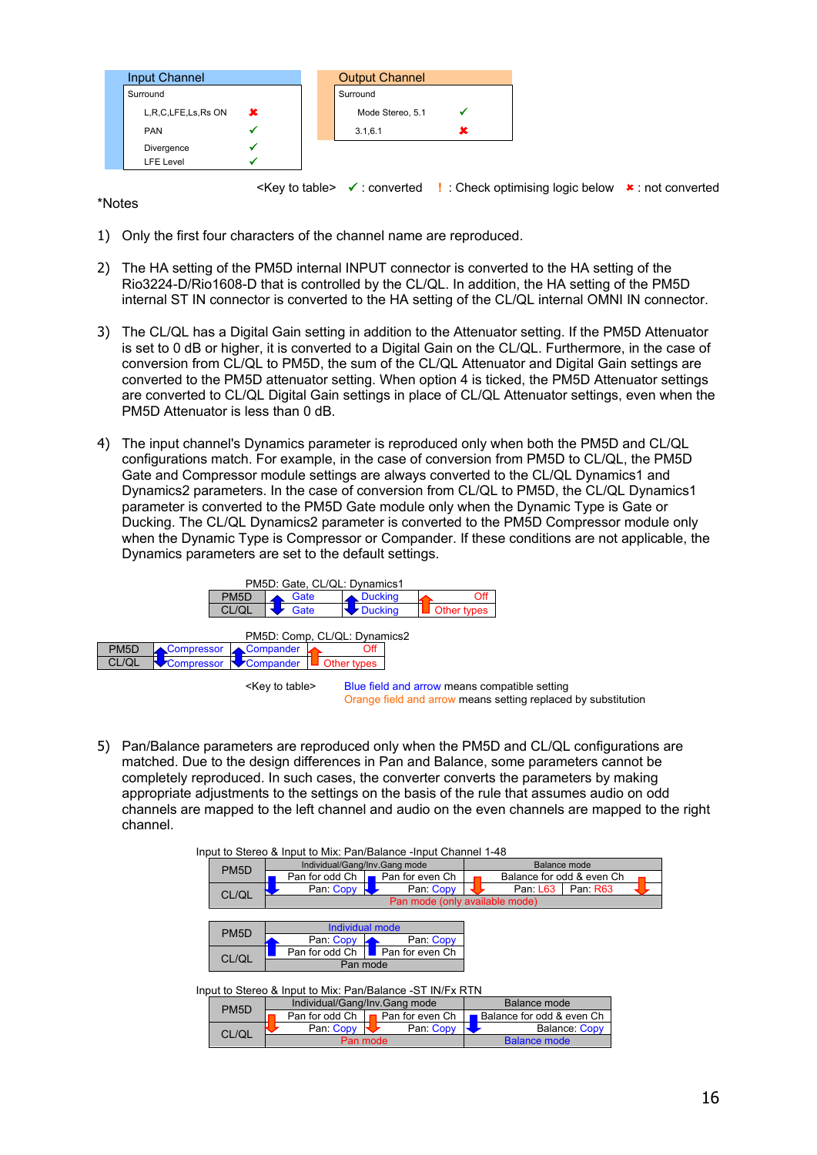| <b>Input Channel</b> |                         | <b>Output Channel</b> |   |
|----------------------|-------------------------|-----------------------|---|
| Surround             |                         | Surround              |   |
|                      | L,R,C,LFE,Ls,Rs ON<br>x | Mode Stereo, 5.1      |   |
| <b>PAN</b>           |                         | 3.1,6.1               | x |
| Divergence           |                         |                       |   |
| <b>LFE</b> Level     |                         |                       |   |

≺Key to table>  $\checkmark$  : converted **!** : Check optimising logic below  $\checkmark$  : not converted

\*Notes

- 1) Only the first four characters of the channel name are reproduced.
- 2) The HA setting of the PM5D internal INPUT connector is converted to the HA setting of the Rio3224-D/Rio1608-D that is controlled by the CL/QL. In addition, the HA setting of the PM5D internal ST IN connector is converted to the HA setting of the CL/QL internal OMNI IN connector.
- 3) The CL/QL has a Digital Gain setting in addition to the Attenuator setting. If the PM5D Attenuator is set to 0 dB or higher, it is converted to a Digital Gain on the CL/QL. Furthermore, in the case of conversion from CL/QL to PM5D, the sum of the CL/QL Attenuator and Digital Gain settings are converted to the PM5D attenuator setting. When option 4 is ticked, the PM5D Attenuator settings are converted to CL/QL Digital Gain settings in place of CL/QL Attenuator settings, even when the PM5D Attenuator is less than 0 dB.
- 4) The input channel's Dynamics parameter is reproduced only when both the PM5D and CL/QL configurations match. For example, in the case of conversion from PM5D to CL/QL, the PM5D Gate and Compressor module settings are always converted to the CL/QL Dynamics1 and Dynamics2 parameters. In the case of conversion from CL/QL to PM5D, the CL/QL Dynamics1 parameter is converted to the PM5D Gate module only when the Dynamic Type is Gate or Ducking. The CL/QL Dynamics2 parameter is converted to the PM5D Compressor module only when the Dynamic Type is Compressor or Compander. If these conditions are not applicable, the Dynamics parameters are set to the default settings.





5) Pan/Balance parameters are reproduced only when the PM5D and CL/QL configurations are matched. Due to the design differences in Pan and Balance, some parameters cannot be completely reproduced. In such cases, the converter converts the parameters by making appropriate adjustments to the settings on the basis of the rule that assumes audio on odd channels are mapped to the left channel and audio on the even channels are mapped to the right channel.

| Input to Stereo & Input to Mix: Pan/Balance -Input Channel 1-48 |                                                           |                                |  |  |  |  |  |
|-----------------------------------------------------------------|-----------------------------------------------------------|--------------------------------|--|--|--|--|--|
| PM <sub>5</sub> D                                               | Individual/Gang/Inv.Gang mode                             | <b>Balance mode</b>            |  |  |  |  |  |
|                                                                 | Pan for odd Ch<br>Pan for even Ch                         | Balance for odd & even Ch      |  |  |  |  |  |
| CL/QL                                                           | Pan: Copy N<br>Pan: Copy                                  | Pan: L63<br>Pan: R63           |  |  |  |  |  |
|                                                                 |                                                           | Pan mode (only available mode) |  |  |  |  |  |
|                                                                 |                                                           |                                |  |  |  |  |  |
| PM <sub>5</sub> D                                               | Individual mode                                           |                                |  |  |  |  |  |
|                                                                 | Pan: Copy<br>Pan: Copy                                    |                                |  |  |  |  |  |
| CL/QL                                                           | Pan for even Ch<br>Pan for odd Ch I                       |                                |  |  |  |  |  |
|                                                                 | Pan mode                                                  |                                |  |  |  |  |  |
|                                                                 |                                                           |                                |  |  |  |  |  |
|                                                                 | Input to Stereo & Input to Mix: Pan/Balance -ST IN/Fx RTN |                                |  |  |  |  |  |
| PM <sub>5</sub> D                                               | Individual/Gang/Inv.Gang mode                             | Balance mode                   |  |  |  |  |  |
|                                                                 | Pan for odd Ch  <br><b>■ Pan for even Ch</b>              | Balance for odd & even Ch      |  |  |  |  |  |
| CL/QL                                                           | Pan: Copy<br>Pan: Copy                                    | <b>Balance: Copy</b>           |  |  |  |  |  |
|                                                                 | Pan mode                                                  | <b>Balance mode</b>            |  |  |  |  |  |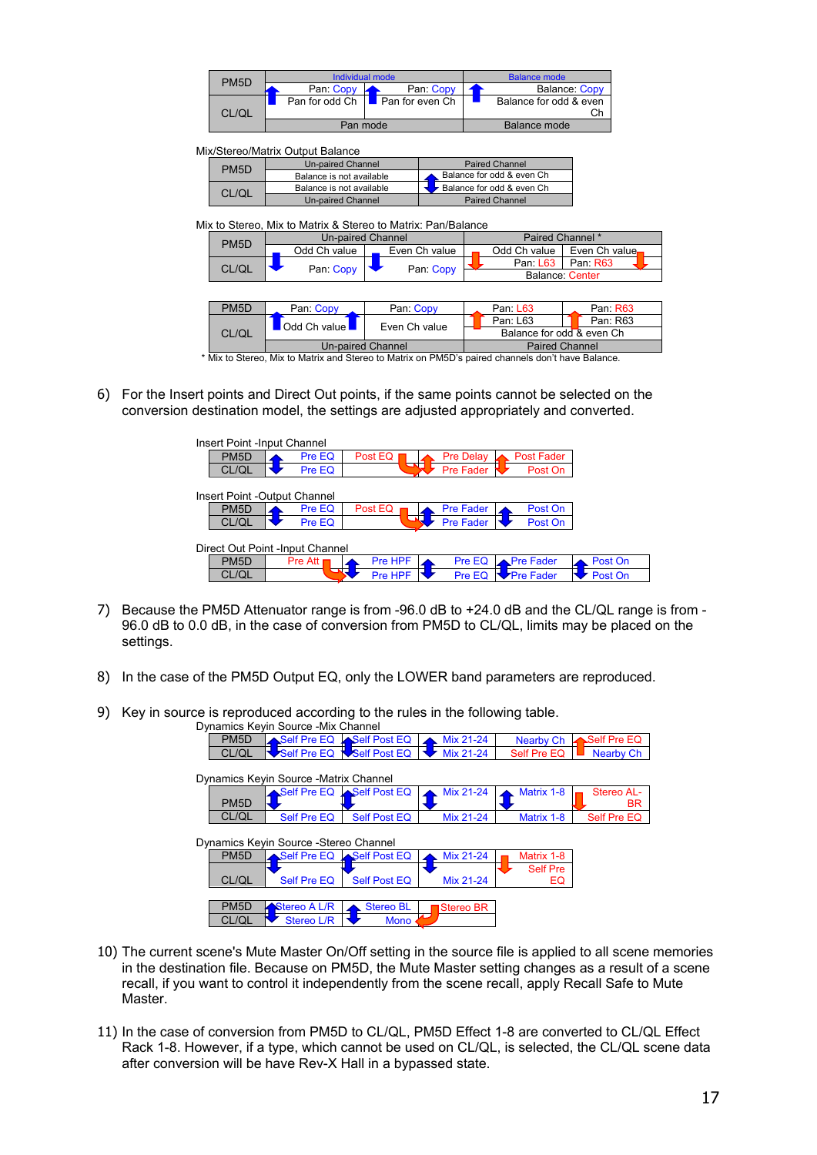| PM <sub>5</sub> D |                  | Individual mode                | Balance mode |                              |  |
|-------------------|------------------|--------------------------------|--------------|------------------------------|--|
|                   | Pan: Copy        | Pan: Copy                      |              | <b>Balance: Copy</b>         |  |
| CL/QL             | Pan for odd Ch I | $\blacksquare$ Pan for even Ch |              | Balance for odd & even<br>Сh |  |
|                   |                  | Pan mode                       |              | Balance mode                 |  |

Mix/Stereo/Matrix Output Balance

| PM <sub>5</sub> D | Un-paired Channel        | <b>Paired Channel</b>     |
|-------------------|--------------------------|---------------------------|
|                   | Balance is not available | Balance for odd & even Ch |
| CL/QL             | Balance is not available | Balance for odd & even Ch |
|                   | <b>Un-paired Channel</b> | <b>Paired Channel</b>     |

Mix to Stereo, Mix to Matrix & Stereo to Matrix: Pan/Balance

| PM <sub>5</sub> D | <b>Un-paired Channel</b> |                   | Paired Channel *      |                           |  |  |  |  |
|-------------------|--------------------------|-------------------|-----------------------|---------------------------|--|--|--|--|
|                   | Odd Ch value             | Even Ch value     | Odd Ch value          | Even Ch value.            |  |  |  |  |
| CL/QL             | Pan: Copy                | Pan: Copy         | Pan: L63              | Pan: R63                  |  |  |  |  |
|                   |                          |                   |                       | <b>Balance: Center</b>    |  |  |  |  |
|                   |                          |                   |                       |                           |  |  |  |  |
| PM <sub>5</sub> D | Pan: Copy                | Pan: Copy         | Pan: L63              | Pan: R63                  |  |  |  |  |
|                   | Odd Ch value             | Even Ch value     | Pan: L63              | Pan: R63                  |  |  |  |  |
| CL/QL             |                          |                   |                       | Balance for odd & even Ch |  |  |  |  |
|                   |                          | Un-paired Channel | <b>Paired Channel</b> |                           |  |  |  |  |

\* Mix to Stereo, Mix to Matrix and Stereo to Matrix on PM5D's paired channels don't have Balance.

6) For the Insert points and Direct Out points, if the same points cannot be selected on the conversion destination model, the settings are adjusted appropriately and converted.



- 7) Because the PM5D Attenuator range is from -96.0 dB to +24.0 dB and the CL/QL range is from 96.0 dB to 0.0 dB, in the case of conversion from PM5D to CL/QL, limits may be placed on the settings.
- 8) In the case of the PM5D Output EQ, only the LOWER band parameters are reproduced.
- 9) Key in source is reproduced according to the rules in the following table.

| Dynamics Keyin Source - Mix Channel |                                        |                           |                  |                  |             |  |  |  |
|-------------------------------------|----------------------------------------|---------------------------|------------------|------------------|-------------|--|--|--|
| PM <sub>5</sub> D                   | Self Pre EQ Self Post EQ               |                           | Mix 21-24        | <b>Nearby Ch</b> | Self Pre EQ |  |  |  |
| CL/QL                               |                                        | Self Pre EQ NSelf Post EQ | Mix 21-24        | Self Pre EQ      | Nearby Ch   |  |  |  |
|                                     |                                        |                           |                  |                  |             |  |  |  |
|                                     | Dynamics Keyin Source -Matrix Channel  |                           |                  |                  |             |  |  |  |
|                                     | Self Pre EQ Self Post EQ               |                           | Mix 21-24        | Matrix 1-8       | Stereo AL-  |  |  |  |
| PM <sub>5</sub> D                   |                                        |                           |                  |                  | <b>BR</b>   |  |  |  |
| CL/QL                               | <b>Self Pre EQ</b>                     | <b>Self Post EQ</b>       | Mix 21-24        | Matrix 1-8       | Self Pre EQ |  |  |  |
|                                     |                                        |                           |                  |                  |             |  |  |  |
|                                     | Dynamics Keyin Source - Stereo Channel |                           |                  |                  |             |  |  |  |
| PM <sub>5</sub> D                   | Self Pre EQ Self Post EQ               |                           | Mix 21-24        | Matrix 1-8       |             |  |  |  |
|                                     |                                        |                           |                  | <b>Self Pre</b>  |             |  |  |  |
| CL/QL                               | <b>Self Pre EQ</b>                     | <b>Self Post EQ</b>       | Mix 21-24        | EQ               |             |  |  |  |
|                                     |                                        |                           |                  |                  |             |  |  |  |
| PM <sub>5</sub> D                   | Stereo A L/R                           | <b>Stereo BL</b>          | <b>Stereo BR</b> |                  |             |  |  |  |
| <b>CL/QL</b>                        | Stereo L/R                             | <b>Mono</b>               |                  |                  |             |  |  |  |
|                                     |                                        |                           |                  |                  |             |  |  |  |

- 10) The current scene's Mute Master On/Off setting in the source file is applied to all scene memories in the destination file. Because on PM5D, the Mute Master setting changes as a result of a scene recall, if you want to control it independently from the scene recall, apply Recall Safe to Mute Master.
- 11) In the case of conversion from PM5D to CL/QL, PM5D Effect 1-8 are converted to CL/QL Effect Rack 1-8. However, if a type, which cannot be used on CL/QL, is selected, the CL/QL scene data after conversion will be have Rev-X Hall in a bypassed state.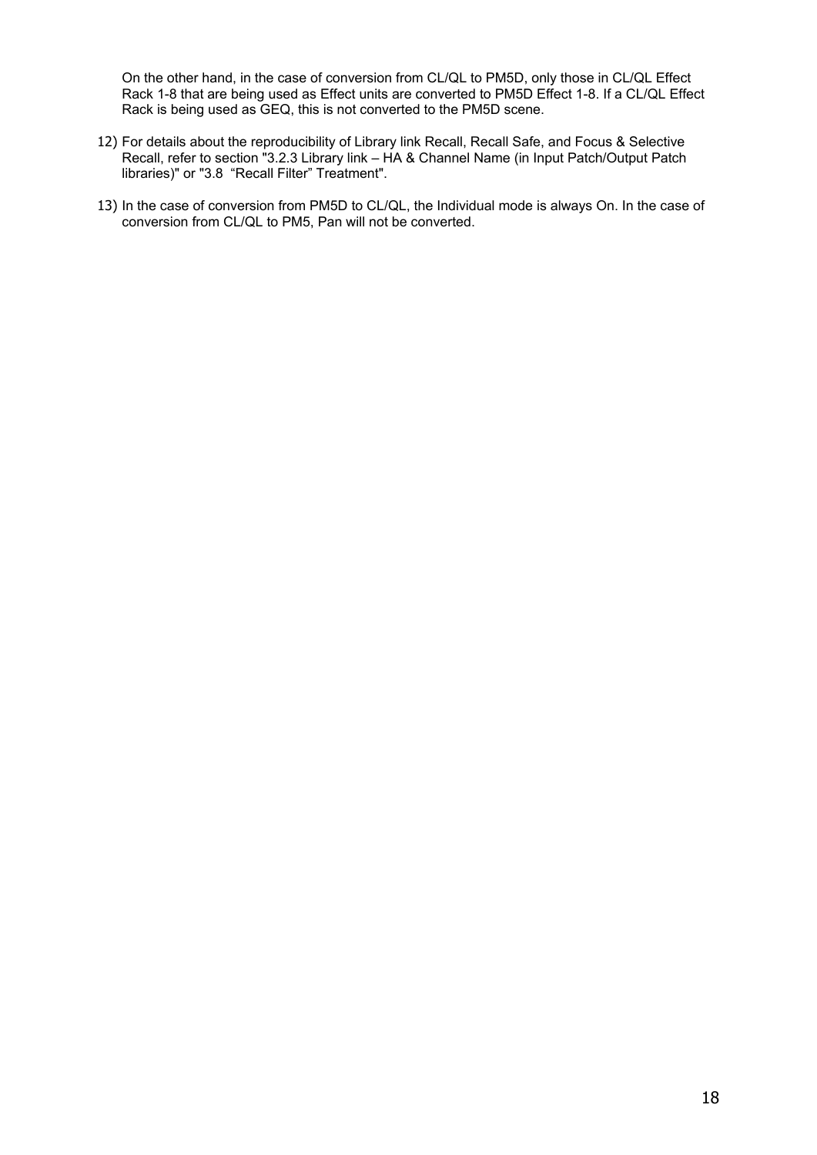On the other hand, in the case of conversion from CL/QL to PM5D, only those in CL/QL Effect Rack 1-8 that are being used as Effect units are converted to PM5D Effect 1-8. If a CL/QL Effect Rack is being used as GEQ, this is not converted to the PM5D scene.

- 12) For details about the reproducibility of Library link Recall, Recall Safe, and Focus & Selective Recall, refer to section ["3.2.3](#page-12-0) Library link – [HA & Channel Name \(in Input Patch/Output Patch](#page-12-0)  [libraries\)"](#page-12-0) or ["3.8](#page-30-1) ["Recall Filter" Treatment"](#page-30-1).
- 13) In the case of conversion from PM5D to CL/QL, the Individual mode is always On. In the case of conversion from CL/QL to PM5, Pan will not be converted.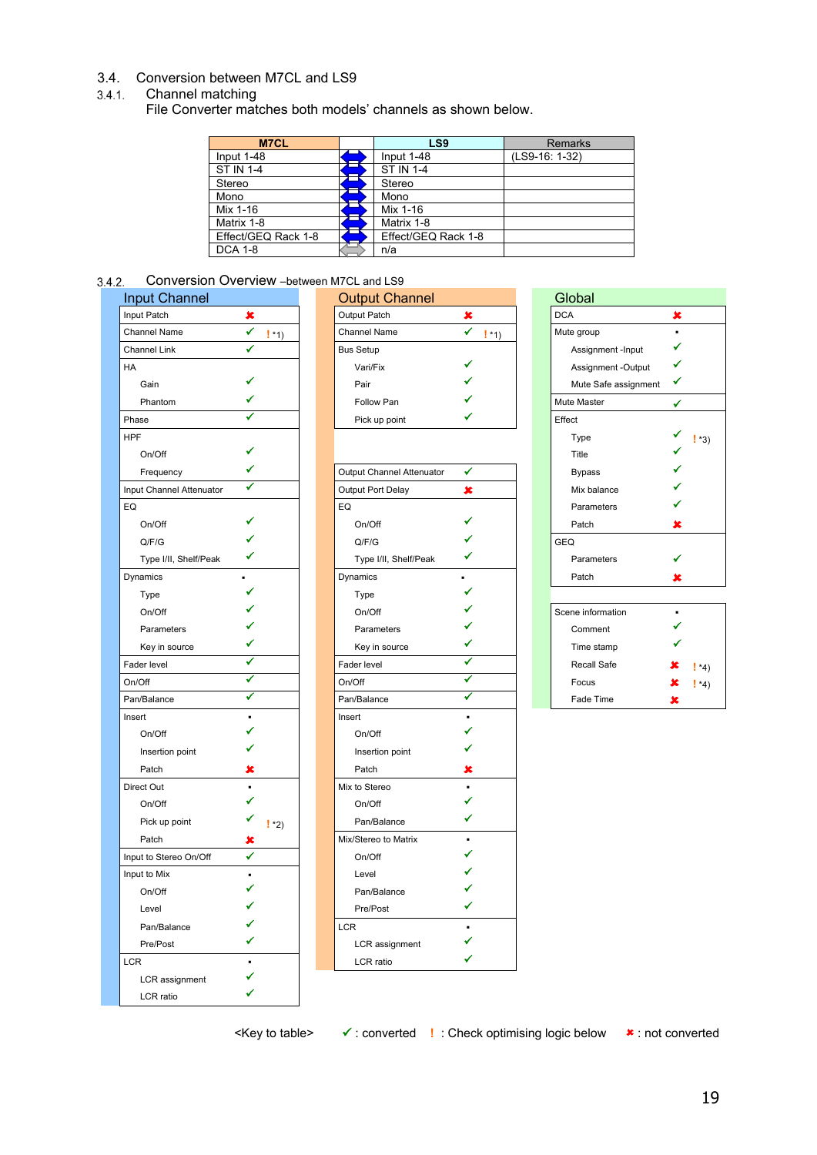# <span id="page-18-0"></span>3.4. Conversion between M7CL and LS9

#### <span id="page-18-2"></span><span id="page-18-1"></span>Channel matching

File Converter matches both models' channels as shown below.

| <b>M7CL</b>         | LS9                 | <b>Remarks</b> |
|---------------------|---------------------|----------------|
| Input 1-48          | Input 1-48          | (LS9-16: 1-32) |
| <b>ST IN 1-4</b>    | <b>ST IN 1-4</b>    |                |
| Stereo              | Stereo              |                |
| Mono                | Mono                |                |
| Mix 1-16            | Mix 1-16            |                |
| Matrix 1-8          | Matrix 1-8          |                |
| Effect/GEQ Rack 1-8 | Effect/GEQ Rack 1-8 |                |
| <b>DCA 1-8</b>      | n/a                 |                |

## <span id="page-18-3"></span>Conversion Overview –between M7CL and LS9

| <b>DCA</b><br>Input Patch<br>Output Patch<br>×<br>×<br>×<br>✔<br>✔<br>Mute group<br>Channel Name<br>Channel Name<br>$!$ *1)<br>$!$ *1)<br>✓<br><b>Channel Link</b><br><b>Bus Setup</b><br>Assignment -Input<br>Assignment -Output<br>HA<br>Vari/Fix<br>✔<br>Mute Safe assignment<br>Gain<br>Pair<br>Phantom<br>Follow Pan<br>Mute Master<br>✓<br>Phase<br>Pick up point<br>Effect<br><b>HPF</b><br>Type<br>! *3)<br>On/Off<br>Title<br>✔<br>Output Channel Attenuator<br><b>Bypass</b><br>Frequency<br>✓<br>Input Channel Attenuator<br>×<br>Output Port Delay<br>Mix balance<br>EQ<br>EQ<br>Parameters<br>On/Off<br>On/Off<br>Patch<br>x<br>Q/F/G<br>Q/F/G<br><b>GEQ</b><br>✔<br>Type I/II, Shelf/Peak<br>Type I/II, Shelf/Peak<br>Parameters<br>Dynamics<br>Dynamics<br>Patch<br>x<br>Type<br><b>Type</b><br>On/Off<br>On/Off<br>Scene information<br>Parameters<br>Comment<br>Parameters<br>✔<br>✓<br>Key in source<br>Time stamp<br>Key in source<br>✔<br>✔<br>Fader level<br>Recall Safe<br>Fader level<br>$*_{4}$<br>✓<br>✔<br>On/Off<br>On/Off<br>Focus<br>$\frac{1}{4}$<br>✓<br>✓<br>Pan/Balance<br>Pan/Balance<br>Fade Time<br>×<br>Insert<br>Insert<br>On/Off<br>On/Off<br>Insertion point<br>Insertion point<br>Patch<br>×<br>Patch<br>×<br>Mix to Stereo<br>Direct Out<br>$\blacksquare$<br>✔<br>On/Off<br>On/Off<br>✓<br>Pick up point<br>Pan/Balance<br>$!*2)$<br>Mix/Stereo to Matrix<br>Patch<br>x<br>✔<br>Input to Stereo On/Off<br>On/Off<br>Input to Mix<br>Level<br>On/Off<br>Pan/Balance<br>Level<br>Pre/Post<br>✔<br><b>LCR</b><br>Pan/Balance<br>٠<br>✔<br>Pre/Post<br>LCR assignment<br>✔<br>LCR<br>LCR ratio<br>٠<br>✓<br>LCR assignment<br>✔<br>LCR ratio | <b>Input Channel</b> |  | <b>Output Channel</b> |  | Global |  |
|-------------------------------------------------------------------------------------------------------------------------------------------------------------------------------------------------------------------------------------------------------------------------------------------------------------------------------------------------------------------------------------------------------------------------------------------------------------------------------------------------------------------------------------------------------------------------------------------------------------------------------------------------------------------------------------------------------------------------------------------------------------------------------------------------------------------------------------------------------------------------------------------------------------------------------------------------------------------------------------------------------------------------------------------------------------------------------------------------------------------------------------------------------------------------------------------------------------------------------------------------------------------------------------------------------------------------------------------------------------------------------------------------------------------------------------------------------------------------------------------------------------------------------------------------------------------------------------------------------------------------------------------------------------------------------------|----------------------|--|-----------------------|--|--------|--|
|                                                                                                                                                                                                                                                                                                                                                                                                                                                                                                                                                                                                                                                                                                                                                                                                                                                                                                                                                                                                                                                                                                                                                                                                                                                                                                                                                                                                                                                                                                                                                                                                                                                                                     |                      |  |                       |  |        |  |
|                                                                                                                                                                                                                                                                                                                                                                                                                                                                                                                                                                                                                                                                                                                                                                                                                                                                                                                                                                                                                                                                                                                                                                                                                                                                                                                                                                                                                                                                                                                                                                                                                                                                                     |                      |  |                       |  |        |  |
|                                                                                                                                                                                                                                                                                                                                                                                                                                                                                                                                                                                                                                                                                                                                                                                                                                                                                                                                                                                                                                                                                                                                                                                                                                                                                                                                                                                                                                                                                                                                                                                                                                                                                     |                      |  |                       |  |        |  |
|                                                                                                                                                                                                                                                                                                                                                                                                                                                                                                                                                                                                                                                                                                                                                                                                                                                                                                                                                                                                                                                                                                                                                                                                                                                                                                                                                                                                                                                                                                                                                                                                                                                                                     |                      |  |                       |  |        |  |
|                                                                                                                                                                                                                                                                                                                                                                                                                                                                                                                                                                                                                                                                                                                                                                                                                                                                                                                                                                                                                                                                                                                                                                                                                                                                                                                                                                                                                                                                                                                                                                                                                                                                                     |                      |  |                       |  |        |  |
|                                                                                                                                                                                                                                                                                                                                                                                                                                                                                                                                                                                                                                                                                                                                                                                                                                                                                                                                                                                                                                                                                                                                                                                                                                                                                                                                                                                                                                                                                                                                                                                                                                                                                     |                      |  |                       |  |        |  |
|                                                                                                                                                                                                                                                                                                                                                                                                                                                                                                                                                                                                                                                                                                                                                                                                                                                                                                                                                                                                                                                                                                                                                                                                                                                                                                                                                                                                                                                                                                                                                                                                                                                                                     |                      |  |                       |  |        |  |
|                                                                                                                                                                                                                                                                                                                                                                                                                                                                                                                                                                                                                                                                                                                                                                                                                                                                                                                                                                                                                                                                                                                                                                                                                                                                                                                                                                                                                                                                                                                                                                                                                                                                                     |                      |  |                       |  |        |  |
|                                                                                                                                                                                                                                                                                                                                                                                                                                                                                                                                                                                                                                                                                                                                                                                                                                                                                                                                                                                                                                                                                                                                                                                                                                                                                                                                                                                                                                                                                                                                                                                                                                                                                     |                      |  |                       |  |        |  |
|                                                                                                                                                                                                                                                                                                                                                                                                                                                                                                                                                                                                                                                                                                                                                                                                                                                                                                                                                                                                                                                                                                                                                                                                                                                                                                                                                                                                                                                                                                                                                                                                                                                                                     |                      |  |                       |  |        |  |
|                                                                                                                                                                                                                                                                                                                                                                                                                                                                                                                                                                                                                                                                                                                                                                                                                                                                                                                                                                                                                                                                                                                                                                                                                                                                                                                                                                                                                                                                                                                                                                                                                                                                                     |                      |  |                       |  |        |  |
|                                                                                                                                                                                                                                                                                                                                                                                                                                                                                                                                                                                                                                                                                                                                                                                                                                                                                                                                                                                                                                                                                                                                                                                                                                                                                                                                                                                                                                                                                                                                                                                                                                                                                     |                      |  |                       |  |        |  |
|                                                                                                                                                                                                                                                                                                                                                                                                                                                                                                                                                                                                                                                                                                                                                                                                                                                                                                                                                                                                                                                                                                                                                                                                                                                                                                                                                                                                                                                                                                                                                                                                                                                                                     |                      |  |                       |  |        |  |
|                                                                                                                                                                                                                                                                                                                                                                                                                                                                                                                                                                                                                                                                                                                                                                                                                                                                                                                                                                                                                                                                                                                                                                                                                                                                                                                                                                                                                                                                                                                                                                                                                                                                                     |                      |  |                       |  |        |  |
|                                                                                                                                                                                                                                                                                                                                                                                                                                                                                                                                                                                                                                                                                                                                                                                                                                                                                                                                                                                                                                                                                                                                                                                                                                                                                                                                                                                                                                                                                                                                                                                                                                                                                     |                      |  |                       |  |        |  |
|                                                                                                                                                                                                                                                                                                                                                                                                                                                                                                                                                                                                                                                                                                                                                                                                                                                                                                                                                                                                                                                                                                                                                                                                                                                                                                                                                                                                                                                                                                                                                                                                                                                                                     |                      |  |                       |  |        |  |
|                                                                                                                                                                                                                                                                                                                                                                                                                                                                                                                                                                                                                                                                                                                                                                                                                                                                                                                                                                                                                                                                                                                                                                                                                                                                                                                                                                                                                                                                                                                                                                                                                                                                                     |                      |  |                       |  |        |  |
|                                                                                                                                                                                                                                                                                                                                                                                                                                                                                                                                                                                                                                                                                                                                                                                                                                                                                                                                                                                                                                                                                                                                                                                                                                                                                                                                                                                                                                                                                                                                                                                                                                                                                     |                      |  |                       |  |        |  |
|                                                                                                                                                                                                                                                                                                                                                                                                                                                                                                                                                                                                                                                                                                                                                                                                                                                                                                                                                                                                                                                                                                                                                                                                                                                                                                                                                                                                                                                                                                                                                                                                                                                                                     |                      |  |                       |  |        |  |
|                                                                                                                                                                                                                                                                                                                                                                                                                                                                                                                                                                                                                                                                                                                                                                                                                                                                                                                                                                                                                                                                                                                                                                                                                                                                                                                                                                                                                                                                                                                                                                                                                                                                                     |                      |  |                       |  |        |  |
|                                                                                                                                                                                                                                                                                                                                                                                                                                                                                                                                                                                                                                                                                                                                                                                                                                                                                                                                                                                                                                                                                                                                                                                                                                                                                                                                                                                                                                                                                                                                                                                                                                                                                     |                      |  |                       |  |        |  |
|                                                                                                                                                                                                                                                                                                                                                                                                                                                                                                                                                                                                                                                                                                                                                                                                                                                                                                                                                                                                                                                                                                                                                                                                                                                                                                                                                                                                                                                                                                                                                                                                                                                                                     |                      |  |                       |  |        |  |
|                                                                                                                                                                                                                                                                                                                                                                                                                                                                                                                                                                                                                                                                                                                                                                                                                                                                                                                                                                                                                                                                                                                                                                                                                                                                                                                                                                                                                                                                                                                                                                                                                                                                                     |                      |  |                       |  |        |  |
|                                                                                                                                                                                                                                                                                                                                                                                                                                                                                                                                                                                                                                                                                                                                                                                                                                                                                                                                                                                                                                                                                                                                                                                                                                                                                                                                                                                                                                                                                                                                                                                                                                                                                     |                      |  |                       |  |        |  |
|                                                                                                                                                                                                                                                                                                                                                                                                                                                                                                                                                                                                                                                                                                                                                                                                                                                                                                                                                                                                                                                                                                                                                                                                                                                                                                                                                                                                                                                                                                                                                                                                                                                                                     |                      |  |                       |  |        |  |
|                                                                                                                                                                                                                                                                                                                                                                                                                                                                                                                                                                                                                                                                                                                                                                                                                                                                                                                                                                                                                                                                                                                                                                                                                                                                                                                                                                                                                                                                                                                                                                                                                                                                                     |                      |  |                       |  |        |  |
|                                                                                                                                                                                                                                                                                                                                                                                                                                                                                                                                                                                                                                                                                                                                                                                                                                                                                                                                                                                                                                                                                                                                                                                                                                                                                                                                                                                                                                                                                                                                                                                                                                                                                     |                      |  |                       |  |        |  |
|                                                                                                                                                                                                                                                                                                                                                                                                                                                                                                                                                                                                                                                                                                                                                                                                                                                                                                                                                                                                                                                                                                                                                                                                                                                                                                                                                                                                                                                                                                                                                                                                                                                                                     |                      |  |                       |  |        |  |
|                                                                                                                                                                                                                                                                                                                                                                                                                                                                                                                                                                                                                                                                                                                                                                                                                                                                                                                                                                                                                                                                                                                                                                                                                                                                                                                                                                                                                                                                                                                                                                                                                                                                                     |                      |  |                       |  |        |  |
|                                                                                                                                                                                                                                                                                                                                                                                                                                                                                                                                                                                                                                                                                                                                                                                                                                                                                                                                                                                                                                                                                                                                                                                                                                                                                                                                                                                                                                                                                                                                                                                                                                                                                     |                      |  |                       |  |        |  |
|                                                                                                                                                                                                                                                                                                                                                                                                                                                                                                                                                                                                                                                                                                                                                                                                                                                                                                                                                                                                                                                                                                                                                                                                                                                                                                                                                                                                                                                                                                                                                                                                                                                                                     |                      |  |                       |  |        |  |
|                                                                                                                                                                                                                                                                                                                                                                                                                                                                                                                                                                                                                                                                                                                                                                                                                                                                                                                                                                                                                                                                                                                                                                                                                                                                                                                                                                                                                                                                                                                                                                                                                                                                                     |                      |  |                       |  |        |  |
|                                                                                                                                                                                                                                                                                                                                                                                                                                                                                                                                                                                                                                                                                                                                                                                                                                                                                                                                                                                                                                                                                                                                                                                                                                                                                                                                                                                                                                                                                                                                                                                                                                                                                     |                      |  |                       |  |        |  |
|                                                                                                                                                                                                                                                                                                                                                                                                                                                                                                                                                                                                                                                                                                                                                                                                                                                                                                                                                                                                                                                                                                                                                                                                                                                                                                                                                                                                                                                                                                                                                                                                                                                                                     |                      |  |                       |  |        |  |
|                                                                                                                                                                                                                                                                                                                                                                                                                                                                                                                                                                                                                                                                                                                                                                                                                                                                                                                                                                                                                                                                                                                                                                                                                                                                                                                                                                                                                                                                                                                                                                                                                                                                                     |                      |  |                       |  |        |  |
|                                                                                                                                                                                                                                                                                                                                                                                                                                                                                                                                                                                                                                                                                                                                                                                                                                                                                                                                                                                                                                                                                                                                                                                                                                                                                                                                                                                                                                                                                                                                                                                                                                                                                     |                      |  |                       |  |        |  |
|                                                                                                                                                                                                                                                                                                                                                                                                                                                                                                                                                                                                                                                                                                                                                                                                                                                                                                                                                                                                                                                                                                                                                                                                                                                                                                                                                                                                                                                                                                                                                                                                                                                                                     |                      |  |                       |  |        |  |
|                                                                                                                                                                                                                                                                                                                                                                                                                                                                                                                                                                                                                                                                                                                                                                                                                                                                                                                                                                                                                                                                                                                                                                                                                                                                                                                                                                                                                                                                                                                                                                                                                                                                                     |                      |  |                       |  |        |  |
|                                                                                                                                                                                                                                                                                                                                                                                                                                                                                                                                                                                                                                                                                                                                                                                                                                                                                                                                                                                                                                                                                                                                                                                                                                                                                                                                                                                                                                                                                                                                                                                                                                                                                     |                      |  |                       |  |        |  |
|                                                                                                                                                                                                                                                                                                                                                                                                                                                                                                                                                                                                                                                                                                                                                                                                                                                                                                                                                                                                                                                                                                                                                                                                                                                                                                                                                                                                                                                                                                                                                                                                                                                                                     |                      |  |                       |  |        |  |

| out Channel |       | <b>Output Channel</b> |         | Global               |  |
|-------------|-------|-----------------------|---------|----------------------|--|
| t Patch     |       | Output Patch          |         | <b>DCA</b>           |  |
| nnel Name   | $*1)$ | <b>Channel Name</b>   | $!$ *1) | Mute group           |  |
| nnel Link   |       | <b>Bus Setup</b>      |         | Assignment -Input    |  |
|             |       | Vari/Fix              |         | Assignment -Output   |  |
| Gain        |       | Pair                  |         | Mute Safe assignment |  |
| Phantom     |       | Follow Pan            |         | Mute Master          |  |
| se          |       | Pick up point         |         | Effect               |  |
|             |       |                       |         |                      |  |

| Frequency                | ✔      | Output Channel Attenuator | ✔ | <b>Bypass</b>     |   |       |
|--------------------------|--------|---------------------------|---|-------------------|---|-------|
| Input Channel Attenuator | ✔      | Output Port Delay         | × | Mix balance       |   |       |
| EQ                       |        | EQ                        |   | Parameters        |   |       |
| On/Off                   |        | On/Off                    |   | Patch             | x |       |
| Q/F/G                    |        | Q/F/G                     |   | <b>GEQ</b>        |   |       |
| Type I/II, Shelf/Peak    |        | Type I/II, Shelf/Peak     |   | Parameters        |   |       |
| Dynamics                 |        | Dynamics                  |   | Patch             | x |       |
| Type                     |        | Type                      |   |                   |   |       |
| On/Off                   |        | On/Off                    |   | Scene information |   |       |
| Parameters               |        | Parameters                |   | Comment           |   |       |
| Key in source            |        | Key in source             |   | Time stamp        |   |       |
| Fader level              |        | Fader level               |   | Recall Safe       |   | ! *4' |
| On/Off                   |        | On/Off                    |   | Focus             |   | ! *4' |
| Pan/Balance              | ✔      | Pan/Balance               | ✔ | Fade Time         | x |       |
| Insert                   |        | Insert                    |   |                   |   |       |
| On/Off                   |        | On/Off                    |   |                   |   |       |
| Insertion point          |        | Insertion point           |   |                   |   |       |
| Patch                    | ×      | Patch                     | × |                   |   |       |
| Direct Out               |        | Mix to Stereo             |   |                   |   |       |
| On/Off                   |        | On/Off                    |   |                   |   |       |
| Pick up point            | $!*2)$ | Pan/Balance               |   |                   |   |       |
| Patch                    | ×      | Mix/Stereo to Matrix      |   |                   |   |       |
| Input to Stereo On/Off   | ✔      | On/Off                    |   |                   |   |       |
| Input to Mix             |        | Level                     |   |                   |   |       |
| On/Off                   |        | Pan/Balance               |   |                   |   |       |
| Level                    |        | Pre/Post                  |   |                   |   |       |
| Pan/Balance              |        | LCR                       |   |                   |   |       |
| Pre/Post                 |        | LCR assignment            |   |                   |   |       |
| LCR                      |        | LCR ratio                 |   |                   |   |       |

| Global               |               |         |
|----------------------|---------------|---------|
| <b>DCA</b>           | ×             |         |
| Mute group           |               |         |
| Assignment - Input   |               |         |
| Assignment -Output   | Í             |         |
| Mute Safe assignment |               |         |
| Mute Master          |               |         |
| Effect               |               |         |
| Type                 |               | $!$ *3) |
| Title                | ✓             |         |
| <b>Bypass</b>        | $\frac{1}{2}$ |         |
| Mix balance          |               |         |
| Parameters           |               |         |
| Patch                | ×             |         |
| <b>GEQ</b>           |               |         |
| Parameters           |               |         |
| Patch                | ×             |         |
|                      |               |         |
| Scene information    |               |         |
| Comment              |               |         |
| Time stamp           |               |         |
| Recall Safe          | ×.            | ! *4)   |
| Focus                | ×.            | $! *4)$ |

<Key to table>  $\checkmark$ : converted **!** : Check optimising logic below **\*** : not converted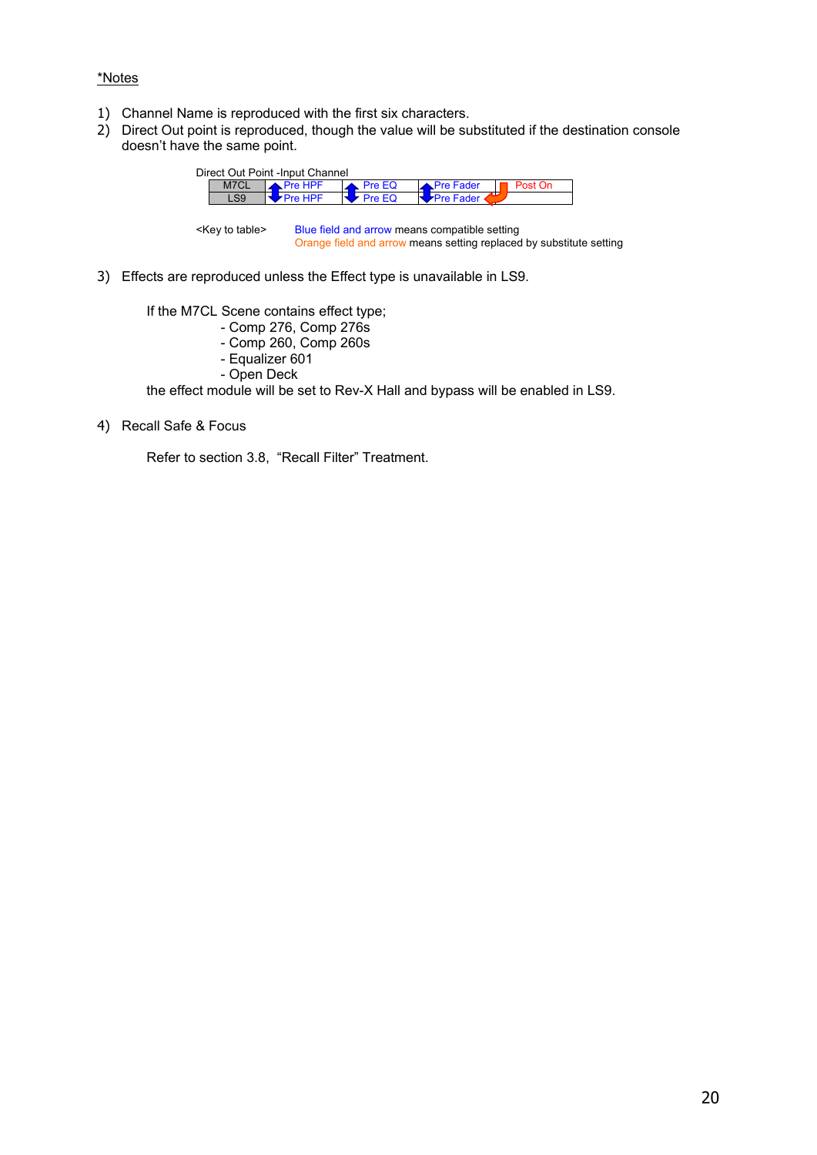#### \*Notes

- 1) Channel Name is reproduced with the first six characters.
- 2) Direct Out point is reproduced, though the value will be substituted if the destination console doesn't have the same point.



<Key to table> Blue field and arrow means compatible setting Orange field and arrow means setting replaced by substitute setting

3) Effects are reproduced unless the Effect type is unavailable in LS9.

If the M7CL Scene contains effect type;

- Comp 276, Comp 276s

- Comp 260, Comp 260s
- Equalizer 601
- Open Deck

the effect module will be set to Rev-X Hall and bypass will be enabled in LS9.

4) Recall Safe & Focus

Refer to section [3.8,](#page-30-1) ["Recall Filter" Treatment.](#page-30-1)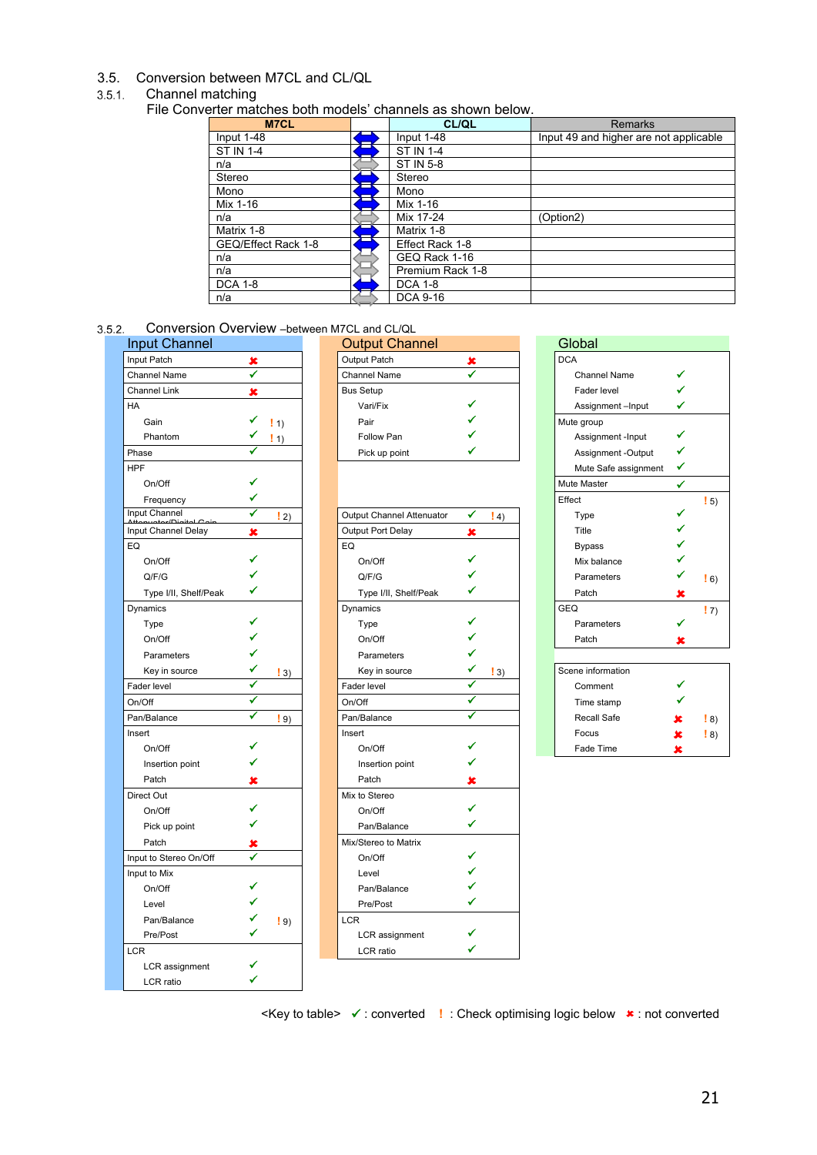#### <span id="page-20-0"></span>3.5. Conversion between M7CL and CL/QL

#### <span id="page-20-1"></span>Channel matching

File Converter matches both models' channels as shown below.

| M7CL                | <b>CL/QL</b>     | <b>Remarks</b>                         |
|---------------------|------------------|----------------------------------------|
| Input 1-48          | Input 1-48       | Input 49 and higher are not applicable |
| <b>ST IN 1-4</b>    | <b>ST IN 1-4</b> |                                        |
| n/a                 | ST IN 5-8        |                                        |
| Stereo              | Stereo           |                                        |
| Mono                | Mono             |                                        |
| Mix 1-16            | Mix 1-16         |                                        |
| n/a                 | Mix 17-24        | (Option2)                              |
| Matrix 1-8          | Matrix 1-8       |                                        |
| GEQ/Effect Rack 1-8 | Effect Rack 1-8  |                                        |
| n/a                 | GEQ Rack 1-16    |                                        |
| n/a                 | Premium Rack 1-8 |                                        |
| <b>DCA 1-8</b>      | <b>DCA 1-8</b>   |                                        |
| n/a                 | <b>DCA 9-16</b>  |                                        |

<span id="page-20-2"></span>3.5.2. Conversion Overview -between M7CL and CL/QL

| <b>Input Channel</b>   |                       | <b>Output Channel</b>     |                        | Global               |   |
|------------------------|-----------------------|---------------------------|------------------------|----------------------|---|
| Input Patch            | ×                     | <b>Output Patch</b>       | ×                      | <b>DCA</b>           |   |
| Channel Name           | ✓                     | <b>Channel Name</b>       | ✔                      | <b>Channel Name</b>  |   |
| <b>Channel Link</b>    | ×                     | <b>Bus Setup</b>          |                        | Fader level          |   |
| HA                     |                       | Vari/Fix                  |                        | Assignment-Input     | ✓ |
| Gain                   | $\vert$ 1)            | Pair                      |                        | Mute group           |   |
| Phantom                | $\left  \right $ 1)   | Follow Pan                |                        | Assignment -Input    | ✔ |
| Phase                  |                       | Pick up point             |                        | Assignment -Output   | ✔ |
| <b>HPF</b>             |                       |                           |                        | Mute Safe assignment | ✓ |
| On/Off                 |                       |                           |                        | Mute Master          | ✔ |
| Frequency              |                       |                           |                        | Effect               |   |
| Input Channel          | ✔<br>$\vert$ 2)       | Output Channel Attenuator | ✔<br>$\vert 4 \rangle$ | Type                 |   |
| Input Channel Delay    | ×                     | Output Port Delay         | ×                      | Title                |   |
| EQ                     |                       | EQ                        |                        | <b>Bypass</b>        |   |
| On/Off                 |                       | On/Off                    |                        | Mix balance          |   |
| Q/F/G                  |                       | Q/F/G                     |                        | Parameters           |   |
| Type I/II, Shelf/Peak  |                       | Type I/II, Shelf/Peak     |                        | Patch                |   |
| Dynamics               |                       | Dynamics                  |                        | <b>GEQ</b>           |   |
| Type                   |                       | Type                      |                        | Parameters           |   |
| On/Off                 |                       | On/Off                    |                        | Patch                | × |
| Parameters             |                       | Parameters                |                        |                      |   |
| Key in source          | $\vert 3 \rangle$     | Key in source             | $\vert 3 \rangle$      | Scene information    |   |
| Fader level            |                       | Fader level               |                        | Comment              |   |
| On/Off                 | ✓                     | On/Off                    | ✓                      | Time stamp           |   |
| Pan/Balance            | ✔<br>$\frac{1}{2}$ 9) | Pan/Balance               | ✔                      | Recall Safe          |   |
| Insert                 |                       | Insert                    |                        | Focus                | × |
| On/Off                 |                       | On/Off                    |                        | Fade Time            | × |
| Insertion point        |                       | Insertion point           |                        |                      |   |
| Patch                  | ×                     | Patch                     | ×                      |                      |   |
| Direct Out             |                       | Mix to Stereo             |                        |                      |   |
| On/Off                 |                       | On/Off                    |                        |                      |   |
| Pick up point          |                       | Pan/Balance               | ✓                      |                      |   |
| Patch                  |                       | Mix/Stereo to Matrix      |                        |                      |   |
| Input to Stereo On/Off | ✓                     | On/Off                    | ✔                      |                      |   |
| Input to Mix           |                       | Level                     |                        |                      |   |
| On/Off                 |                       | Pan/Balance               |                        |                      |   |
| Level                  |                       | Pre/Post                  | ✔                      |                      |   |
| Pan/Balance            | $\binom{9}{2}$        | <b>LCR</b>                |                        |                      |   |
| Pre/Post               |                       | LCR assignment            |                        |                      |   |
| <b>LCR</b>             |                       | LCR ratio                 |                        |                      |   |
| LCR assignment         |                       |                           |                        |                      |   |
| LCR ratio              |                       |                           |                        |                      |   |

| Input Channel       |      | <b>Output Channel</b> |  | Global              |  |
|---------------------|------|-----------------------|--|---------------------|--|
| Input Patch         |      | Output Patch          |  | <b>DCA</b>          |  |
| Channel Name        |      | <b>Channel Name</b>   |  | <b>Channel Name</b> |  |
| <b>Channel Link</b> |      | <b>Bus Setup</b>      |  | Fader level         |  |
| HA                  |      | Vari/Fix              |  | Assignment-Input    |  |
| Gain                | ! 1) | Pair                  |  | Mute group          |  |
| Phantom             |      | Follow Pan            |  | Assignment -Input   |  |
| Phase               |      | Pick up point         |  | Assignment -Output  |  |

|                        |                   |                           |   |                     |                   |   | $\cdot$ $\circ$ ,   |
|------------------------|-------------------|---------------------------|---|---------------------|-------------------|---|---------------------|
| Input Channel          | ✓<br>$\vert$ 2)   | Output Channel Attenuator | ✔ | $\left(4\right)$    | Type              | ✔ |                     |
| Input Channel Delay    | ×                 | Output Port Delay         | × |                     | Title             |   |                     |
| EQ                     |                   | EQ                        |   |                     | <b>Bypass</b>     |   |                     |
| On/Off                 |                   | On/Off                    |   |                     | Mix balance       |   |                     |
| Q/F/G                  |                   | Q/F/G                     |   |                     | Parameters        | ✔ | $\left  \right  6$  |
| Type I/II, Shelf/Peak  |                   | Type I/II, Shelf/Peak     |   |                     | Patch             | × |                     |
| Dynamics               |                   | Dynamics                  |   |                     | <b>GEQ</b>        |   | $\vert$ 7           |
| Type                   |                   | Type                      |   |                     | Parameters        |   |                     |
| On/Off                 |                   | On/Off                    |   |                     | Patch             | × |                     |
| Parameters             |                   | Parameters                |   |                     |                   |   |                     |
| Key in source          | $\vert 3 \rangle$ | Key in source             |   | $\left  \right $ 3) | Scene information |   |                     |
| Fader level            |                   | Fader level               |   |                     | Comment           |   |                     |
| On/Off                 |                   | On/Off                    |   |                     | Time stamp        |   |                     |
| Pan/Balance            | $\vert 9 \rangle$ | Pan/Balance               |   |                     | Recall Safe       | × | $ 8\rangle$         |
| Insert                 |                   | Insert                    |   |                     | Focus             | x | $\left  \right $ 8) |
| On/Off                 |                   | On/Off                    |   |                     | Fade Time         | × |                     |
| Insertion point        |                   | Insertion point           |   |                     |                   |   |                     |
| Patch                  | x                 | Patch                     | x |                     |                   |   |                     |
| Direct Out             |                   | Mix to Stereo             |   |                     |                   |   |                     |
| On/Off                 |                   | On/Off                    |   |                     |                   |   |                     |
| Pick up point          |                   | Pan/Balance               | ✓ |                     |                   |   |                     |
| Patch                  |                   | Mix/Stereo to Matrix      |   |                     |                   |   |                     |
| Input to Stereo On/Off |                   | On/Off                    |   |                     |                   |   |                     |
| Input to Mix           |                   | Level                     |   |                     |                   |   |                     |
| On/Off                 |                   | Pan/Balance               |   |                     |                   |   |                     |
| Level                  |                   | Pre/Post                  |   |                     |                   |   |                     |
| Pan/Balance            | $\vert$ 9)        | <b>LCR</b>                |   |                     |                   |   |                     |
| Pre/Post               |                   | LCR assignment            |   |                     |                   |   |                     |
| <b>LCR</b>             |                   | LCR ratio                 | ✔ |                     |                   |   |                     |
| I CR assignment        |                   |                           |   |                     |                   |   |                     |

| COLIVELSIOLI OVELVIEW - Detween M/CL and CL/QL |                   |                           |                        |                      |   |                   |
|------------------------------------------------|-------------------|---------------------------|------------------------|----------------------|---|-------------------|
| out Channel                                    |                   | <b>Output Channel</b>     |                        | Global               |   |                   |
| t Patch                                        | $\pmb{\times}$    | Output Patch              | $\pmb{\times}$         | <b>DCA</b>           |   |                   |
| nnel Name                                      |                   | <b>Channel Name</b>       | ✓                      | <b>Channel Name</b>  |   |                   |
| nnel Link                                      | ×                 | <b>Bus Setup</b>          |                        | Fader level          |   |                   |
|                                                |                   | Vari/Fix                  |                        | Assignment-Input     | ✔ |                   |
| Gain                                           | $\vert$ 1)        | Pair                      |                        | Mute group           |   |                   |
| Phantom                                        | $\vert$ 1)        | Follow Pan                |                        | Assignment -Input    |   |                   |
| se                                             |                   | Pick up point             |                        | Assignment -Output   | ✔ |                   |
|                                                |                   |                           |                        | Mute Safe assignment | ✔ |                   |
| On/Off                                         |                   |                           |                        | Mute Master          | ✔ |                   |
| Frequency                                      |                   |                           |                        | Effect               |   | $\vert 5 \rangle$ |
| t Channel                                      | $\vert 2 \rangle$ | Output Channel Attenuator | ✔<br>$\vert 4 \rangle$ | Type                 |   |                   |
| t Channel Delay                                | $\pmb{x}$         | Output Port Delay         | ×                      | Title                |   |                   |
|                                                |                   | EQ                        |                        | <b>Bypass</b>        |   |                   |
| On/Off                                         |                   | On/Off                    |                        | Mix balance          |   |                   |
| Q/F/G                                          |                   | Q/F/G                     |                        | Parameters           |   | $\vert 6 \rangle$ |
| Type I/II, Shelf/Peak                          |                   | Type I/II, Shelf/Peak     |                        | Patch                | × |                   |
| amics                                          |                   | Dynamics                  |                        | GEQ                  |   | $\vert 7 \rangle$ |
| Type                                           |                   | Type                      |                        | Parameters           |   |                   |
| On/Off                                         |                   | On/Off                    |                        | Patch                | x |                   |
| Parameters                                     |                   | Parameters                |                        |                      |   |                   |
|                                                |                   |                           |                        |                      |   |                   |

| Scene information |   |                   |
|-------------------|---|-------------------|
| Comment           |   |                   |
| Time stamp        |   |                   |
| Recall Safe       | x | $\vert 8 \rangle$ |
| Focus             | × | $\vert 8 \rangle$ |
| Fade Time         |   |                   |

<Key to table>  $\checkmark$  : converted **!** : Check optimising logic below  $\star$  : not converted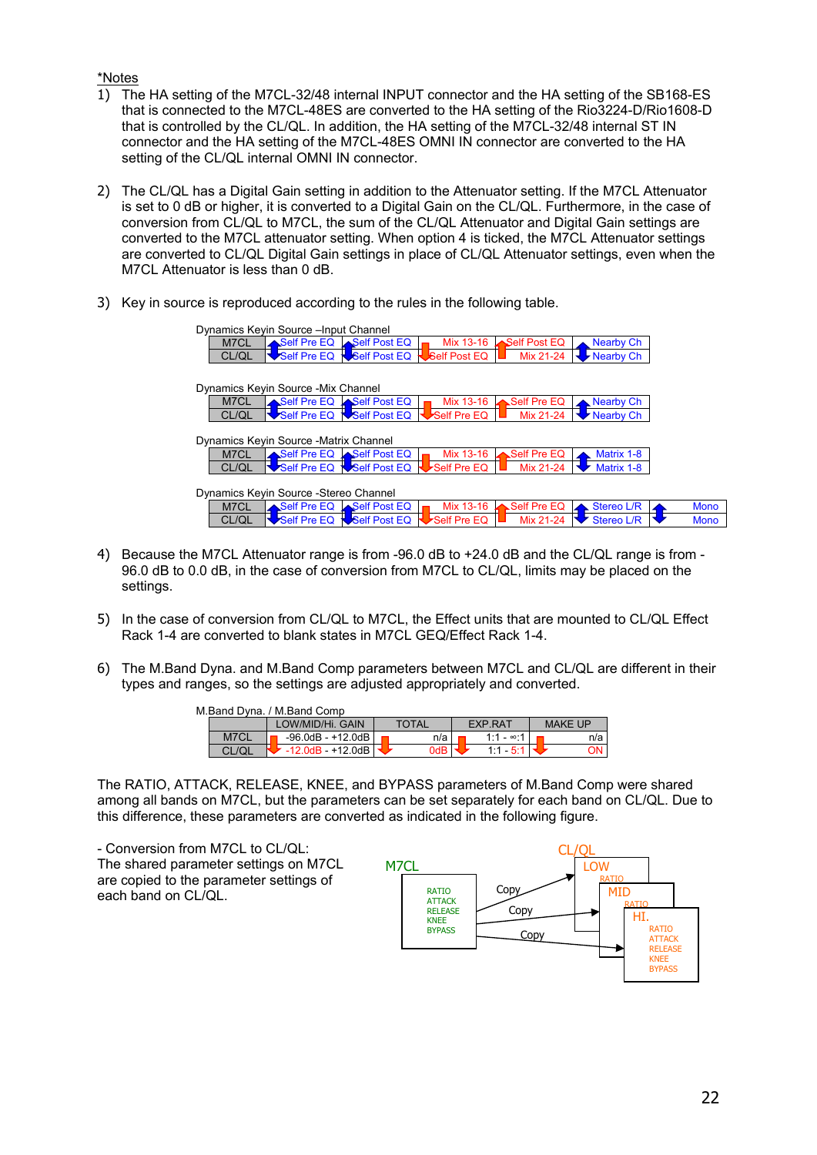#### \*Notes

- 1) The HA setting of the M7CL-32/48 internal INPUT connector and the HA setting of the SB168-ES that is connected to the M7CL-48ES are converted to the HA setting of the Rio3224-D/Rio1608-D that is controlled by the CL/QL. In addition, the HA setting of the M7CL-32/48 internal ST IN connector and the HA setting of the M7CL-48ES OMNI IN connector are converted to the HA setting of the CL/QL internal OMNI IN connector.
- 2) The CL/QL has a Digital Gain setting in addition to the Attenuator setting. If the M7CL Attenuator is set to 0 dB or higher, it is converted to a Digital Gain on the CL/QL. Furthermore, in the case of conversion from CL/QL to M7CL, the sum of the CL/QL Attenuator and Digital Gain settings are converted to the M7CL attenuator setting. When option 4 is ticked, the M7CL Attenuator settings are converted to CL/QL Digital Gain settings in place of CL/QL Attenuator settings, even when the M7CL Attenuator is less than 0 dB.
- 3) Key in source is reproduced according to the rules in the following table.

|                                        | Dynamics Keyin Source - Input Channel |                                 |              |                          |            |             |  |  |
|----------------------------------------|---------------------------------------|---------------------------------|--------------|--------------------------|------------|-------------|--|--|
| M7CL                                   |                                       | Self Pre EQ Self Post EQ        | Mix 13-16    | Self Post EQ             | Nearby Ch  |             |  |  |
| CL/QL                                  |                                       | Self Pre EQ <b>Self Post EQ</b> | Self Post EQ | Mix 21-24                | Nearby Ch  |             |  |  |
|                                        |                                       |                                 |              |                          |            |             |  |  |
| Dynamics Keyin Source - Mix Channel    |                                       |                                 |              |                          |            |             |  |  |
| M7CL                                   |                                       | Self Pre EQ Self Post EQ        | Mix 13-16    | Self Pre EQ              | Nearby Ch  |             |  |  |
| CL/QL                                  |                                       | Self Pre EQ Self Post EQ        | Self Pre EQ  | Mix 21-24                | Nearby Ch  |             |  |  |
| Dynamics Keyin Source - Matrix Channel |                                       |                                 |              |                          |            |             |  |  |
| M7CL                                   |                                       | Self Pre EQ Self Post EQ        | Mix 13-16    | Self Pre EQ              | Matrix 1-8 |             |  |  |
| CL/QL                                  |                                       | Self Pre EQ Self Post EQ        | Self Pre EQ  | Mix 21-24                | Matrix 1-8 |             |  |  |
| Dynamics Keyin Source - Stereo Channel |                                       |                                 |              |                          |            |             |  |  |
| M7CL                                   |                                       | Self Pre EQ Self Post EQ        | Mix 13-16    | $\mathsf{L}$ Self Pre EQ | Stereo L/R | <b>Mono</b> |  |  |
| CL/QL                                  | Self Pre EQ                           | Self Post EQ                    | Self Pre EQ  | Mix 21-24                | Stereo L/R | <b>Mono</b> |  |  |
|                                        |                                       |                                 |              |                          |            |             |  |  |

- 4) Because the M7CL Attenuator range is from -96.0 dB to +24.0 dB and the CL/QL range is from 96.0 dB to 0.0 dB, in the case of conversion from M7CL to CL/QL, limits may be placed on the settings.
- 5) In the case of conversion from CL/QL to M7CL, the Effect units that are mounted to CL/QL Effect Rack 1-4 are converted to blank states in M7CL GEQ/Effect Rack 1-4.
- 6) The M.Band Dyna. and M.Band Comp parameters between M7CL and CL/QL are different in their types and ranges, so the settings are adjusted appropriately and converted.

| M.Band Dvna. / M.Band Comp |                            |       |                   |                |  |
|----------------------------|----------------------------|-------|-------------------|----------------|--|
|                            | LOW/MID/Hi. GAIN           | TOTAL | EXP.RAT           | <b>MAKE UP</b> |  |
| M7CL                       | $-96.0$ dB $-+12.0$ dB     | n/a   | 1:1 - $\infty$ :1 | n/a            |  |
|                            | $-12.0$ d $B + 12.0$ d $B$ | 0dB   | $1.1 - 5$         | 'JN ∶          |  |

The RATIO, ATTACK, RELEASE, KNEE, and BYPASS parameters of M.Band Comp were shared among all bands on M7CL, but the parameters can be set separately for each band on CL/QL. Due to this difference, these parameters are converted as indicated in the following figure.

- Conversion from M7CL to CL/QL: The shared parameter settings on M7CL are copied to the parameter settings of each band on CL/QL.

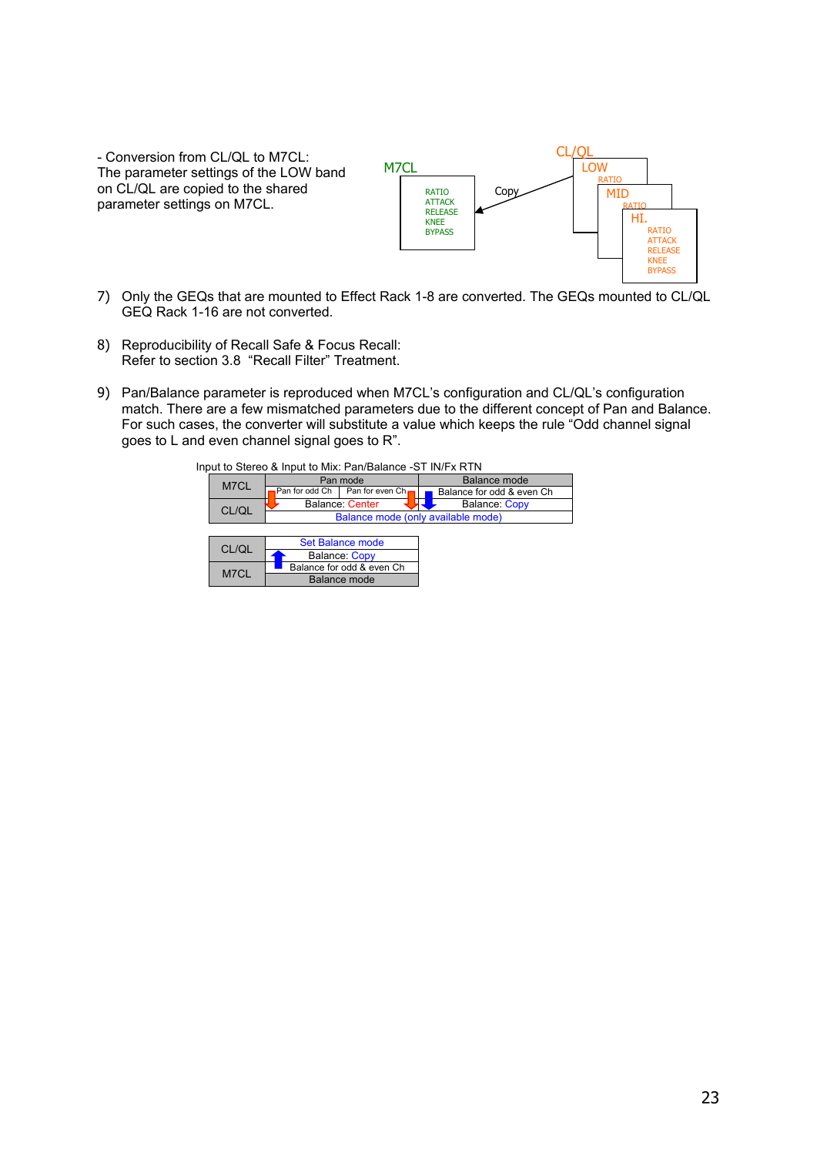- Conversion from CL/QL to M7CL: The parameter settings of the LOW band on CL/QL are copied to the shared parameter settings on M7CL.



- 7) Only the GEQs that are mounted to Effect Rack 1-8 are converted. The GEQs mounted to CL/QL GEQ Rack 1-16 are not converted.
- 8) Reproducibility of Recall Safe & Focus Recall: Refer to section [3.8](#page-30-1) ["Recall Filter" Treatment.](#page-30-1)
- 9) Pan/Balance parameter is reproduced when M7CL's configuration and CL/QL's configuration match. There are a few mismatched parameters due to the different concept of Pan and Balance. For such cases, the converter will substitute a value which keeps the rule "Odd channel signal goes to L and even channel signal goes to R".

|       | Input to Stereo & Input to Mix: Pan/Balance -ST IN/Fx RTN |                 |                                    |  |  |
|-------|-----------------------------------------------------------|-----------------|------------------------------------|--|--|
| M7CL  | Pan mode                                                  |                 | Balance mode                       |  |  |
|       | Pan for odd Ch                                            | Pan for even Ch | Balance for odd & even Ch          |  |  |
| CL/QL | Balance: Center                                           |                 | Balance: Copy                      |  |  |
|       |                                                           |                 | Balance mode (only available mode) |  |  |
|       |                                                           |                 |                                    |  |  |
| CL/QL | <b>Set Balance mode</b>                                   |                 |                                    |  |  |
|       | Balance: Copy                                             |                 |                                    |  |  |
| M7CL  | Balance for odd & even Ch                                 |                 |                                    |  |  |
|       | <b>Balance mode</b>                                       |                 |                                    |  |  |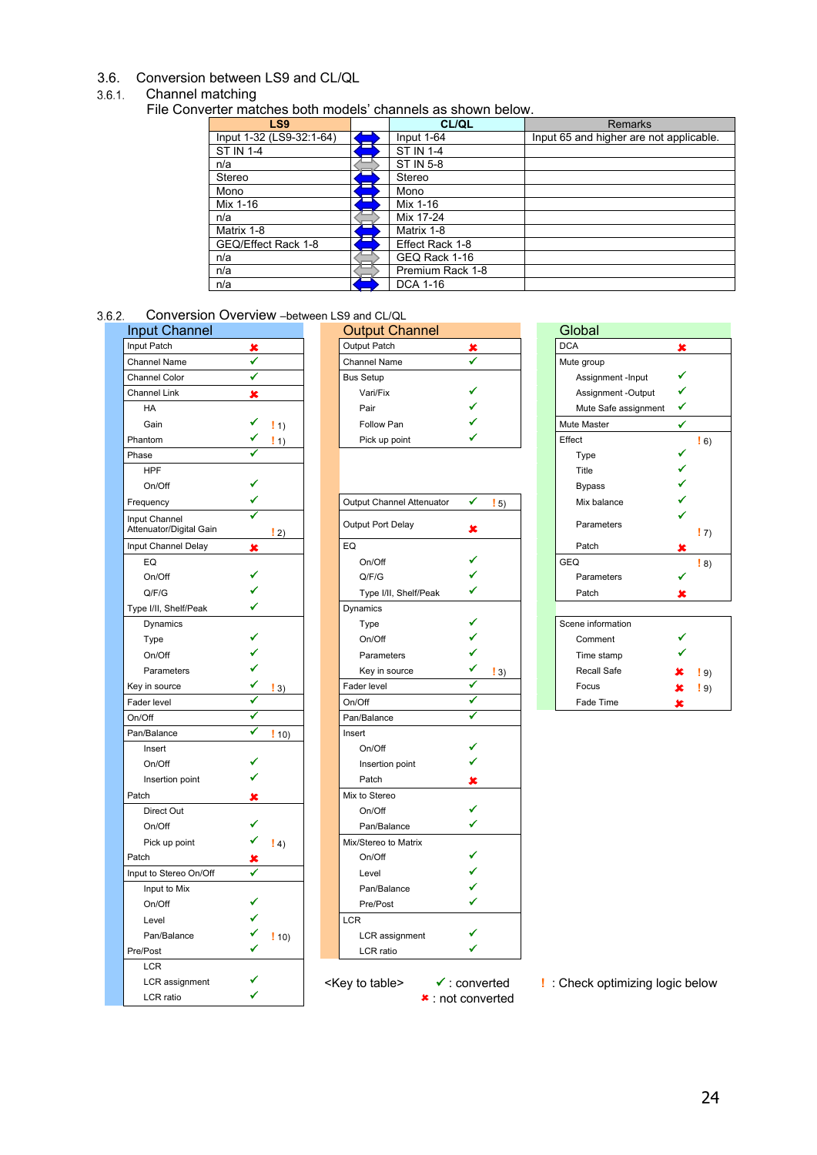#### <span id="page-23-0"></span>3.6. Conversion between LS9 and CL/QL

#### <span id="page-23-1"></span>Channel matching

File Converter matches both models' channels as shown below.

| LS <sub>9</sub>          | <b>CL/QL</b>     | <b>Remarks</b>                          |
|--------------------------|------------------|-----------------------------------------|
| Input 1-32 (LS9-32:1-64) | Input $1-64$     | Input 65 and higher are not applicable. |
| <b>ST IN 1-4</b>         | <b>ST IN 1-4</b> |                                         |
| n/a                      | <b>ST IN 5-8</b> |                                         |
| Stereo                   | Stereo           |                                         |
| Mono                     | Mono             |                                         |
| Mix 1-16                 | Mix 1-16         |                                         |
| n/a                      | Mix 17-24        |                                         |
| Matrix 1-8               | Matrix 1-8       |                                         |
| GEQ/Effect Rack 1-8      | Effect Rack 1-8  |                                         |
| n/a                      | GEQ Rack 1-16    |                                         |
| n/a                      | Premium Rack 1-8 |                                         |
| n/a                      | DCA 1-16         |                                         |

### <span id="page-23-2"></span>3.6.2. Conversion Overview -between LS9 and CL/QL

| <b>Input Channel</b>                     |                   | <b>Output Channel</b>      |                          | Global                        |   |
|------------------------------------------|-------------------|----------------------------|--------------------------|-------------------------------|---|
| Input Patch                              | ×                 | Output Patch               | ×                        | <b>DCA</b>                    | × |
| <b>Channel Name</b>                      | ✔                 | <b>Channel Name</b>        | ✔                        | Mute group                    |   |
| <b>Channel Color</b>                     | ✔                 | <b>Bus Setup</b>           |                          | Assignment -Input             | ✓ |
| <b>Channel Link</b>                      | ×                 | Vari/Fix                   |                          | Assignment -Output            | ✓ |
| HA                                       |                   | Pair                       |                          | Mute Safe assignment          | ✔ |
| Gain                                     | $\vert 1$         | Follow Pan                 |                          | Mute Master                   | ✓ |
| Phantom                                  | $\vert$ 1)        | Pick up point              |                          | Effect                        |   |
| Phase                                    |                   |                            |                          | Type                          |   |
| <b>HPF</b>                               |                   |                            |                          | Title                         |   |
| On/Off                                   |                   |                            |                          | <b>Bypass</b>                 |   |
| Frequency                                |                   | Output Channel Attenuator  | ✔<br>$\vert 5 \rangle$   | Mix balance                   |   |
| Input Channel<br>Attenuator/Digital Gain | $\binom{!}{2}$    | Output Port Delay          | ×                        | Parameters                    |   |
| Input Channel Delay                      | ×                 | EQ                         |                          | Patch                         |   |
| EQ                                       |                   | On/Off                     |                          | GEQ                           |   |
| On/Off                                   |                   | Q/F/G                      |                          | Parameters                    |   |
| Q/F/G                                    |                   | Type I/II, Shelf/Peak      |                          | Patch                         | × |
| Type I/II, Shelf/Peak                    |                   | Dynamics                   |                          |                               |   |
| Dynamics                                 |                   | Type                       |                          | Scene information             |   |
| Type                                     |                   | On/Off                     |                          | Comment                       |   |
| On/Off                                   |                   | Parameters                 |                          | Time stamp                    |   |
| Parameters                               |                   | Key in source              | $\vert 3 \rangle$        | Recall Safe                   |   |
| Key in source                            | $\vert 3 \rangle$ | Fader level                |                          | Focus                         | × |
| Fader level                              |                   | On/Off                     | ✔                        | Fade Time                     | × |
| On/Off                                   |                   | Pan/Balance                | ✓                        |                               |   |
| Pan/Balance                              | √<br>!10          | Insert                     |                          |                               |   |
| Insert                                   |                   | On/Off                     |                          |                               |   |
| On/Off                                   |                   | Insertion point            |                          |                               |   |
| Insertion point                          |                   | Patch                      | ×                        |                               |   |
| Patch                                    | ×                 | Mix to Stereo              |                          |                               |   |
| Direct Out                               |                   | On/Off                     | ✔                        |                               |   |
| On/Off                                   |                   | Pan/Balance                | ✔                        |                               |   |
| Pick up point                            | $\vert 4 \rangle$ | Mix/Stereo to Matrix       |                          |                               |   |
| Patch                                    |                   | On/Off                     |                          |                               |   |
| Input to Stereo On/Off                   |                   | Level                      |                          |                               |   |
| Input to Mix                             |                   | Pan/Balance                |                          |                               |   |
| On/Off                                   |                   | Pre/Post                   |                          |                               |   |
| Level                                    |                   | <b>LCR</b>                 |                          |                               |   |
| Pan/Balance                              | !10               | LCR assignment             |                          |                               |   |
| Pre/Post                                 |                   | LCR ratio                  |                          |                               |   |
| <b>LCR</b>                               |                   |                            |                          |                               |   |
| LCR assignment                           |                   | <key table="" to=""></key> | $\checkmark$ : converted | ! : Check optimizing logic be |   |
| LCR ratio                                |                   |                            | $\star$ : not converted  |                               |   |

| Input Channel |                         | <b>Output Channel</b> |  | Global               |          |
|---------------|-------------------------|-----------------------|--|----------------------|----------|
| Input Patch   |                         | <b>Output Patch</b>   |  | <b>DCA</b>           |          |
| Channel Name  |                         | <b>Channel Name</b>   |  | Mute group           |          |
| Channel Color |                         | <b>Bus Setup</b>      |  | Assignment -Input    |          |
| Channel Link  |                         | Vari/Fix              |  | Assignment -Output   |          |
| <b>HA</b>     |                         | Pair                  |  | Mute Safe assignment |          |
| Gain          | $\vert$ 1)              | Follow Pan            |  | <b>Mute Master</b>   |          |
| Phantom       | $\left( \left( \right)$ | Pick up point         |  | Effect               | <b>6</b> |

| Frequency                                | ✓                 | Output Channel Attenuator | $\checkmark$<br>$\vert 5 \rangle$ | Mix balance        |                           |
|------------------------------------------|-------------------|---------------------------|-----------------------------------|--------------------|---------------------------|
| Input Channel<br>Attenuator/Digital Gain | $\vert 2 \rangle$ | Output Port Delay         | ×                                 | Parameters         | $\left(17\right)$         |
| Input Channel Delay                      | ×                 | EQ                        |                                   | Patch              | x                         |
| EQ                                       |                   | On/Off                    |                                   | <b>GEQ</b>         | 8                         |
| On/Off                                   |                   | Q/F/G                     |                                   | Parameters         |                           |
| Q/F/G                                    |                   | Type I/II, Shelf/Peak     | ✔                                 | Patch              | ×                         |
| Type I/II, Shelf/Peak                    |                   | Dynamics                  |                                   |                    |                           |
| Dynamics                                 |                   | Type                      |                                   | Scene information  |                           |
| Type                                     |                   | On/Off                    |                                   | Comment            |                           |
| On/Off                                   |                   | Parameters                |                                   | Time stamp         |                           |
| Parameters                               |                   | Key in source             | $\vert 3 \rangle$                 | <b>Recall Safe</b> | $\vert$ 9)                |
| Key in source                            | $\vert 3 \rangle$ | Fader level               |                                   | Focus              | $\left  \cdot \right $ 9) |
| Fader level                              |                   | On/Off                    | ✔                                 | Fade Time          | x                         |
| On/Off                                   |                   | Pan/Balance               | ✔                                 |                    |                           |
| Pan/Balance                              | ✓<br>!10          | Insert                    |                                   |                    |                           |
| Insert                                   |                   | On/Off                    |                                   |                    |                           |
| On/Off                                   |                   | Insertion point           |                                   |                    |                           |
| Insertion point                          |                   | Patch                     | x                                 |                    |                           |
| Patch                                    | ×                 | Mix to Stereo             |                                   |                    |                           |
| Direct Out                               |                   | On/Off                    |                                   |                    |                           |
| On/Off                                   |                   | Pan/Balance               |                                   |                    |                           |
| Pick up point                            | $\left( 4\right)$ | Mix/Stereo to Matrix      |                                   |                    |                           |
| Patch                                    | x                 | On/Off                    |                                   |                    |                           |
| Input to Stereo On/Off                   | ✔                 | Level                     |                                   |                    |                           |
| Input to Mix                             |                   | Pan/Balance               |                                   |                    |                           |
| On/Off                                   |                   | Pre/Post                  |                                   |                    |                           |
| Level                                    |                   | <b>LCR</b>                |                                   |                    |                           |
| Pan/Balance                              | !10)              | LCR assignment            |                                   |                    |                           |
| Pre/Post                                 |                   | LCR ratio                 | ✓                                 |                    |                           |
| LCR.                                     |                   |                           |                                   |                    |                           |

| <b>DCA</b>           | ×            |                   |
|----------------------|--------------|-------------------|
| Mute group           |              |                   |
| Assignment - Input   |              |                   |
| Assignment -Output   | $\checkmark$ |                   |
| Mute Safe assignment |              |                   |
| Mute Master          |              |                   |
| Effect               |              | $\frac{1}{2}$ 6)  |
| Type                 |              |                   |
| Title                | $\checkmark$ |                   |
| <b>Bypass</b>        |              |                   |
| Mix balance          |              |                   |
| Parameters           |              |                   |
|                      |              | $\vert 7 \rangle$ |
| Patch                |              |                   |
| <b>GEQ</b>           |              | $\mathbf{1}8$     |
| Parameters           |              |                   |
| Patch                |              |                   |
|                      |              |                   |
| Scene information    |              |                   |
| Comment              |              |                   |
| Time stamp           |              |                   |
| Recall Safe          | ×.           | !9)               |
| Focus                | ×            | $\frac{1}{2}$ 9)  |
| Fade Time            | x            |                   |

LCR assignment <Key to table> : converted **!** : Check optimizing logic below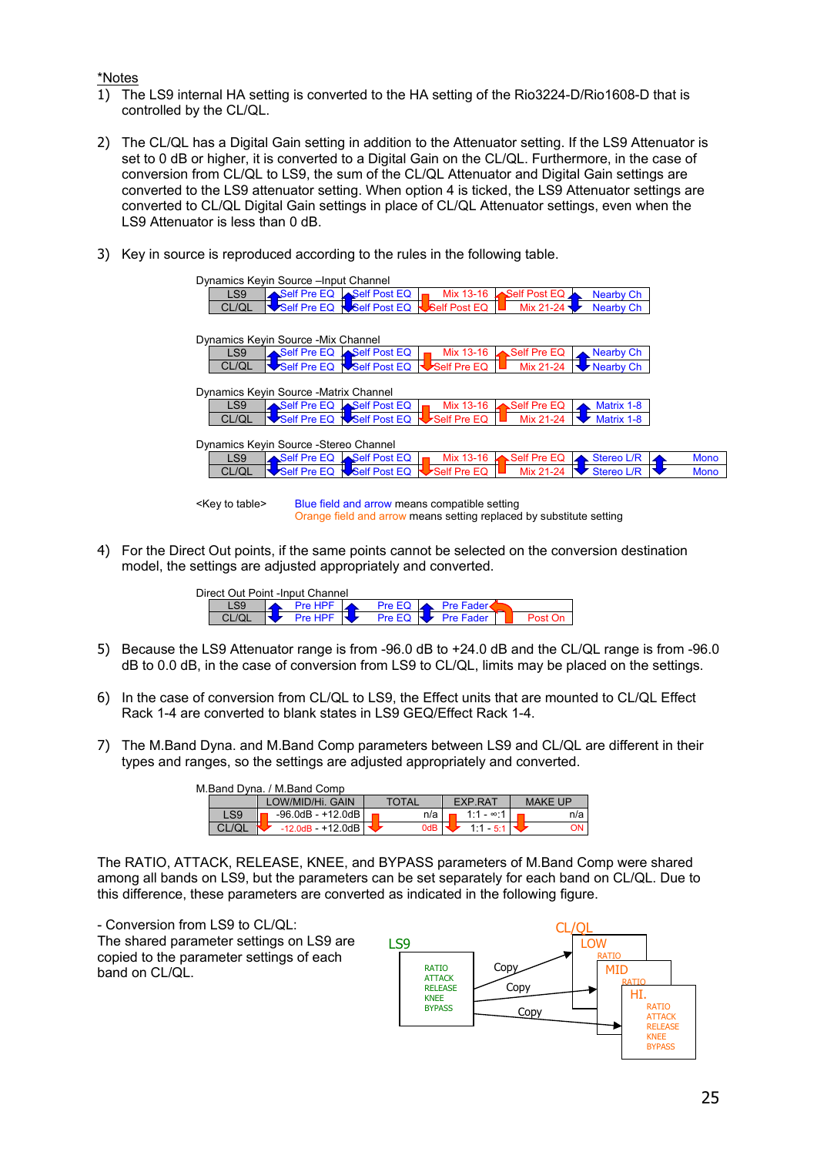#### \*Notes

- 1) The LS9 internal HA setting is converted to the HA setting of the Rio3224-D/Rio1608-D that is controlled by the CL/QL.
- 2) The CL/QL has a Digital Gain setting in addition to the Attenuator setting. If the LS9 Attenuator is set to 0 dB or higher, it is converted to a Digital Gain on the CL/QL. Furthermore, in the case of conversion from CL/QL to LS9, the sum of the CL/QL Attenuator and Digital Gain settings are converted to the LS9 attenuator setting. When option 4 is ticked, the LS9 Attenuator settings are converted to CL/QL Digital Gain settings in place of CL/QL Attenuator settings, even when the LS9 Attenuator is less than 0 dB.
- 3) Key in source is reproduced according to the rules in the following table.

|                 | Dynamics Keyin Source - Input Channel  |                                 |                                   |              |                   |             |  |
|-----------------|----------------------------------------|---------------------------------|-----------------------------------|--------------|-------------------|-------------|--|
| LS <sub>9</sub> |                                        | Self Pre EQ Self Post EQ        | Mix 13-16                         | Self Post EQ | Nearby Ch         |             |  |
| CL/QL           |                                        | Self Pre EQ Self Post EQ        | <b>USelf Post EQ</b>              | Mix 21-24    | Nearby Ch         |             |  |
|                 |                                        |                                 |                                   |              |                   |             |  |
|                 | Dynamics Keyin Source - Mix Channel    |                                 |                                   |              |                   |             |  |
| LS <sub>9</sub> |                                        | Self Pre EQ Self Post EQ        | Mix 13-16                         | Self Pre EQ  | Nearby Ch         |             |  |
| CL/QL           |                                        | Self Pre EQ NSelf Post EQ       | Self Pre EQ                       | Mix 21-24    | Nearby Ch         |             |  |
|                 |                                        |                                 |                                   |              |                   |             |  |
|                 | Dynamics Keyin Source - Matrix Channel |                                 |                                   |              |                   |             |  |
| LS <sub>9</sub> |                                        | Self Pre EQ Self Post EQ        | Mix 13-16                         | Self Pre EQ  | Matrix 1-8        |             |  |
| CL/QL           |                                        | Self Pre EQ <b>Self Post EQ</b> | $\blacktriangleright$ Self Pre EQ | Mix 21-24    | Matrix 1-8        |             |  |
|                 |                                        |                                 |                                   |              |                   |             |  |
|                 | Dynamics Keyin Source - Stereo Channel |                                 |                                   |              |                   |             |  |
| LS <sub>9</sub> |                                        | Self Pre EQ Self Post EQ        | Mix 13-16                         | Self Pre EQ  | Stereo L/R        | <b>Mono</b> |  |
| CL/QL           |                                        | Self Pre EQ Self Post EQ        | Self Pre EQ                       | Mix 21-24    | <b>Stereo L/R</b> | <b>Mono</b> |  |
|                 |                                        |                                 |                                   |              |                   |             |  |
|                 |                                        |                                 |                                   |              |                   |             |  |

<Key to table> Blue field and arrow means compatible setting Orange field and arrow means setting replaced by substitute setting

4) For the Direct Out points, if the same points cannot be selected on the conversion destination model, the settings are adjusted appropriately and converted.

| Direct Out Point -Input Channel |                                 |  |                                        |  |
|---------------------------------|---------------------------------|--|----------------------------------------|--|
|                                 | <b>Pre HPF</b>                  |  | Pre EQ A Pre Fader                     |  |
|                                 | Pre HPF $\overline{\mathbf{U}}$ |  | Pre EQ $\blacktriangleright$ Pre Fader |  |

- 5) Because the LS9 Attenuator range is from -96.0 dB to +24.0 dB and the CL/QL range is from -96.0 dB to 0.0 dB, in the case of conversion from LS9 to CL/QL, limits may be placed on the settings.
- 6) In the case of conversion from CL/QL to LS9, the Effect units that are mounted to CL/QL Effect Rack 1-4 are converted to blank states in LS9 GEQ/Effect Rack 1-4.
- 7) The M.Band Dyna. and M.Band Comp parameters between LS9 and CL/QL are different in their types and ranges, so the settings are adjusted appropriately and converted.

| M.Band Dvna. / M.Band Comp |                                 |  |              |  |                |                |
|----------------------------|---------------------------------|--|--------------|--|----------------|----------------|
|                            | LOW/MID/Hi, GAIN                |  | <b>TOTAL</b> |  | <b>EXP.RAT</b> | <b>MAKE UP</b> |
| LS9                        | -96.0dB - +12.0dB               |  | n/a i        |  | $1.1 - 8.1$    | n/a            |
| CL/OL                      | $-12.0$ dB $-$ +12.0dB $\Gamma$ |  | 0dB          |  | $1.1 - 5.1$    | ON I           |

The RATIO, ATTACK, RELEASE, KNEE, and BYPASS parameters of M.Band Comp were shared among all bands on LS9, but the parameters can be set separately for each band on CL/QL. Due to this difference, these parameters are converted as indicated in the following figure.

- Conversion from LS9 to CL/QL: The shared parameter settings on LS9 are copied to the parameter settings of each band on CL/QL.

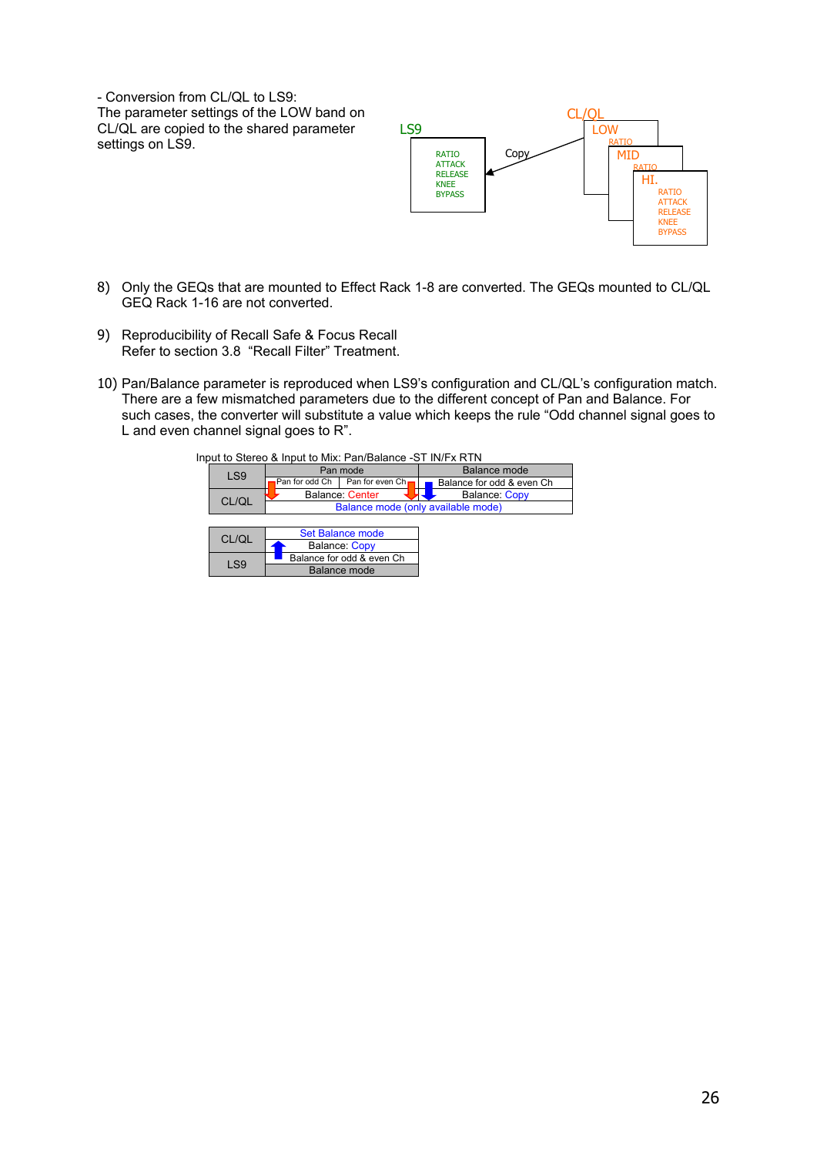- Conversion from CL/QL to LS9: The parameter settings of the LOW band on CL/QL are copied to the shared parameter settings on LS9.



- 8) Only the GEQs that are mounted to Effect Rack 1-8 are converted. The GEQs mounted to CL/QL GEQ Rack 1-16 are not converted.
- 9) Reproducibility of Recall Safe & Focus Recall Refer to section [3.8](#page-30-1) ["Recall Filter" Treatment.](#page-30-1)
- 10) Pan/Balance parameter is reproduced when LS9's configuration and CL/QL's configuration match. There are a few mismatched parameters due to the different concept of Pan and Balance. For such cases, the converter will substitute a value which keeps the rule "Odd channel signal goes to L and even channel signal goes to R".

Balance mode

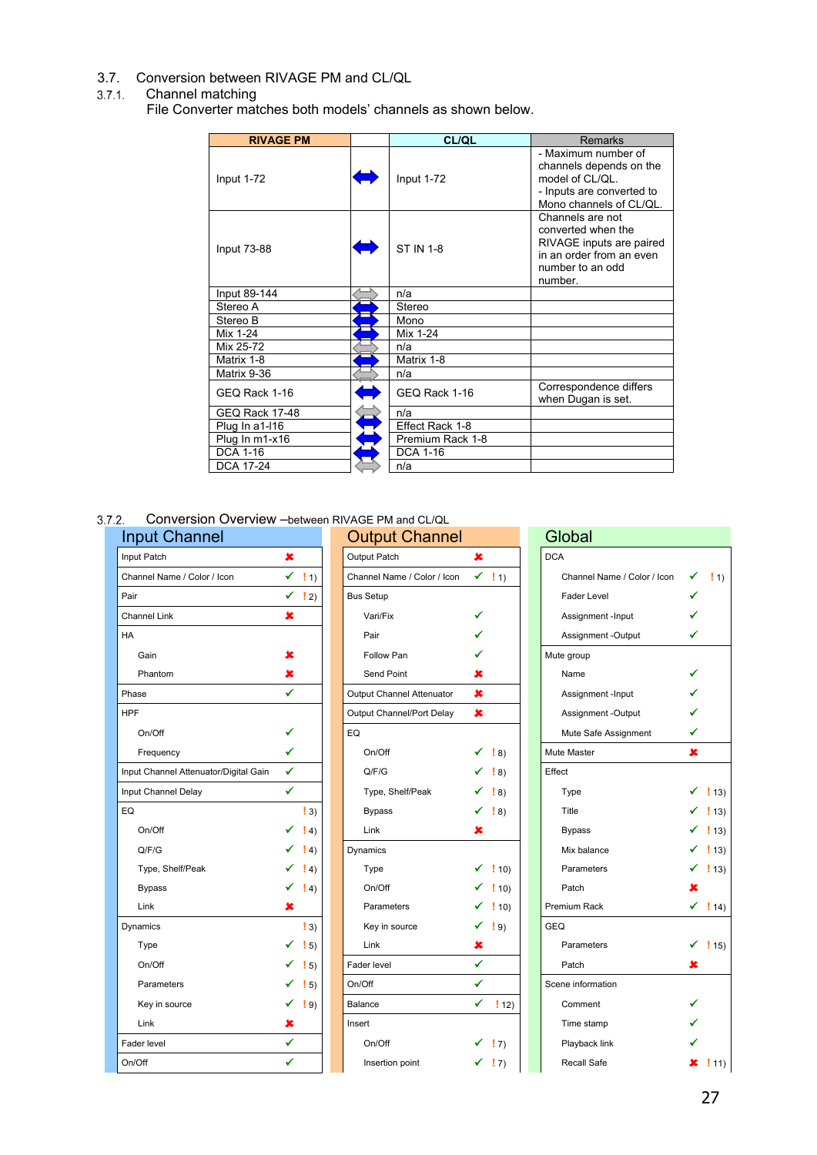<span id="page-26-0"></span>3.7. Conversion between RIVAGE PM and CL/QL

#### <span id="page-26-1"></span>Channel matching

File Converter matches both models' channels as shown below.

| <b>RIVAGE PM</b>      | CL/QL            | <b>Remarks</b>                                                                                                                |
|-----------------------|------------------|-------------------------------------------------------------------------------------------------------------------------------|
| Input 1-72            | Input 1-72       | - Maximum number of<br>channels depends on the<br>model of CL/QL.<br>- Inputs are converted to<br>Mono channels of CL/QL.     |
| <b>Input 73-88</b>    | <b>ST IN 1-8</b> | Channels are not<br>converted when the<br>RIVAGE inputs are paired<br>in an order from an even<br>number to an odd<br>number. |
| Input 89-144          | n/a              |                                                                                                                               |
| Stereo A              | Stereo           |                                                                                                                               |
| Stereo B              | Mono             |                                                                                                                               |
| Mix 1-24              | Mix 1-24         |                                                                                                                               |
| Mix 25-72             | n/a              |                                                                                                                               |
| Matrix 1-8            | Matrix 1-8       |                                                                                                                               |
| Matrix 9-36           | n/a              |                                                                                                                               |
| GEQ Rack 1-16         | GEQ Rack 1-16    | Correspondence differs<br>when Dugan is set.                                                                                  |
| <b>GEQ Rack 17-48</b> | n/a              |                                                                                                                               |
| Plug In a1-l16        | Effect Rack 1-8  |                                                                                                                               |
| Plug In m1-x16        | Premium Rack 1-8 |                                                                                                                               |
| <b>DCA 1-16</b>       | <b>DCA 1-16</b>  |                                                                                                                               |
| DCA 17-24             | n/a              |                                                                                                                               |

<span id="page-26-2"></span>Conversion Overview –between RIVAGE PM and CL/QL

| <b>Input Channel</b>                                  |                          | <b>Output Channel</b>       |                        | Global                      |                                                 |
|-------------------------------------------------------|--------------------------|-----------------------------|------------------------|-----------------------------|-------------------------------------------------|
| $\pmb{x}$<br>Input Patch                              |                          | Output Patch                | $\pmb{x}$              | <b>DCA</b>                  |                                                 |
| $\checkmark$ 11)<br>Channel Name / Color / Icon       |                          | Channel Name / Color / Icon | $\checkmark$ 11)       | Channel Name / Color / Icon | ✔<br>$\left  \right $ 1)                        |
| $\checkmark$ ! 2)<br>Pair                             |                          | <b>Bus Setup</b>            |                        | Fader Level                 |                                                 |
| $\pmb{\times}$<br>Channel Link                        |                          | Vari/Fix                    | ✓                      | Assignment -Input           |                                                 |
| <b>HA</b>                                             |                          | Pair                        |                        | Assignment -Output          | ✓                                               |
| ×<br>Gain                                             |                          | Follow Pan                  |                        | Mute group                  |                                                 |
| ×<br>Phantom                                          |                          | Send Point                  | x                      | Name                        |                                                 |
| ✔<br>Phase                                            |                          | Output Channel Attenuator   | $\pmb{x}$              | Assignment -Input           |                                                 |
| <b>HPF</b>                                            |                          | Output Channel/Port Delay   | $\pmb{\times}$         | Assignment -Output          |                                                 |
| ✓<br>On/Off                                           |                          | EQ                          |                        | Mute Safe Assignment        | ✓                                               |
| ✔<br>Frequency                                        |                          | On/Off                      | ✔<br>$\vert 8 \rangle$ | Mute Master                 | $\mathbf x$                                     |
| $\checkmark$<br>Input Channel Attenuator/Digital Gain |                          | Q/F/G                       | $\vert 8 \rangle$<br>✔ | Effect                      |                                                 |
| $\checkmark$<br>Input Channel Delay                   |                          | Type, Shelf/Peak            | $\vert 8 \rangle$<br>✓ | Type                        | $\checkmark$ (13)                               |
| EQ                                                    | $\vert 3 \rangle$        | <b>Bypass</b>               | $\checkmark$ (8)       | Title                       | $ 13\rangle$                                    |
| On/Off                                                | $\left  4 \right\rangle$ | Link                        | ×                      | <b>Bypass</b>               | $\left[ \begin{array}{c} 1 \end{array} \right]$ |
| Q/F/G                                                 | $\vert 4 \rangle$        | Dynamics                    |                        | Mix balance                 | ✓<br>$\frac{1}{2}$ 13)                          |
| Type, Shelf/Peak                                      | $\vert 4 \rangle$        | Type                        | ✓<br>$\frac{1}{2}$ 10) | Parameters                  | $\checkmark$ (13)                               |
| ✓<br><b>Bypass</b>                                    | $\left(4\right)$         | On/Off                      | !10                    | Patch                       | x                                               |
| ×<br>Link                                             |                          | Parameters                  | $\checkmark$ 10)       | Premium Rack                | $\checkmark$ 14)                                |
| Dynamics                                              | $\vert 3 \rangle$        | Key in source               | ✓<br>$\vert$ 9)        | <b>GEQ</b>                  |                                                 |
| Type                                                  | $\left  \right $ 5)      | Link                        | ×                      | Parameters                  | $\checkmark$ (15)                               |
| On/Off                                                | $\vert 5 \rangle$        | Fader level                 | $\checkmark$           | Patch                       | ×                                               |
| Parameters                                            | $\left(15\right)$        | On/Off                      | $\checkmark$           | Scene information           |                                                 |
| Key in source                                         | $\vert$ 9)               | Balance                     | $\checkmark$ 12)       | Comment                     |                                                 |
| ×<br>Link                                             |                          | Insert                      |                        | Time stamp                  |                                                 |
| ✔<br>Fader level                                      |                          | On/Off                      | $\checkmark$ 17)       | Playback link               | ✔                                               |
| ✔<br>On/Off                                           |                          | Insertion point             | $\checkmark$ (7)       | <b>Recall Safe</b>          | $x$ 111                                         |

| <b>out Channel</b>                |                          | <b>Output Channel</b>       |                |                                                 | Global |                             |           |                     |
|-----------------------------------|--------------------------|-----------------------------|----------------|-------------------------------------------------|--------|-----------------------------|-----------|---------------------|
| t Patch                           | ×                        | Output Patch                | $\pmb{\times}$ |                                                 |        | <b>DCA</b>                  |           |                     |
| nnel Name / Color / Icon          | $\checkmark$ 11)         | Channel Name / Color / Icon |                | $\checkmark$ ! 1)                               |        | Channel Name / Color / Icon | ✔         | $\left  \right $ 1) |
|                                   | $\checkmark$ (2)         | <b>Bus Setup</b>            |                |                                                 |        | <b>Fader Level</b>          |           |                     |
| nnel Link                         | $\pmb{\times}$           | Vari/Fix                    | ✔              |                                                 |        | Assignment -Input           |           |                     |
|                                   |                          | Pair                        | ✔              |                                                 |        | Assignment -Output          | ✔         |                     |
| Gain                              | x                        | Follow Pan                  | ✔              |                                                 |        | Mute group                  |           |                     |
| Phantom                           | ×                        | Send Point                  | ×              |                                                 |        | Name                        |           |                     |
| se                                | ✔                        | Output Channel Attenuator   | $\pmb{x}$      |                                                 |        | Assignment -Input           |           |                     |
|                                   |                          | Output Channel/Port Delay   | ×              |                                                 |        | Assignment -Output          |           |                     |
| On/Off                            | ✔                        | EQ                          |                |                                                 |        | Mute Safe Assignment        | ✓         |                     |
| Frequency                         | ✔                        | On/Off                      | ✓              | $\vert 8 \rangle$                               |        | Mute Master                 | $\pmb{x}$ |                     |
| t Channel Attenuator/Digital Gain | ✔                        | Q/F/G                       | ✓              | $\left( \begin{array}{c} 8 \end{array} \right)$ |        | Effect                      |           |                     |
| t Channel Delay                   | ✔                        | Type, Shelf/Peak            |                | $\checkmark$ 18)                                |        | Type                        |           | $\frac{1}{2}$ 13)   |
|                                   | $\vert 3 \rangle$        | <b>Bypass</b>               |                | $\checkmark$ 18)                                |        | Title                       |           | !13)                |
| On/Off                            | $\left(4\right)$         | Link                        | ×              |                                                 |        | <b>Bypass</b>               |           | $ 13\rangle$        |
| Q/F/G                             | $\vert 4 \rangle$        | Dynamics                    |                |                                                 |        | Mix balance                 |           | $\frac{1}{2}$ 13)   |
| Type, Shelf/Peak                  | $\binom{1}{4}$           | Type                        |                | $\checkmark$ 10)                                |        | Parameters                  |           | $\checkmark$ 13)    |
| <b>Bypass</b>                     | $\left  4 \right\rangle$ | On/Off                      |                | $\checkmark$ 10)                                |        | Patch                       | x         |                     |
| Link                              | ×                        | Parameters                  |                | $\checkmark$ ! 10)                              |        | Premium Rack                |           | $\checkmark$ 14)    |
| amics                             | $\vert 3 \rangle$        | Key in source               |                | $\checkmark$ 19)                                |        | <b>GEQ</b>                  |           |                     |
| Type                              | $\vert 5 \rangle$        | Link                        | ×              |                                                 |        | Parameters                  |           | $\checkmark$ 15)    |
| On/Off                            | $\left  \right $ 5)      | Fader level                 | ✓              |                                                 |        | Patch                       | ×         |                     |
| Parameters                        | $\frac{1}{2}$ 5)         | On/Off                      | ✔              |                                                 |        | Scene information           |           |                     |
| Key in source                     | $\left(9\right)$<br>✓    | Balance                     |                | $\checkmark$ 12)                                |        | Comment                     |           |                     |
| Link                              | ×                        | Insert                      |                |                                                 |        | Time stamp                  |           |                     |
| er level                          | ✔                        | On/Off                      |                | $\checkmark$ (7)                                |        | Playback link               |           |                     |
| <b>HC</b>                         | $\checkmark$             | Insertion point             |                | $\checkmark$ 17)                                |        | Recall Safe                 | x         | $\frac{1}{2}$ 11    |
|                                   |                          |                             |                |                                                 |        |                             |           |                     |

| Global                      |   |                    |
|-----------------------------|---|--------------------|
| <b>DCA</b>                  |   |                    |
| Channel Name / Color / Icon |   | $\vert 11\rangle$  |
| <b>Fader Level</b>          |   |                    |
| Assignment -Input           |   |                    |
| Assignment -Output          |   |                    |
| Mute group                  |   |                    |
| Name                        |   |                    |
| Assignment - Input          |   |                    |
| Assignment -Output          |   |                    |
| Mute Safe Assignment        |   |                    |
| Mute Master                 | × |                    |
| Effect                      |   |                    |
| Type                        |   | $\frac{1}{2}$ 13)  |
| Title                       |   | $\checkmark$ 13)   |
| Bypass                      |   | $\checkmark$ ! 13) |
| Mix balance                 |   | $\checkmark$ 13)   |
| Parameters                  |   | $\checkmark$ 13)   |
| Patch                       | × |                    |
| Premium Rack                | ✓ | !14)               |
| GEQ                         |   |                    |
| Parameters                  |   | !15)               |
| Patch                       | x |                    |
| Scene information           |   |                    |
| Comment                     |   |                    |
| Time stamp                  |   |                    |
| Playback link               |   |                    |
| <b>Recall Safe</b>          | x | !11)               |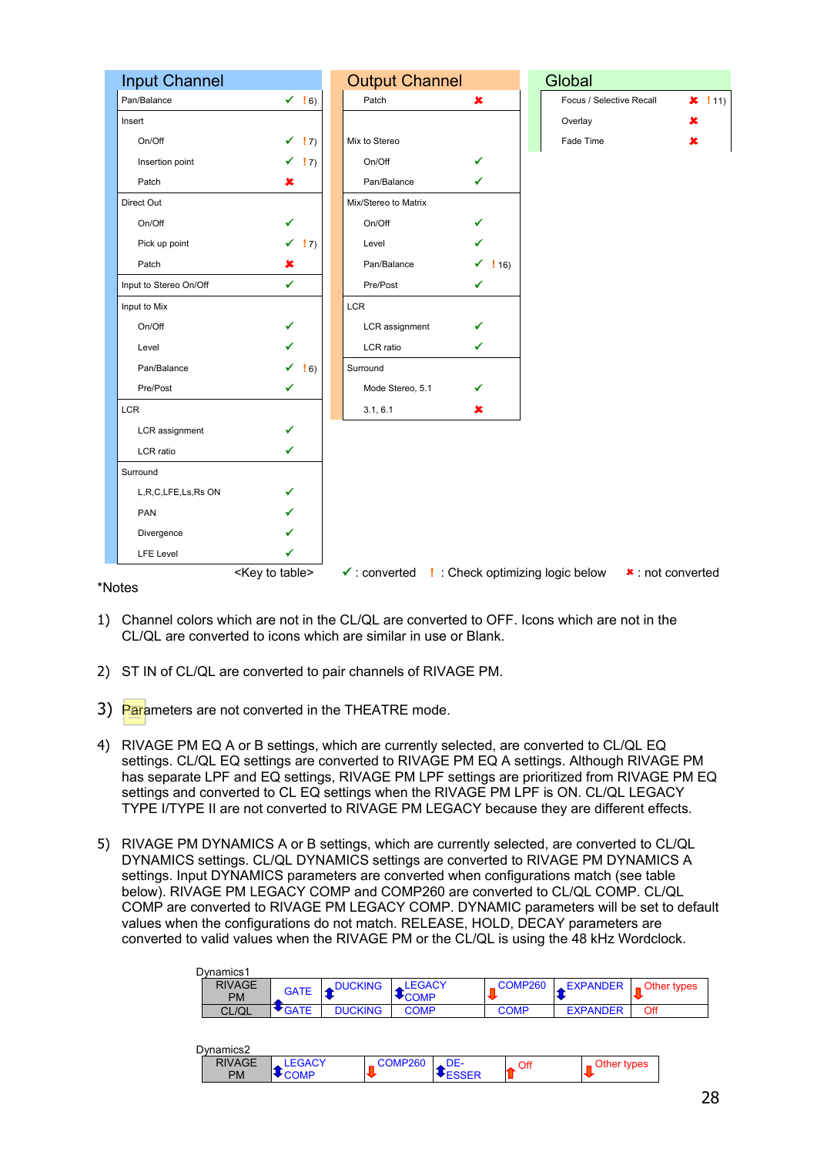

- 1) Channel colors which are not in the CL/QL are converted to OFF. Icons which are not in the CL/QL are converted to icons which are similar in use or Blank.
- 2) ST IN of CL/QL are converted to pair channels of RIVAGE PM.
- 3) Parameters are not converted in the THEATRE mode.
- 4) RIVAGE PM EQ A or B settings, which are currently selected, are converted to CL/QL EQ settings. CL/QL EQ settings are converted to RIVAGE PM EQ A settings. Although RIVAGE PM has separate LPF and EQ settings, RIVAGE PM LPF settings are prioritized from RIVAGE PM EQ settings and converted to CL EQ settings when the RIVAGE PM LPF is ON. CL/QL LEGACY TYPE I/TYPE II are not converted to RIVAGE PM LEGACY because they are different effects.
- 5) RIVAGE PM DYNAMICS A or B settings, which are currently selected, are converted to CL/QL DYNAMICS settings. CL/QL DYNAMICS settings are converted to RIVAGE PM DYNAMICS A settings. Input DYNAMICS parameters are converted when configurations match (see table below). RIVAGE PM LEGACY COMP and COMP260 are converted to CL/QL COMP. CL/QL COMP are converted to RIVAGE PM LEGACY COMP. DYNAMIC parameters will be set to default values when the configurations do not match. RELEASE, HOLD, DECAY parameters are converted to valid values when the RIVAGE PM or the CL/QL is using the 48 kHz Wordclock.

| Dvnamics1     |                |                |             |             |                 |                                                                                                                                                                                                                                                                                                                                       |
|---------------|----------------|----------------|-------------|-------------|-----------------|---------------------------------------------------------------------------------------------------------------------------------------------------------------------------------------------------------------------------------------------------------------------------------------------------------------------------------------|
| <b>RIVAGE</b> | <b>GATE</b>    | <b>DUCKING</b> | LEGACY      | COMP260     |                 | $\mathsf{EXP }-\mathsf{EXP}$ $\mathsf{C}$ $\mathsf{C}$ $\mathsf{C}$ $\mathsf{C}$ $\mathsf{C}$ $\mathsf{C}$ $\mathsf{C}$ $\mathsf{C}$ $\mathsf{C}$ $\mathsf{C}$ $\mathsf{C}$ $\mathsf{C}$ $\mathsf{C}$ $\mathsf{C}$ $\mathsf{C}$ $\mathsf{C}$ $\mathsf{C}$ $\mathsf{C}$ $\mathsf{C}$ $\mathsf{C}$ $\mathsf{C}$ $\mathsf{C}$ $\mathsf{$ |
| <b>PM</b>     |                |                | <b>COMP</b> |             |                 |                                                                                                                                                                                                                                                                                                                                       |
| CL/QL         | $\bullet$ GATE | <b>DUCKING</b> | COMP        | <b>COMP</b> | <b>EXPANDER</b> | Off                                                                                                                                                                                                                                                                                                                                   |

| Dvnamics2     |             |               |            |     |             |
|---------------|-------------|---------------|------------|-----|-------------|
| <b>RIVAGE</b> | <b>GACY</b> | <b>OMP260</b> | JE-        | Off | Other types |
| <b>PM</b>     |             |               | <b>SER</b> |     |             |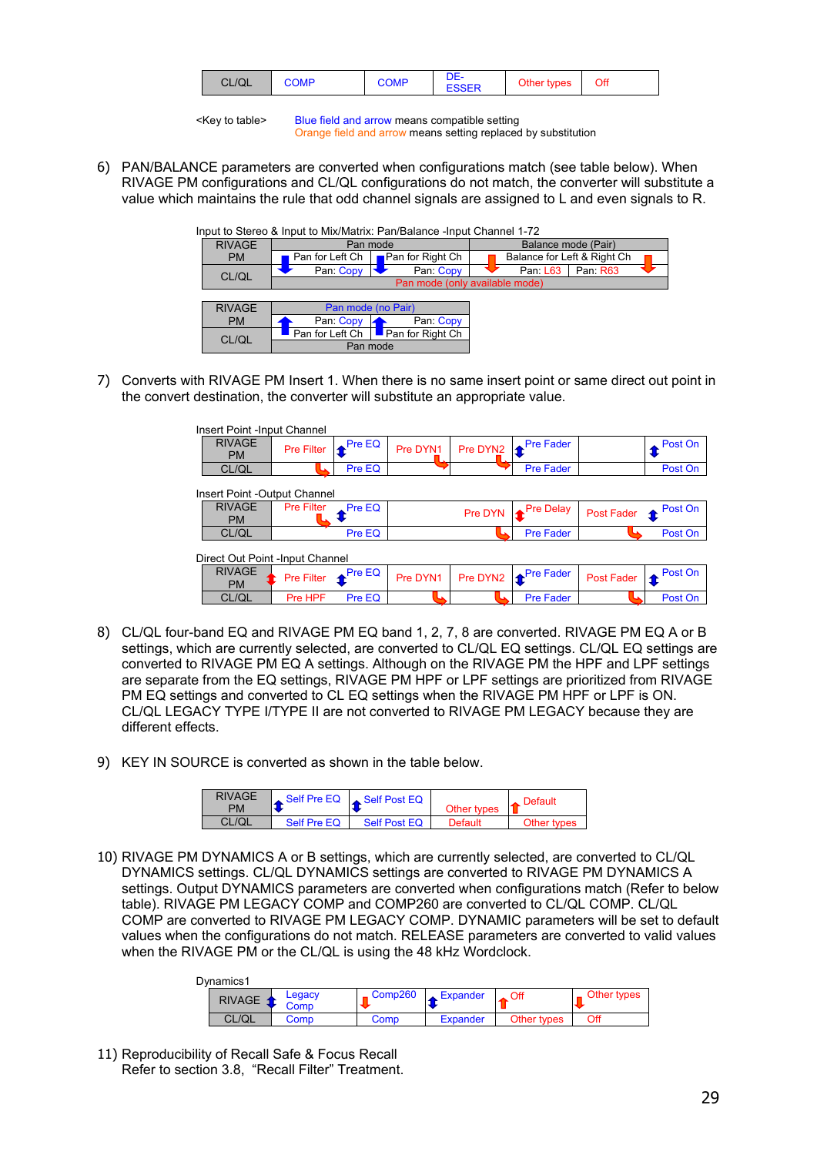|  | CL/QL | <b>OMP</b> | <b>COMP</b> |  | Jther types: | Off |
|--|-------|------------|-------------|--|--------------|-----|
|--|-------|------------|-------------|--|--------------|-----|

<Key to table> Blue field and arrow means compatible setting Orange field and arrow means setting replaced by substitution

6) PAN/BALANCE parameters are converted when configurations match (see table below). When RIVAGE PM configurations and CL/QL configurations do not match, the converter will substitute a value which maintains the rule that odd channel signals are assigned to L and even signals to R.

|               |                                              | Input to Stereo & Input to Mix/Matrix: Pan/Balance -Input Channel 1-72 |                                |  |  |  |
|---------------|----------------------------------------------|------------------------------------------------------------------------|--------------------------------|--|--|--|
| <b>RIVAGE</b> |                                              | Pan mode                                                               | Balance mode (Pair)            |  |  |  |
| <b>PM</b>     | <b>■ Pan for Right Ch</b><br>Pan for Left Ch |                                                                        | Balance for Left & Right Ch    |  |  |  |
| CL/QL         | Pan: Copy                                    | Pan: Copy                                                              | Pan: R63<br>Pan: L63           |  |  |  |
|               |                                              |                                                                        | Pan mode (only available mode) |  |  |  |
|               |                                              |                                                                        |                                |  |  |  |
| <b>RIVAGE</b> |                                              | Pan mode (no Pair)                                                     |                                |  |  |  |
| <b>PM</b>     | Pan: Copy<br>Pan: Copy                       |                                                                        |                                |  |  |  |
| CL/QL         | Pan for Left Ch                              | Pan for Right Ch                                                       |                                |  |  |  |
|               |                                              | Pan mode                                                               |                                |  |  |  |

7) Converts with RIVAGE PM Insert 1. When there is no same insert point or same direct out point in the convert destination, the converter will substitute an appropriate value.

| Insert Point - Input Channel     |                   |                             |          |          |                               |            |         |
|----------------------------------|-------------------|-----------------------------|----------|----------|-------------------------------|------------|---------|
| <b>RIVAGE</b><br><b>PM</b>       | <b>Pre Filter</b> | $\sqrt{\frac{P}{Q}}$ Pre EQ | Pre DYN1 | Pre DYN2 | Pre Fader                     |            | Post On |
| CL/QL                            |                   | Pre EQ                      |          |          | <b>Pre Fader</b>              |            | Post On |
| Insert Point -Output Channel     |                   |                             |          |          |                               |            |         |
| <b>RIVAGE</b><br><b>PM</b>       | <b>Pre Filter</b> | $\sqrt{\frac{P}{C}}$ Pre EQ |          | Pre DYN  | <b>Pre Delay</b>              | Post Fader | Post On |
| CL/QL                            |                   | Pre EQ                      |          |          | <b>Pre Fader</b>              |            | Post On |
| Direct Out Point - Input Channel |                   |                             |          |          |                               |            |         |
| <b>RIVAGE</b><br><b>PM</b>       | Pre Filter        | Pre EQ                      | Pre DYN1 | Pre DYN2 | <b>R</b> <sup>Pre Fader</sup> | Post Fader | Post On |
| CL/QL                            | Pre HPF           | Pre EQ                      |          |          | <b>Pre Fader</b>              |            | Post On |

- 8) CL/QL four-band EQ and RIVAGE PM EQ band 1, 2, 7, 8 are converted. RIVAGE PM EQ A or B settings, which are currently selected, are converted to CL/QL EQ settings. CL/QL EQ settings are converted to RIVAGE PM EQ A settings. Although on the RIVAGE PM the HPF and LPF settings are separate from the EQ settings, RIVAGE PM HPF or LPF settings are prioritized from RIVAGE PM EQ settings and converted to CL EQ settings when the RIVAGE PM HPF or LPF is ON. CL/QL LEGACY TYPE I/TYPE II are not converted to RIVAGE PM LEGACY because they are different effects.
- 9) KEY IN SOURCE is converted as shown in the table below.

| <b>RIVAGE</b><br>PM |             | Self Pre EQ Self Post EQ | Other types 1 | Default     |
|---------------------|-------------|--------------------------|---------------|-------------|
| CL/OL               | Self Pre EQ | Self Post EQ             | Default       | Other types |

10) RIVAGE PM DYNAMICS A or B settings, which are currently selected, are converted to CL/QL DYNAMICS settings. CL/QL DYNAMICS settings are converted to RIVAGE PM DYNAMICS A settings. Output DYNAMICS parameters are converted when configurations match (Refer to below table). RIVAGE PM LEGACY COMP and COMP260 are converted to CL/QL COMP. CL/QL COMP are converted to RIVAGE PM LEGACY COMP. DYNAMIC parameters will be set to default values when the configurations do not match. RELEASE parameters are converted to valid values when the RIVAGE PM or the CL/QL is using the 48 kHz Wordclock.

| Dynamics1 |                 |         |                 |             |             |
|-----------|-----------------|---------|-----------------|-------------|-------------|
| RIVAGE 1  | Legacy<br>۔ompت | Comp260 | Expander        |             | Other types |
| CL/OL     | Comp            | Comp    | <b>Expander</b> | Other types | Off         |

11) Reproducibility of Recall Safe & Focus Recall Refer to section [3.8,](#page-30-1) ["Recall Filter" Treatment.](#page-30-1)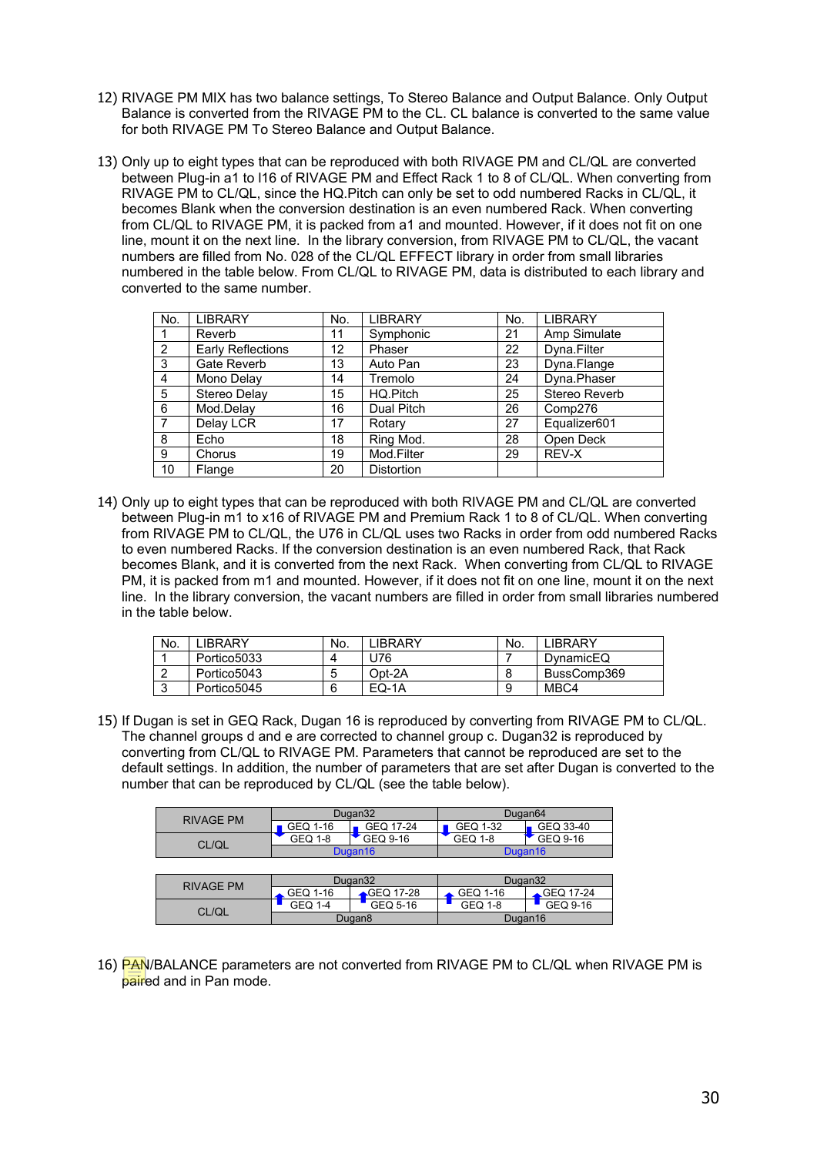- 12) RIVAGE PM MIX has two balance settings, To Stereo Balance and Output Balance. Only Output Balance is converted from the RIVAGE PM to the CL. CL balance is converted to the same value for both RIVAGE PM To Stereo Balance and Output Balance.
- 13) Only up to eight types that can be reproduced with both RIVAGE PM and CL/QL are converted between Plug-in a1 to l16 of RIVAGE PM and Effect Rack 1 to 8 of CL/QL. When converting from RIVAGE PM to CL/QL, since the HQ.Pitch can only be set to odd numbered Racks in CL/QL, it becomes Blank when the conversion destination is an even numbered Rack. When converting from CL/QL to RIVAGE PM, it is packed from a1 and mounted. However, if it does not fit on one line, mount it on the next line. In the library conversion, from RIVAGE PM to CL/QL, the vacant numbers are filled from No. 028 of the CL/QL EFFECT library in order from small libraries numbered in the table below. From CL/QL to RIVAGE PM, data is distributed to each library and converted to the same number.

| No.            | <b>LIBRARY</b>           | No. | <b>LIBRARY</b>    | No. | <b>LIBRARY</b> |
|----------------|--------------------------|-----|-------------------|-----|----------------|
|                | Reverb                   | 11  | Symphonic         | 21  | Amp Simulate   |
| $\mathcal{P}$  | <b>Early Reflections</b> | 12  | Phaser            | 22  | Dyna.Filter    |
| -3             | <b>Gate Reverb</b>       | 13  | Auto Pan          | 23  | Dyna.Flange    |
| $\overline{4}$ | Mono Delay               | 14  | Tremolo           | 24  | Dyna.Phaser    |
| -5             | Stereo Delay             | 15  | HQ.Pitch          | 25  | Stereo Reverb  |
| - 6            | Mod.Delav                | 16  | Dual Pitch        | 26  | Comp276        |
| $\overline{7}$ | Delay LCR                | 17  | Rotary            | 27  | Equalizer601   |
| -8             | Echo                     | 18  | Ring Mod.         | 28  | Open Deck      |
| 9              | Chorus                   | 19  | Mod.Filter        | 29  | REV-X          |
| 10             | Flange                   | 20  | <b>Distortion</b> |     |                |

14) Only up to eight types that can be reproduced with both RIVAGE PM and CL/QL are converted between Plug-in m1 to x16 of RIVAGE PM and Premium Rack 1 to 8 of CL/QL. When converting from RIVAGE PM to CL/QL, the U76 in CL/QL uses two Racks in order from odd numbered Racks to even numbered Racks. If the conversion destination is an even numbered Rack, that Rack becomes Blank, and it is converted from the next Rack. When converting from CL/QL to RIVAGE PM, it is packed from m1 and mounted. However, if it does not fit on one line, mount it on the next line. In the library conversion, the vacant numbers are filled in order from small libraries numbered in the table below.

| No. | <b>IBRARY</b> | No. | <b>IBRARY</b> | No. | <b>IRRARY</b> |
|-----|---------------|-----|---------------|-----|---------------|
|     | Portico5033   | 4   | J76           |     | DynamicEQ     |
|     | Portico5043   | 5   | Opt-2A        |     | BussComp369   |
|     | Portico5045   | 6   | EQ-1A         | 9   | MBC4          |

15) If Dugan is set in GEQ Rack, Dugan 16 is reproduced by converting from RIVAGE PM to CL/QL. The channel groups d and e are corrected to channel group c. Dugan32 is reproduced by converting from CL/QL to RIVAGE PM. Parameters that cannot be reproduced are set to the default settings. In addition, the number of parameters that are set after Dugan is converted to the number that can be reproduced by CL/QL (see the table below).

| <b>RIVAGE PM</b> | Dugan32             |           | Dugan <sub>64</sub> |           |
|------------------|---------------------|-----------|---------------------|-----------|
|                  | GEQ 1-16            | GEQ 17-24 | GEQ 1-32            | GEQ 33-40 |
| CL/QL            | GEQ 1-8             | GEQ 9-16  | <b>GEQ 1-8</b>      | GEQ 9-16  |
|                  | Dugan <sub>16</sub> |           | Dugan <sub>16</sub> |           |
|                  |                     |           |                     |           |
| <b>RIVAGE PM</b> | Dugan32             |           | Dugan32             |           |
|                  | GEQ 1-16            | GEQ 17-28 | GEQ 1-16            | GEQ 17-24 |
| CL/QL            | GEQ 1-4             | GEQ 5-16  | <b>GEQ 1-8</b>      | GEQ 9-16  |
|                  | Dugan <sub>8</sub>  |           | Dugan16             |           |

16) PAN/BALANCE parameters are not converted from RIVAGE PM to CL/QL when RIVAGE PM is paired and in Pan mode.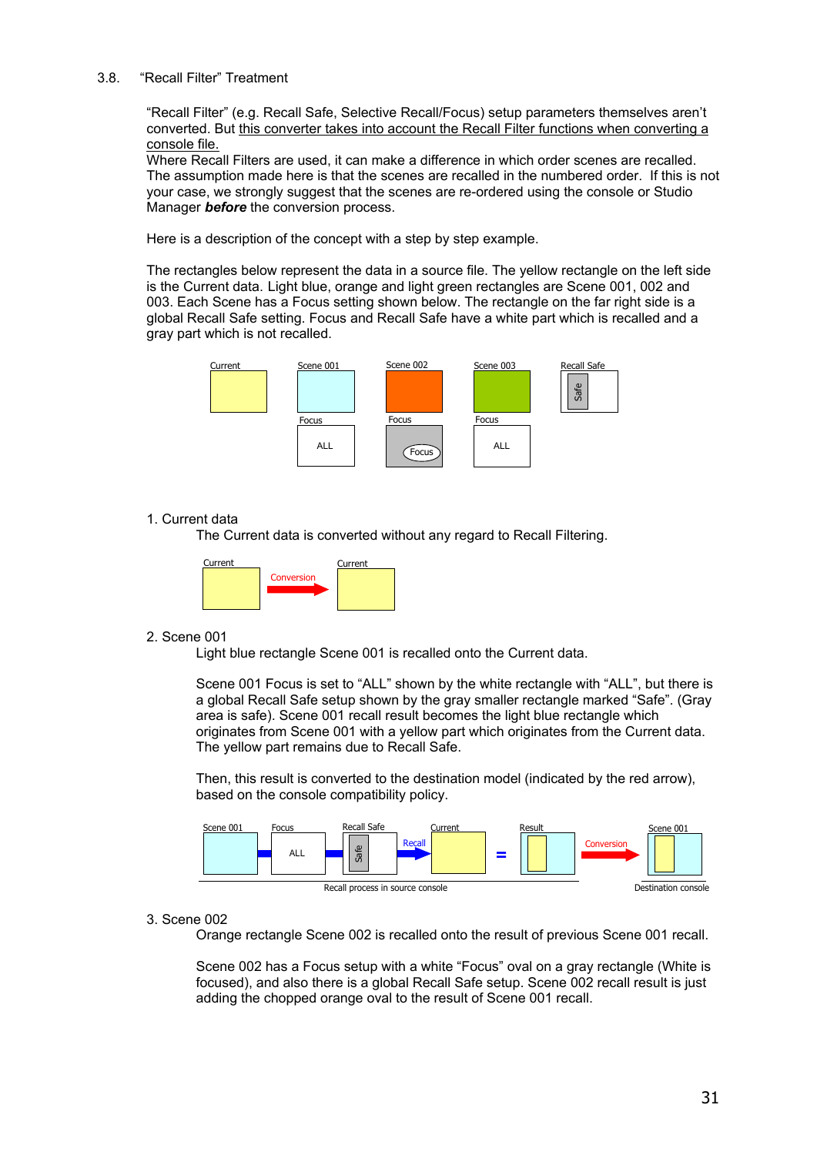#### <span id="page-30-1"></span>3.8. "Recall Filter" Treatment

<span id="page-30-0"></span>"Recall Filter" (e.g. Recall Safe, Selective Recall/Focus) setup parameters themselves aren't converted. But this converter takes into account the Recall Filter functions when converting a console file.

Where Recall Filters are used, it can make a difference in which order scenes are recalled. The assumption made here is that the scenes are recalled in the numbered order. If this is not your case, we strongly suggest that the scenes are re-ordered using the console or Studio Manager *before* the conversion process.

Here is a description of the concept with a step by step example.

The rectangles below represent the data in a source file. The yellow rectangle on the left side is the Current data. Light blue, orange and light green rectangles are Scene 001, 002 and 003. Each Scene has a Focus setting shown below. The rectangle on the far right side is a global Recall Safe setting. Focus and Recall Safe have a white part which is recalled and a gray part which is not recalled.



#### 1. Current data

The Current data is converted without any regard to Recall Filtering.



#### 2. Scene 001

Light blue rectangle Scene 001 is recalled onto the Current data.

Scene 001 Focus is set to "ALL" shown by the white rectangle with "ALL", but there is a global Recall Safe setup shown by the gray smaller rectangle marked "Safe". (Gray area is safe). Scene 001 recall result becomes the light blue rectangle which originates from Scene 001 with a yellow part which originates from the Current data. The yellow part remains due to Recall Safe.

Then, this result is converted to the destination model (indicated by the red arrow), based on the console compatibility policy.



#### 3. Scene 002

Orange rectangle Scene 002 is recalled onto the result of previous Scene 001 recall.

Scene 002 has a Focus setup with a white "Focus" oval on a gray rectangle (White is focused), and also there is a global Recall Safe setup. Scene 002 recall result is just adding the chopped orange oval to the result of Scene 001 recall.